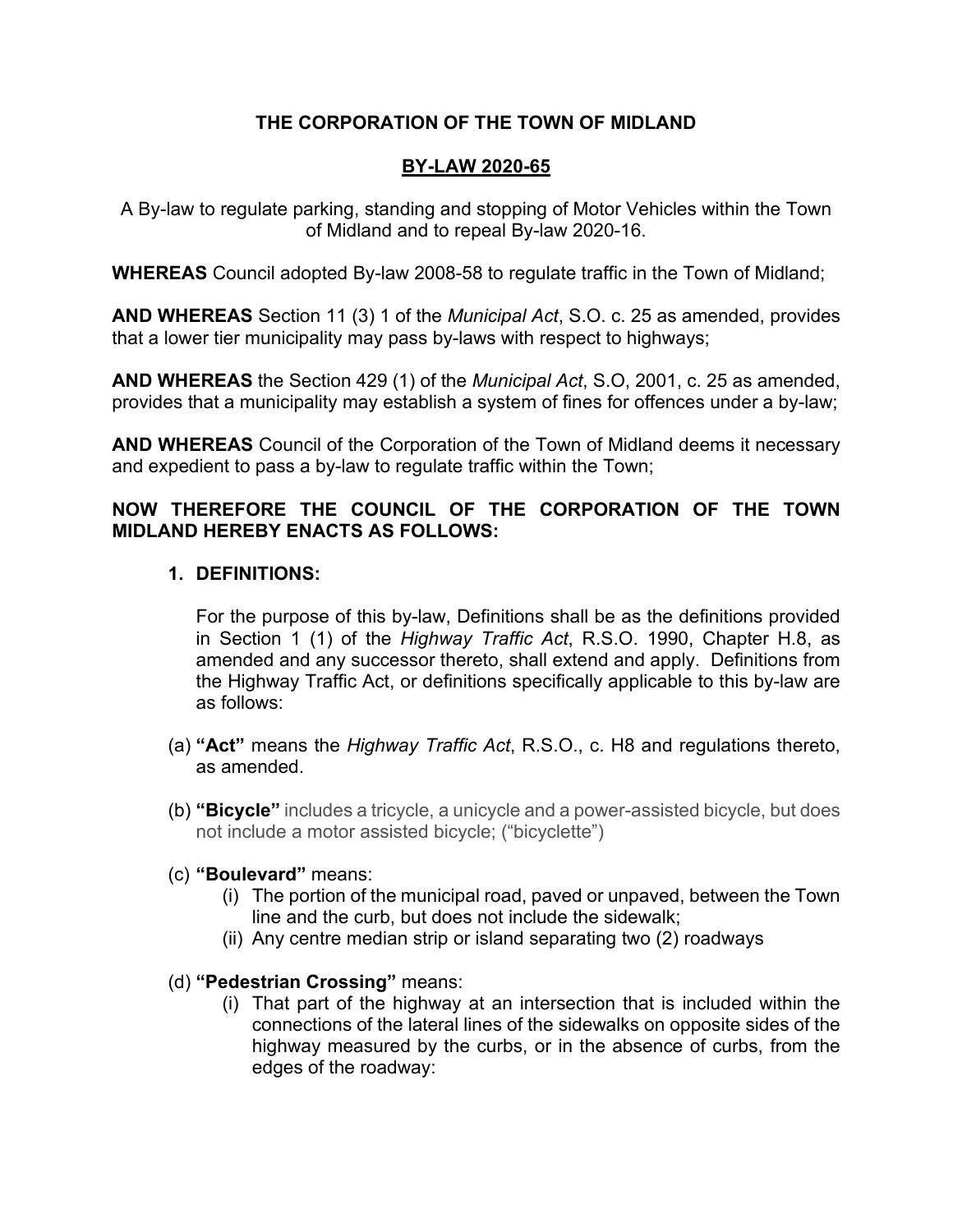## **THE CORPORATION OF THE TOWN OF MIDLAND**

## **BY-LAW 2020-65**

A By-law to regulate parking, standing and stopping of Motor Vehicles within the Town of Midland and to repeal By-law 2020-16.

**WHEREAS** Council adopted By-law 2008-58 to regulate traffic in the Town of Midland;

**AND WHEREAS** Section 11 (3) 1 of the *Municipal Act*, S.O. c. 25 as amended, provides that a lower tier municipality may pass by-laws with respect to highways;

**AND WHEREAS** the Section 429 (1) of the *Municipal Act*, S.O, 2001, c. 25 as amended, provides that a municipality may establish a system of fines for offences under a by-law;

**AND WHEREAS** Council of the Corporation of the Town of Midland deems it necessary and expedient to pass a by-law to regulate traffic within the Town;

## **NOW THEREFORE THE COUNCIL OF THE CORPORATION OF THE TOWN MIDLAND HEREBY ENACTS AS FOLLOWS:**

## **1. DEFINITIONS:**

For the purpose of this by-law, Definitions shall be as the definitions provided in Section 1 (1) of the *Highway Traffic Act*, R.S.O. 1990, Chapter H.8, as amended and any successor thereto, shall extend and apply. Definitions from the Highway Traffic Act, or definitions specifically applicable to this by-law are as follows:

- (a) **"Act"** means the *Highway Traffic Act*, R.S.O., c. H8 and regulations thereto, as amended.
- (b) **"Bicycle"** includes a tricycle, a unicycle and a power-assisted bicycle, but does not include a motor assisted bicycle; ("bicyclette")
- (c) **"Boulevard"** means:
	- (i) The portion of the municipal road, paved or unpaved, between the Town line and the curb, but does not include the sidewalk;
	- (ii) Any centre median strip or island separating two (2) roadways
- (d) **"Pedestrian Crossing"** means:
	- (i) That part of the highway at an intersection that is included within the connections of the lateral lines of the sidewalks on opposite sides of the highway measured by the curbs, or in the absence of curbs, from the edges of the roadway: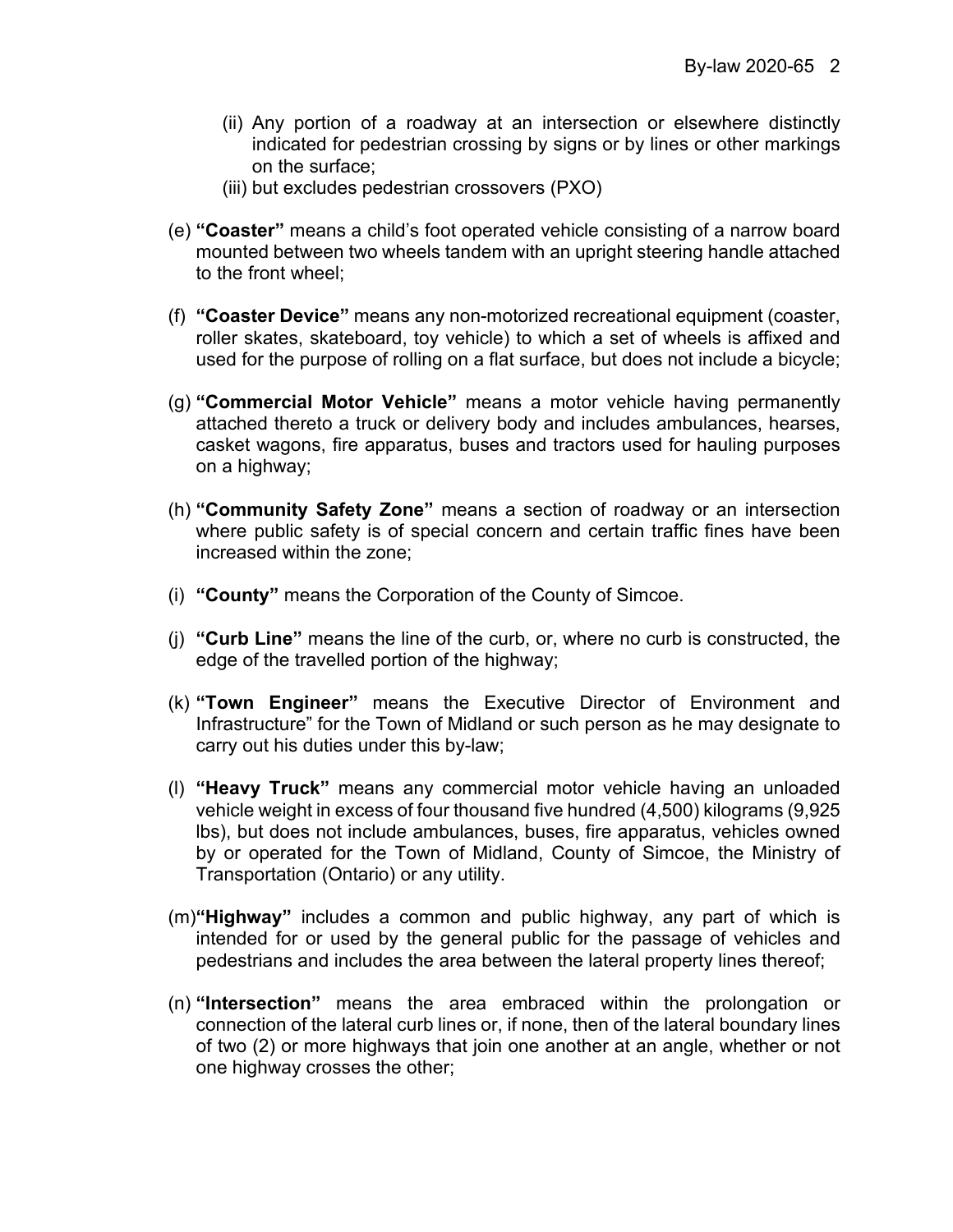- (ii) Any portion of a roadway at an intersection or elsewhere distinctly indicated for pedestrian crossing by signs or by lines or other markings on the surface;
- (iii) but excludes pedestrian crossovers (PXO)
- (e) **"Coaster"** means a child's foot operated vehicle consisting of a narrow board mounted between two wheels tandem with an upright steering handle attached to the front wheel;
- (f) **"Coaster Device"** means any non-motorized recreational equipment (coaster, roller skates, skateboard, toy vehicle) to which a set of wheels is affixed and used for the purpose of rolling on a flat surface, but does not include a bicycle;
- (g) **"Commercial Motor Vehicle"** means a motor vehicle having permanently attached thereto a truck or delivery body and includes ambulances, hearses, casket wagons, fire apparatus, buses and tractors used for hauling purposes on a highway;
- (h) **"Community Safety Zone"** means a section of roadway or an intersection where public safety is of special concern and certain traffic fines have been increased within the zone;
- (i) **"County"** means the Corporation of the County of Simcoe.
- (j) **"Curb Line"** means the line of the curb, or, where no curb is constructed, the edge of the travelled portion of the highway;
- (k) **"Town Engineer"** means the Executive Director of Environment and Infrastructure" for the Town of Midland or such person as he may designate to carry out his duties under this by-law;
- (l) **"Heavy Truck"** means any commercial motor vehicle having an unloaded vehicle weight in excess of four thousand five hundred (4,500) kilograms (9,925 lbs), but does not include ambulances, buses, fire apparatus, vehicles owned by or operated for the Town of Midland, County of Simcoe, the Ministry of Transportation (Ontario) or any utility.
- (m)**"Highway"** includes a common and public highway, any part of which is intended for or used by the general public for the passage of vehicles and pedestrians and includes the area between the lateral property lines thereof;
- (n) **"Intersection"** means the area embraced within the prolongation or connection of the lateral curb lines or, if none, then of the lateral boundary lines of two (2) or more highways that join one another at an angle, whether or not one highway crosses the other;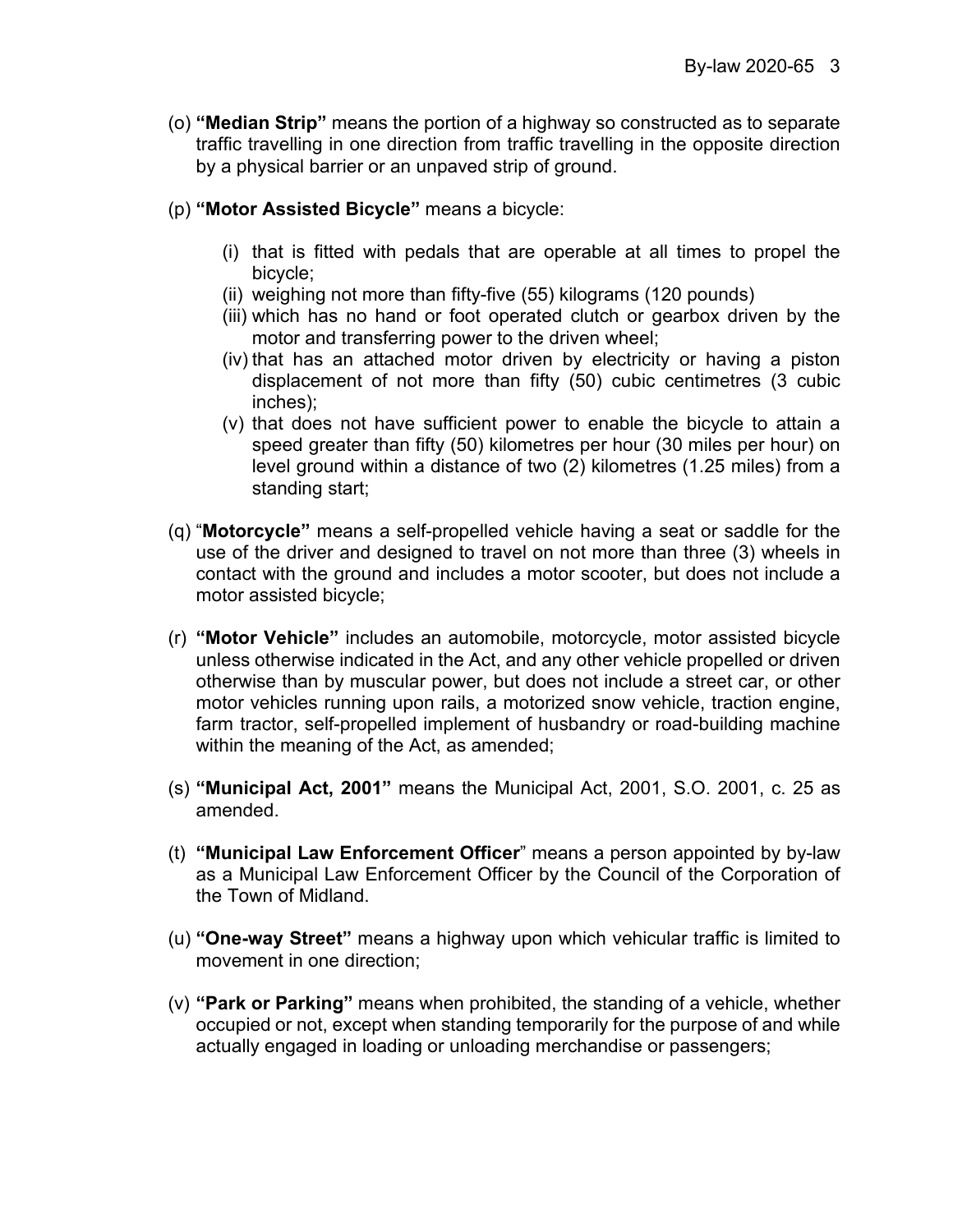- (o) **"Median Strip"** means the portion of a highway so constructed as to separate traffic travelling in one direction from traffic travelling in the opposite direction by a physical barrier or an unpaved strip of ground.
- (p) **"Motor Assisted Bicycle"** means a bicycle:
	- (i) that is fitted with pedals that are operable at all times to propel the bicycle;
	- (ii) weighing not more than fifty-five (55) kilograms (120 pounds)
	- (iii) which has no hand or foot operated clutch or gearbox driven by the motor and transferring power to the driven wheel;
	- (iv) that has an attached motor driven by electricity or having a piston displacement of not more than fifty (50) cubic centimetres (3 cubic inches);
	- (v) that does not have sufficient power to enable the bicycle to attain a speed greater than fifty (50) kilometres per hour (30 miles per hour) on level ground within a distance of two (2) kilometres (1.25 miles) from a standing start;
- (q) "**Motorcycle"** means a self-propelled vehicle having a seat or saddle for the use of the driver and designed to travel on not more than three (3) wheels in contact with the ground and includes a motor scooter, but does not include a motor assisted bicycle;
- (r) **"Motor Vehicle"** includes an automobile, motorcycle, motor assisted bicycle unless otherwise indicated in the Act, and any other vehicle propelled or driven otherwise than by muscular power, but does not include a street car, or other motor vehicles running upon rails, a motorized snow vehicle, traction engine, farm tractor, self-propelled implement of husbandry or road-building machine within the meaning of the Act, as amended;
- (s) **"Municipal Act, 2001"** means the Municipal Act, 2001, S.O. 2001, c. 25 as amended.
- (t) **"Municipal Law Enforcement Officer**" means a person appointed by by-law as a Municipal Law Enforcement Officer by the Council of the Corporation of the Town of Midland.
- (u) **"One-way Street"** means a highway upon which vehicular traffic is limited to movement in one direction;
- (v) **"Park or Parking"** means when prohibited, the standing of a vehicle, whether occupied or not, except when standing temporarily for the purpose of and while actually engaged in loading or unloading merchandise or passengers;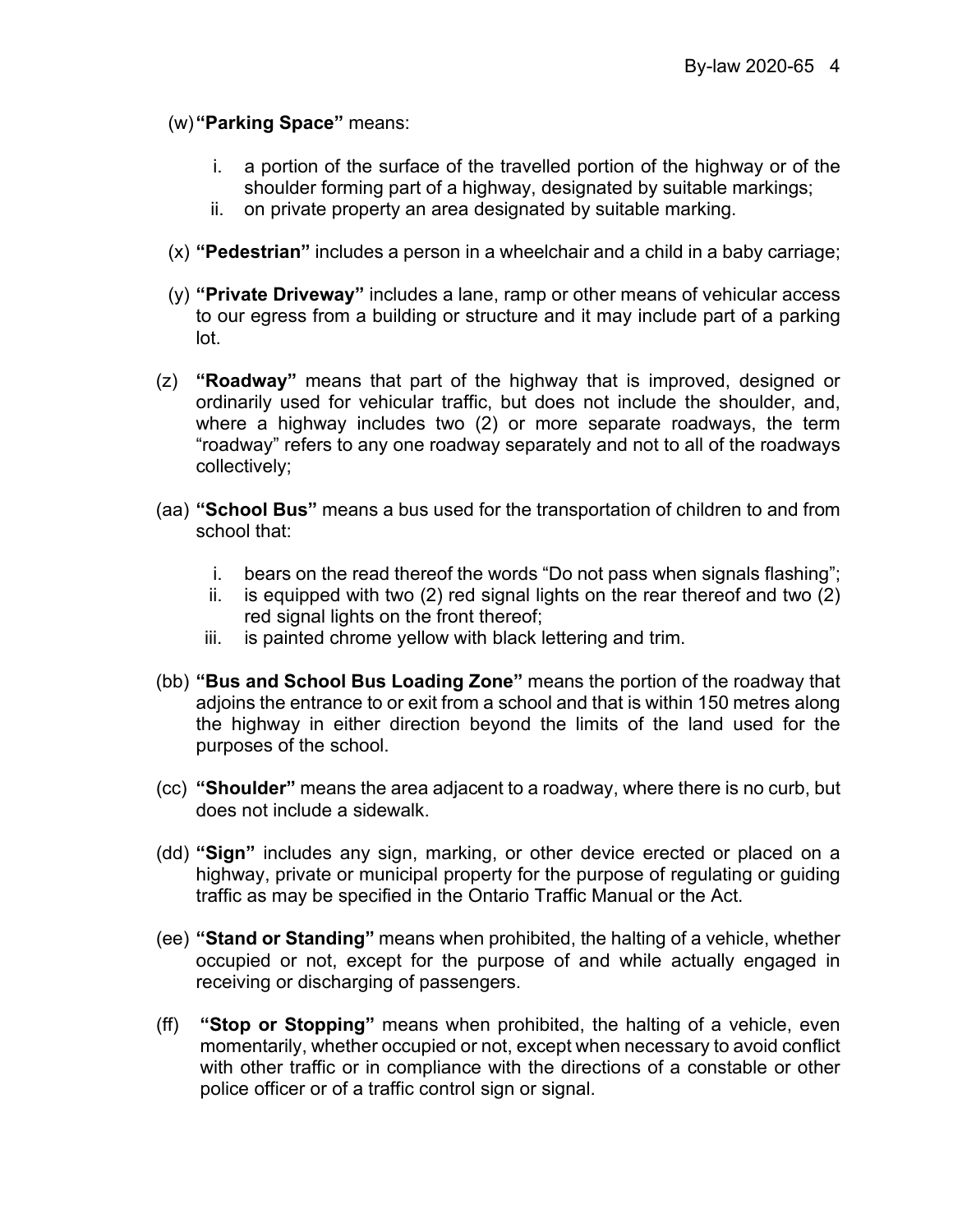(w)**"Parking Space"** means:

- i. a portion of the surface of the travelled portion of the highway or of the shoulder forming part of a highway, designated by suitable markings;
- ii. on private property an area designated by suitable marking.
- (x) **"Pedestrian"** includes a person in a wheelchair and a child in a baby carriage;
- (y) **"Private Driveway"** includes a lane, ramp or other means of vehicular access to our egress from a building or structure and it may include part of a parking lot.
- (z) **"Roadway"** means that part of the highway that is improved, designed or ordinarily used for vehicular traffic, but does not include the shoulder, and, where a highway includes two (2) or more separate roadways, the term "roadway" refers to any one roadway separately and not to all of the roadways collectively;
- (aa) **"School Bus"** means a bus used for the transportation of children to and from school that:
	- i. bears on the read thereof the words "Do not pass when signals flashing";
	- ii. is equipped with two (2) red signal lights on the rear thereof and two (2) red signal lights on the front thereof;
	- iii. is painted chrome yellow with black lettering and trim.
- (bb) **"Bus and School Bus Loading Zone"** means the portion of the roadway that adjoins the entrance to or exit from a school and that is within 150 metres along the highway in either direction beyond the limits of the land used for the purposes of the school.
- (cc) **"Shoulder"** means the area adjacent to a roadway, where there is no curb, but does not include a sidewalk.
- (dd) **"Sign"** includes any sign, marking, or other device erected or placed on a highway, private or municipal property for the purpose of regulating or guiding traffic as may be specified in the Ontario Traffic Manual or the Act.
- (ee) **"Stand or Standing"** means when prohibited, the halting of a vehicle, whether occupied or not, except for the purpose of and while actually engaged in receiving or discharging of passengers.
- (ff) **"Stop or Stopping"** means when prohibited, the halting of a vehicle, even momentarily, whether occupied or not, except when necessary to avoid conflict with other traffic or in compliance with the directions of a constable or other police officer or of a traffic control sign or signal.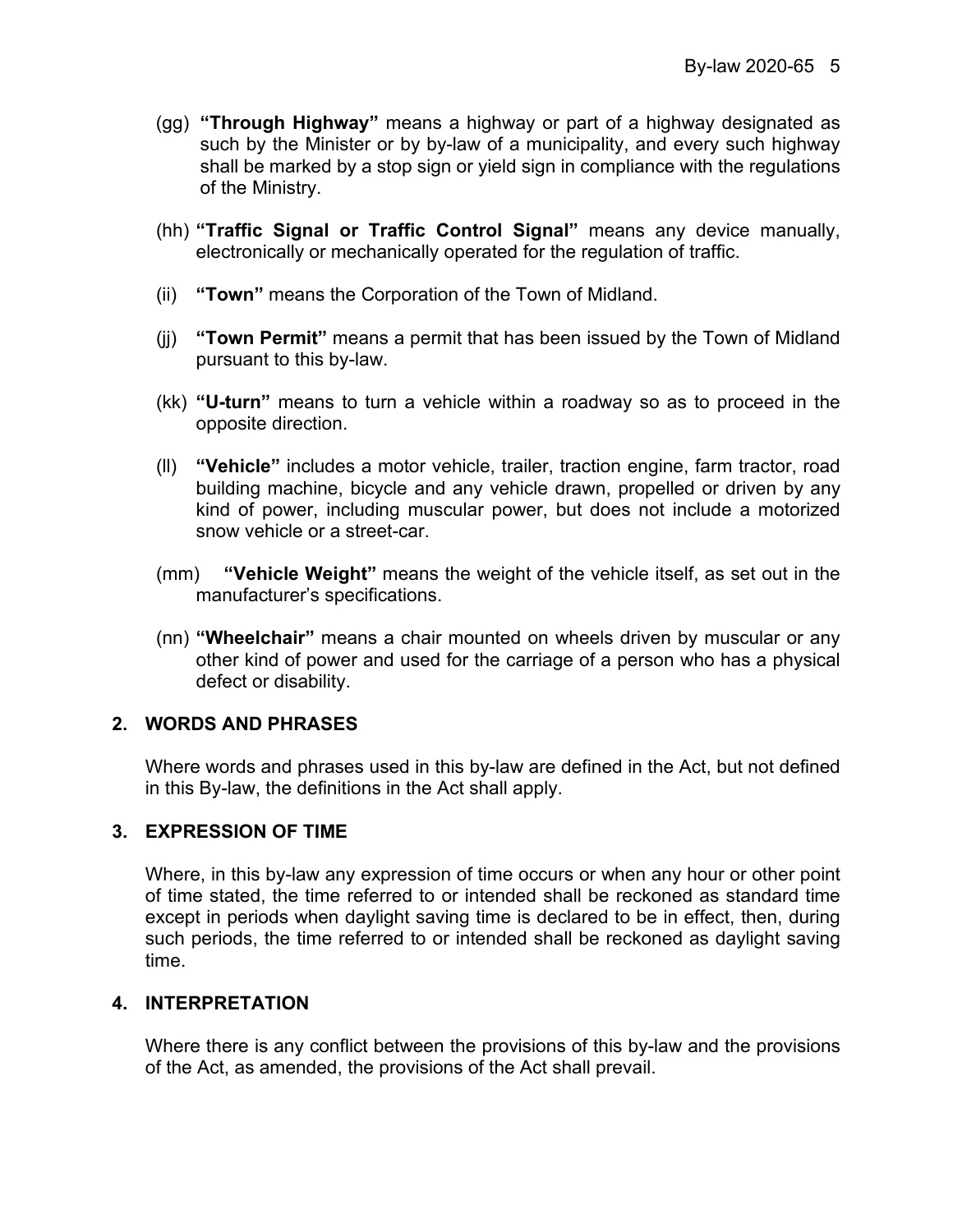- (gg) **"Through Highway"** means a highway or part of a highway designated as such by the Minister or by by-law of a municipality, and every such highway shall be marked by a stop sign or yield sign in compliance with the regulations of the Ministry.
- (hh) **"Traffic Signal or Traffic Control Signal"** means any device manually, electronically or mechanically operated for the regulation of traffic.
- (ii) **"Town"** means the Corporation of the Town of Midland.
- (jj) **"Town Permit"** means a permit that has been issued by the Town of Midland pursuant to this by-law.
- (kk) **"U-turn"** means to turn a vehicle within a roadway so as to proceed in the opposite direction.
- (ll) **"Vehicle"** includes a motor vehicle, trailer, traction engine, farm tractor, road building machine, bicycle and any vehicle drawn, propelled or driven by any kind of power, including muscular power, but does not include a motorized snow vehicle or a street-car.
- (mm) **"Vehicle Weight"** means the weight of the vehicle itself, as set out in the manufacturer's specifications.
- (nn) **"Wheelchair"** means a chair mounted on wheels driven by muscular or any other kind of power and used for the carriage of a person who has a physical defect or disability.

## **2. WORDS AND PHRASES**

Where words and phrases used in this by-law are defined in the Act, but not defined in this By-law, the definitions in the Act shall apply.

## **3. EXPRESSION OF TIME**

Where, in this by-law any expression of time occurs or when any hour or other point of time stated, the time referred to or intended shall be reckoned as standard time except in periods when daylight saving time is declared to be in effect, then, during such periods, the time referred to or intended shall be reckoned as daylight saving time.

## **4. INTERPRETATION**

Where there is any conflict between the provisions of this by-law and the provisions of the Act, as amended, the provisions of the Act shall prevail.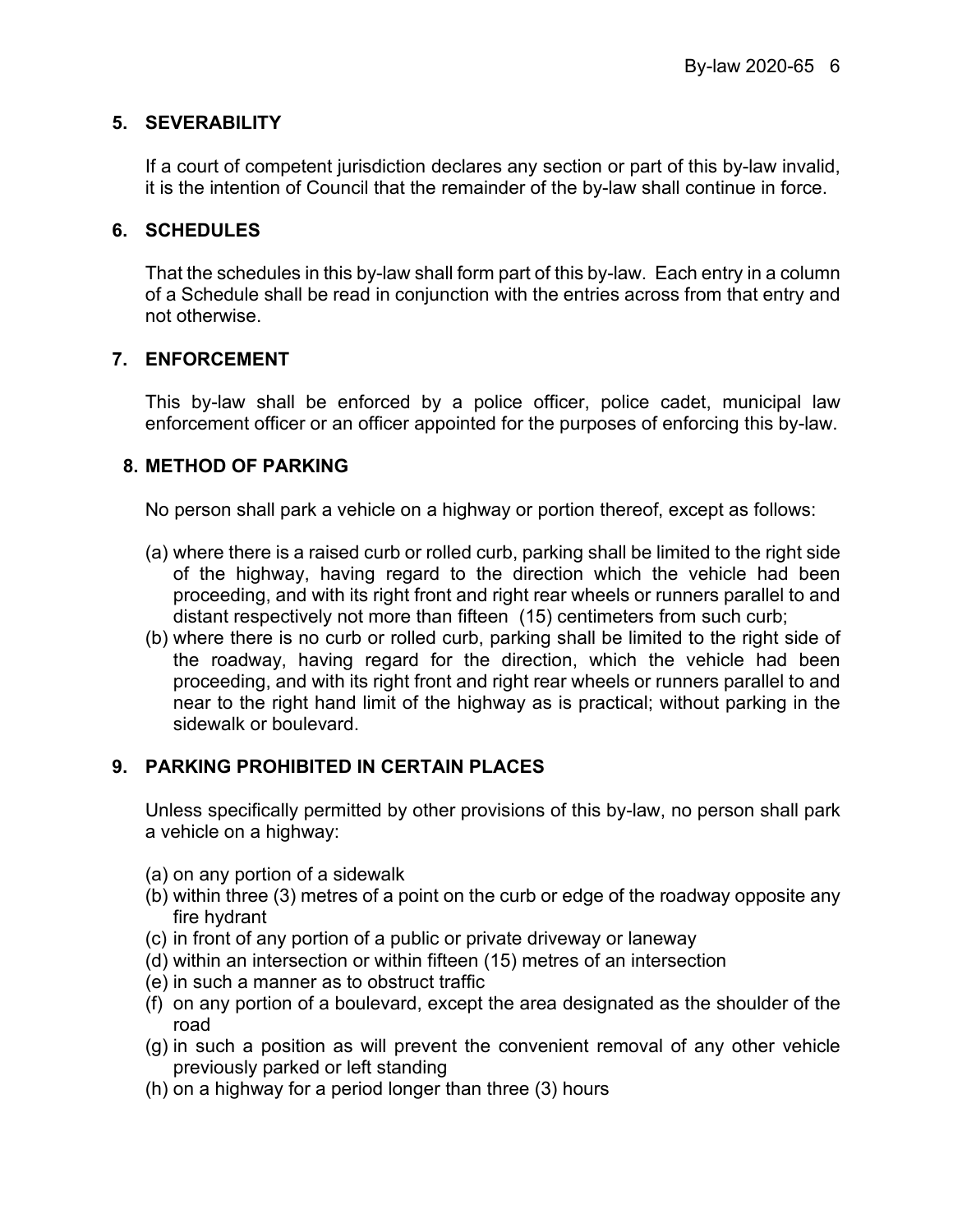## **5. SEVERABILITY**

If a court of competent jurisdiction declares any section or part of this by-law invalid, it is the intention of Council that the remainder of the by-law shall continue in force.

## **6. SCHEDULES**

That the schedules in this by-law shall form part of this by-law. Each entry in a column of a Schedule shall be read in conjunction with the entries across from that entry and not otherwise.

## **7. ENFORCEMENT**

This by-law shall be enforced by a police officer, police cadet, municipal law enforcement officer or an officer appointed for the purposes of enforcing this by-law.

## **8. METHOD OF PARKING**

No person shall park a vehicle on a highway or portion thereof, except as follows:

- (a) where there is a raised curb or rolled curb, parking shall be limited to the right side of the highway, having regard to the direction which the vehicle had been proceeding, and with its right front and right rear wheels or runners parallel to and distant respectively not more than fifteen (15) centimeters from such curb;
- (b) where there is no curb or rolled curb, parking shall be limited to the right side of the roadway, having regard for the direction, which the vehicle had been proceeding, and with its right front and right rear wheels or runners parallel to and near to the right hand limit of the highway as is practical; without parking in the sidewalk or boulevard.

## **9. PARKING PROHIBITED IN CERTAIN PLACES**

Unless specifically permitted by other provisions of this by-law, no person shall park a vehicle on a highway:

- (a) on any portion of a sidewalk
- (b) within three (3) metres of a point on the curb or edge of the roadway opposite any fire hydrant
- (c) in front of any portion of a public or private driveway or laneway
- (d) within an intersection or within fifteen (15) metres of an intersection
- (e) in such a manner as to obstruct traffic
- (f) on any portion of a boulevard, except the area designated as the shoulder of the road
- (g) in such a position as will prevent the convenient removal of any other vehicle previously parked or left standing
- (h) on a highway for a period longer than three (3) hours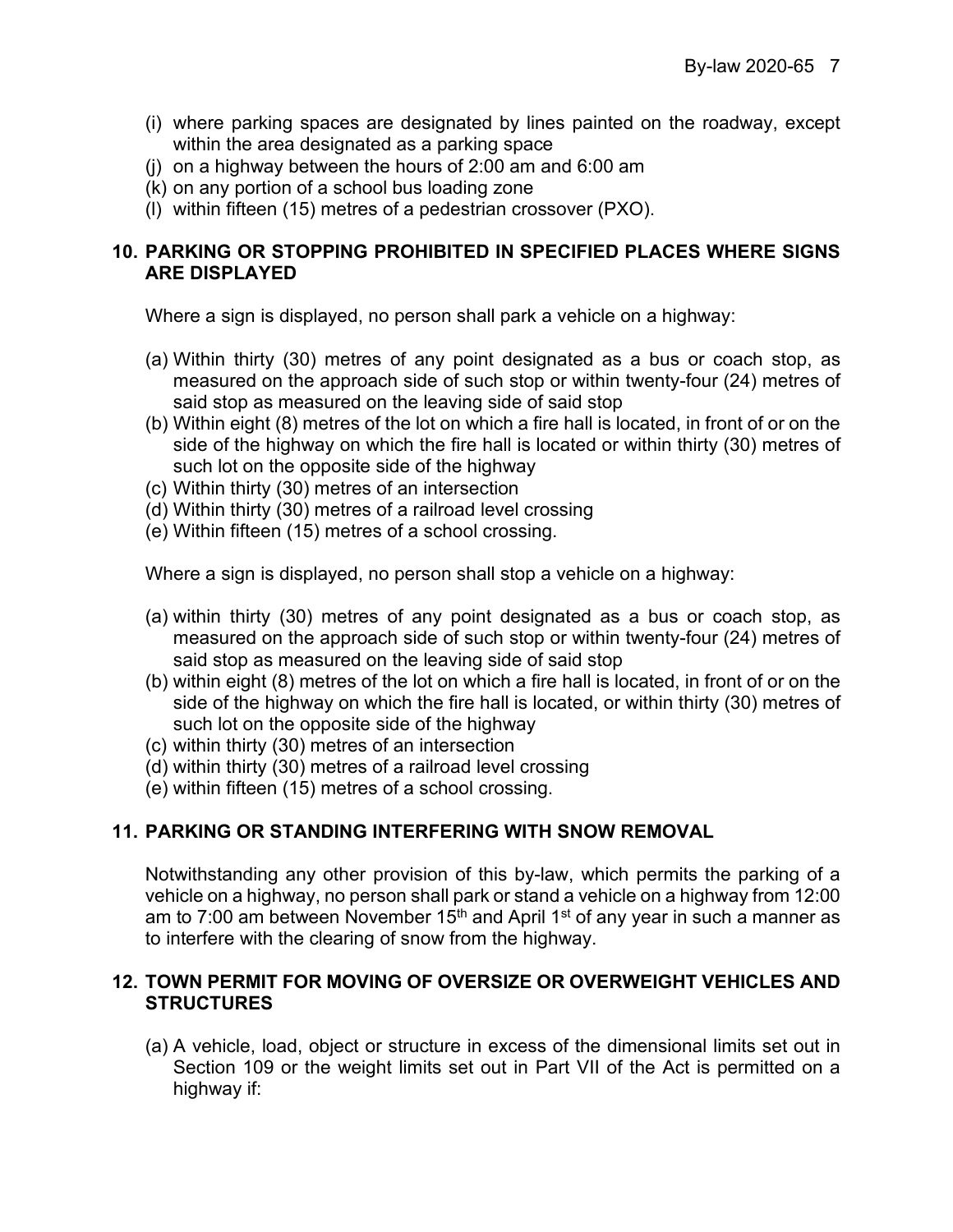- (i) where parking spaces are designated by lines painted on the roadway, except within the area designated as a parking space
- (j) on a highway between the hours of 2:00 am and 6:00 am
- (k) on any portion of a school bus loading zone
- (l) within fifteen (15) metres of a pedestrian crossover (PXO).

## **10. PARKING OR STOPPING PROHIBITED IN SPECIFIED PLACES WHERE SIGNS ARE DISPLAYED**

Where a sign is displayed, no person shall park a vehicle on a highway:

- (a) Within thirty (30) metres of any point designated as a bus or coach stop, as measured on the approach side of such stop or within twenty-four (24) metres of said stop as measured on the leaving side of said stop
- (b) Within eight (8) metres of the lot on which a fire hall is located, in front of or on the side of the highway on which the fire hall is located or within thirty (30) metres of such lot on the opposite side of the highway
- (c) Within thirty (30) metres of an intersection
- (d) Within thirty (30) metres of a railroad level crossing
- (e) Within fifteen (15) metres of a school crossing.

Where a sign is displayed, no person shall stop a vehicle on a highway:

- (a) within thirty (30) metres of any point designated as a bus or coach stop, as measured on the approach side of such stop or within twenty-four (24) metres of said stop as measured on the leaving side of said stop
- (b) within eight (8) metres of the lot on which a fire hall is located, in front of or on the side of the highway on which the fire hall is located, or within thirty (30) metres of such lot on the opposite side of the highway
- (c) within thirty (30) metres of an intersection
- (d) within thirty (30) metres of a railroad level crossing
- (e) within fifteen (15) metres of a school crossing.

## **11. PARKING OR STANDING INTERFERING WITH SNOW REMOVAL**

Notwithstanding any other provision of this by-law, which permits the parking of a vehicle on a highway, no person shall park or stand a vehicle on a highway from 12:00 am to 7:00 am between November 15<sup>th</sup> and April 1<sup>st</sup> of any year in such a manner as to interfere with the clearing of snow from the highway.

## **12. TOWN PERMIT FOR MOVING OF OVERSIZE OR OVERWEIGHT VEHICLES AND STRUCTURES**

(a) A vehicle, load, object or structure in excess of the dimensional limits set out in Section 109 or the weight limits set out in Part VII of the Act is permitted on a highway if: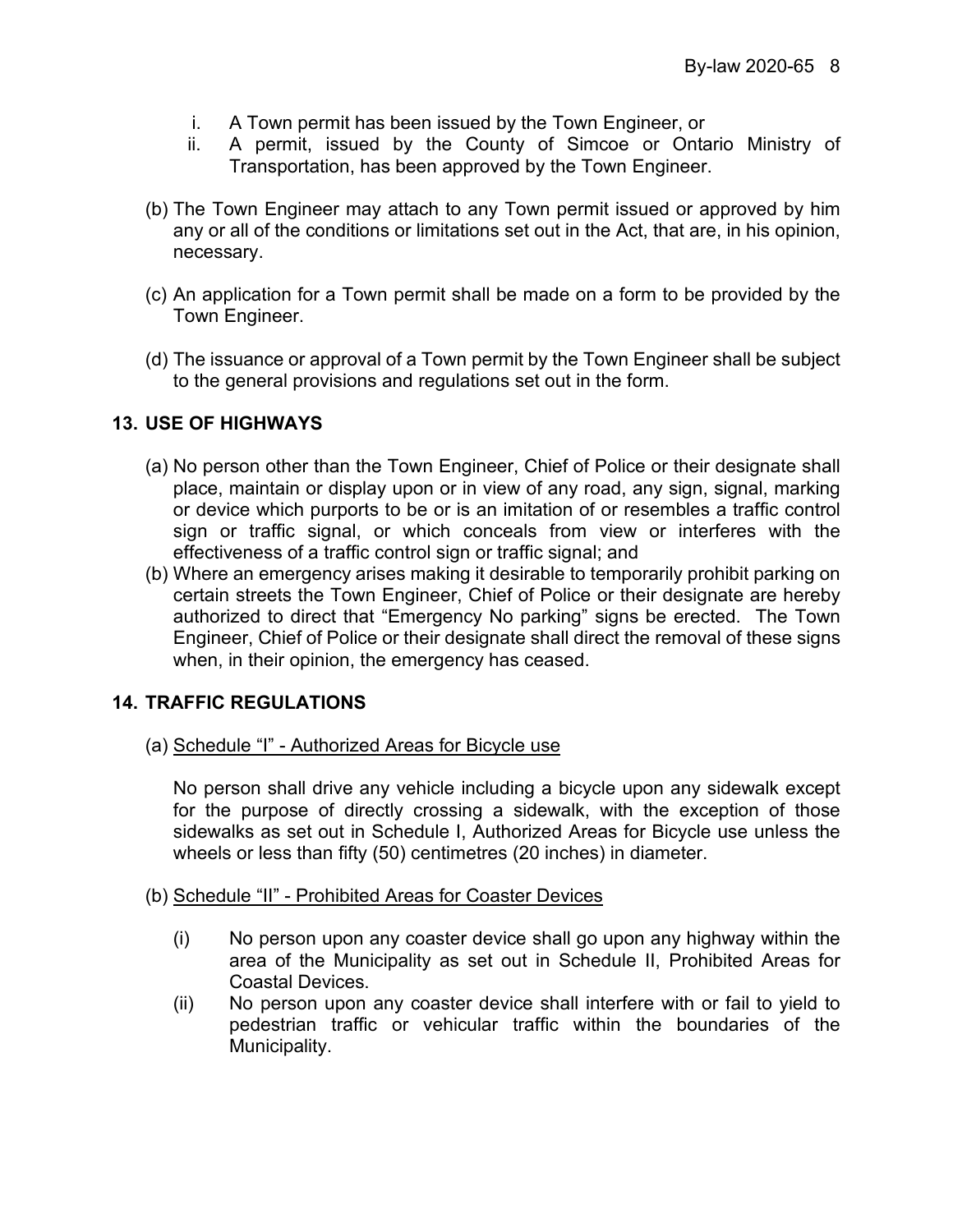- i. A Town permit has been issued by the Town Engineer, or
- ii. A permit, issued by the County of Simcoe or Ontario Ministry of Transportation, has been approved by the Town Engineer.
- (b) The Town Engineer may attach to any Town permit issued or approved by him any or all of the conditions or limitations set out in the Act, that are, in his opinion, necessary.
- (c) An application for a Town permit shall be made on a form to be provided by the Town Engineer.
- (d) The issuance or approval of a Town permit by the Town Engineer shall be subject to the general provisions and regulations set out in the form.

## **13. USE OF HIGHWAYS**

- (a) No person other than the Town Engineer, Chief of Police or their designate shall place, maintain or display upon or in view of any road, any sign, signal, marking or device which purports to be or is an imitation of or resembles a traffic control sign or traffic signal, or which conceals from view or interferes with the effectiveness of a traffic control sign or traffic signal; and
- (b) Where an emergency arises making it desirable to temporarily prohibit parking on certain streets the Town Engineer, Chief of Police or their designate are hereby authorized to direct that "Emergency No parking" signs be erected. The Town Engineer, Chief of Police or their designate shall direct the removal of these signs when, in their opinion, the emergency has ceased.

## **14. TRAFFIC REGULATIONS**

(a) Schedule "I" - Authorized Areas for Bicycle use

No person shall drive any vehicle including a bicycle upon any sidewalk except for the purpose of directly crossing a sidewalk, with the exception of those sidewalks as set out in Schedule I, Authorized Areas for Bicycle use unless the wheels or less than fifty (50) centimetres (20 inches) in diameter.

- (b) Schedule "II" Prohibited Areas for Coaster Devices
	- (i) No person upon any coaster device shall go upon any highway within the area of the Municipality as set out in Schedule II, Prohibited Areas for Coastal Devices.
	- (ii) No person upon any coaster device shall interfere with or fail to yield to pedestrian traffic or vehicular traffic within the boundaries of the Municipality.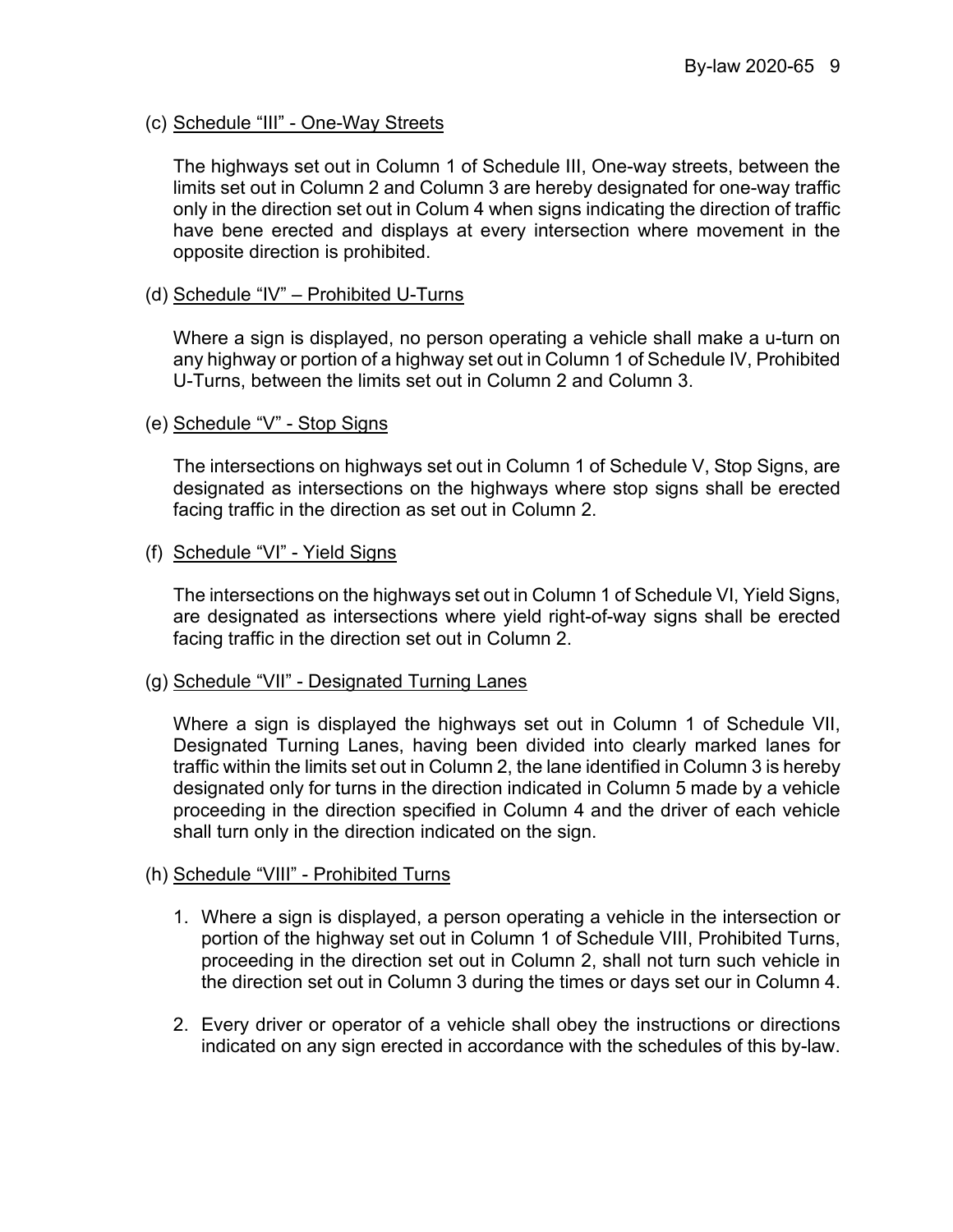## (c) Schedule "III" - One-Way Streets

The highways set out in Column 1 of Schedule III, One-way streets, between the limits set out in Column 2 and Column 3 are hereby designated for one-way traffic only in the direction set out in Colum 4 when signs indicating the direction of traffic have bene erected and displays at every intersection where movement in the opposite direction is prohibited.

## (d) Schedule "IV" – Prohibited U-Turns

Where a sign is displayed, no person operating a vehicle shall make a u-turn on any highway or portion of a highway set out in Column 1 of Schedule IV, Prohibited U-Turns, between the limits set out in Column 2 and Column 3.

## (e) Schedule "V" - Stop Signs

The intersections on highways set out in Column 1 of Schedule V, Stop Signs, are designated as intersections on the highways where stop signs shall be erected facing traffic in the direction as set out in Column 2.

## (f) Schedule "VI" - Yield Signs

The intersections on the highways set out in Column 1 of Schedule VI, Yield Signs, are designated as intersections where yield right-of-way signs shall be erected facing traffic in the direction set out in Column 2.

## (g) Schedule "VII" - Designated Turning Lanes

Where a sign is displayed the highways set out in Column 1 of Schedule VII, Designated Turning Lanes, having been divided into clearly marked lanes for traffic within the limits set out in Column 2, the lane identified in Column 3 is hereby designated only for turns in the direction indicated in Column 5 made by a vehicle proceeding in the direction specified in Column 4 and the driver of each vehicle shall turn only in the direction indicated on the sign.

## (h) Schedule "VIII" - Prohibited Turns

- 1. Where a sign is displayed, a person operating a vehicle in the intersection or portion of the highway set out in Column 1 of Schedule VIII, Prohibited Turns, proceeding in the direction set out in Column 2, shall not turn such vehicle in the direction set out in Column 3 during the times or days set our in Column 4.
- 2. Every driver or operator of a vehicle shall obey the instructions or directions indicated on any sign erected in accordance with the schedules of this by-law.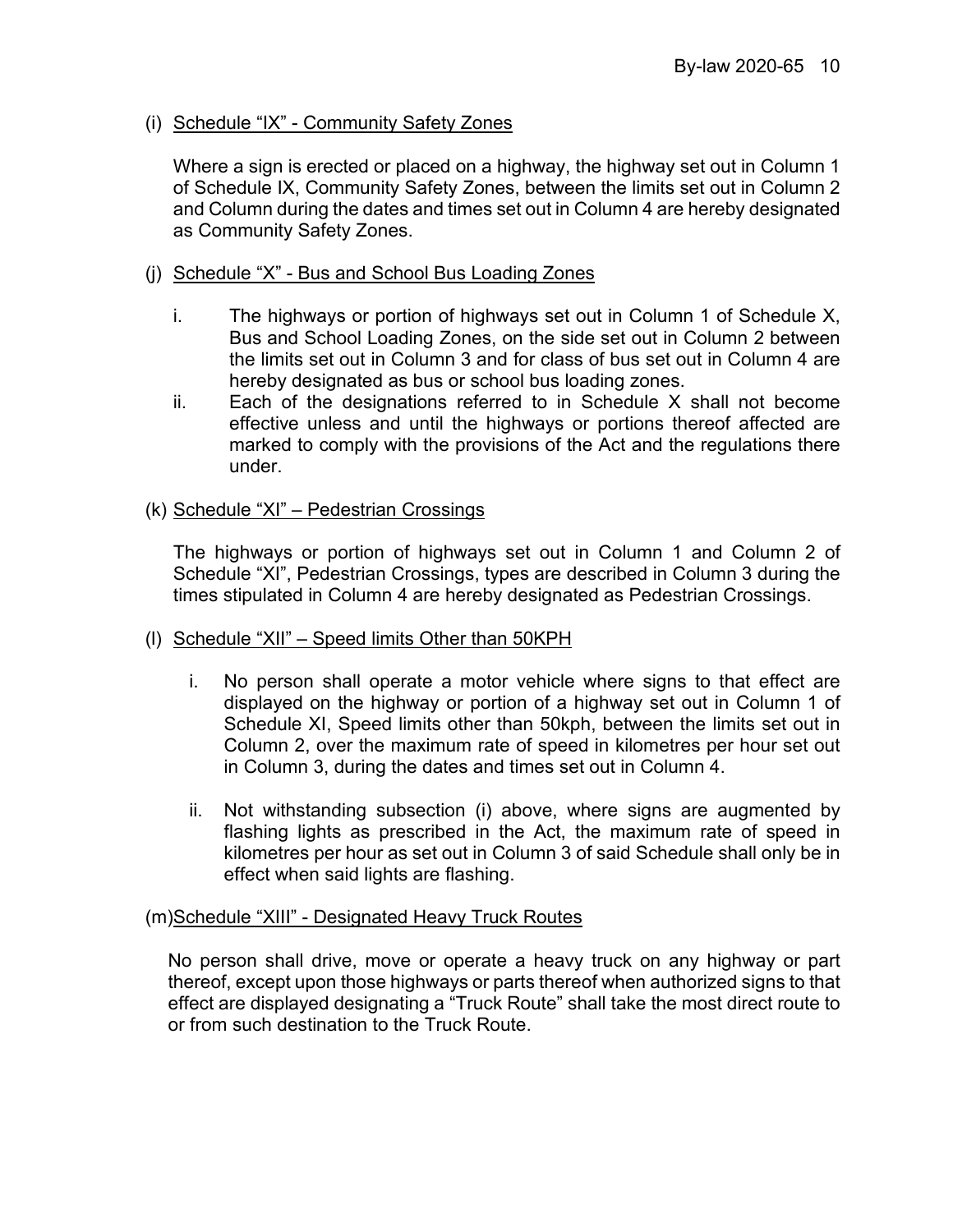## (i) Schedule "IX" - Community Safety Zones

Where a sign is erected or placed on a highway, the highway set out in Column 1 of Schedule IX, Community Safety Zones, between the limits set out in Column 2 and Column during the dates and times set out in Column 4 are hereby designated as Community Safety Zones.

## (j) Schedule "X" - Bus and School Bus Loading Zones

- i. The highways or portion of highways set out in Column 1 of Schedule X, Bus and School Loading Zones, on the side set out in Column 2 between the limits set out in Column 3 and for class of bus set out in Column 4 are hereby designated as bus or school bus loading zones.
- ii. Each of the designations referred to in Schedule X shall not become effective unless and until the highways or portions thereof affected are marked to comply with the provisions of the Act and the regulations there under.

## (k) Schedule "XI" – Pedestrian Crossings

The highways or portion of highways set out in Column 1 and Column 2 of Schedule "XI", Pedestrian Crossings, types are described in Column 3 during the times stipulated in Column 4 are hereby designated as Pedestrian Crossings.

## (l) Schedule "XII" – Speed limits Other than 50KPH

- i. No person shall operate a motor vehicle where signs to that effect are displayed on the highway or portion of a highway set out in Column 1 of Schedule XI, Speed limits other than 50kph, between the limits set out in Column 2, over the maximum rate of speed in kilometres per hour set out in Column 3, during the dates and times set out in Column 4.
- ii. Not withstanding subsection (i) above, where signs are augmented by flashing lights as prescribed in the Act, the maximum rate of speed in kilometres per hour as set out in Column 3 of said Schedule shall only be in effect when said lights are flashing.

## (m)Schedule "XIII" - Designated Heavy Truck Routes

No person shall drive, move or operate a heavy truck on any highway or part thereof, except upon those highways or parts thereof when authorized signs to that effect are displayed designating a "Truck Route" shall take the most direct route to or from such destination to the Truck Route.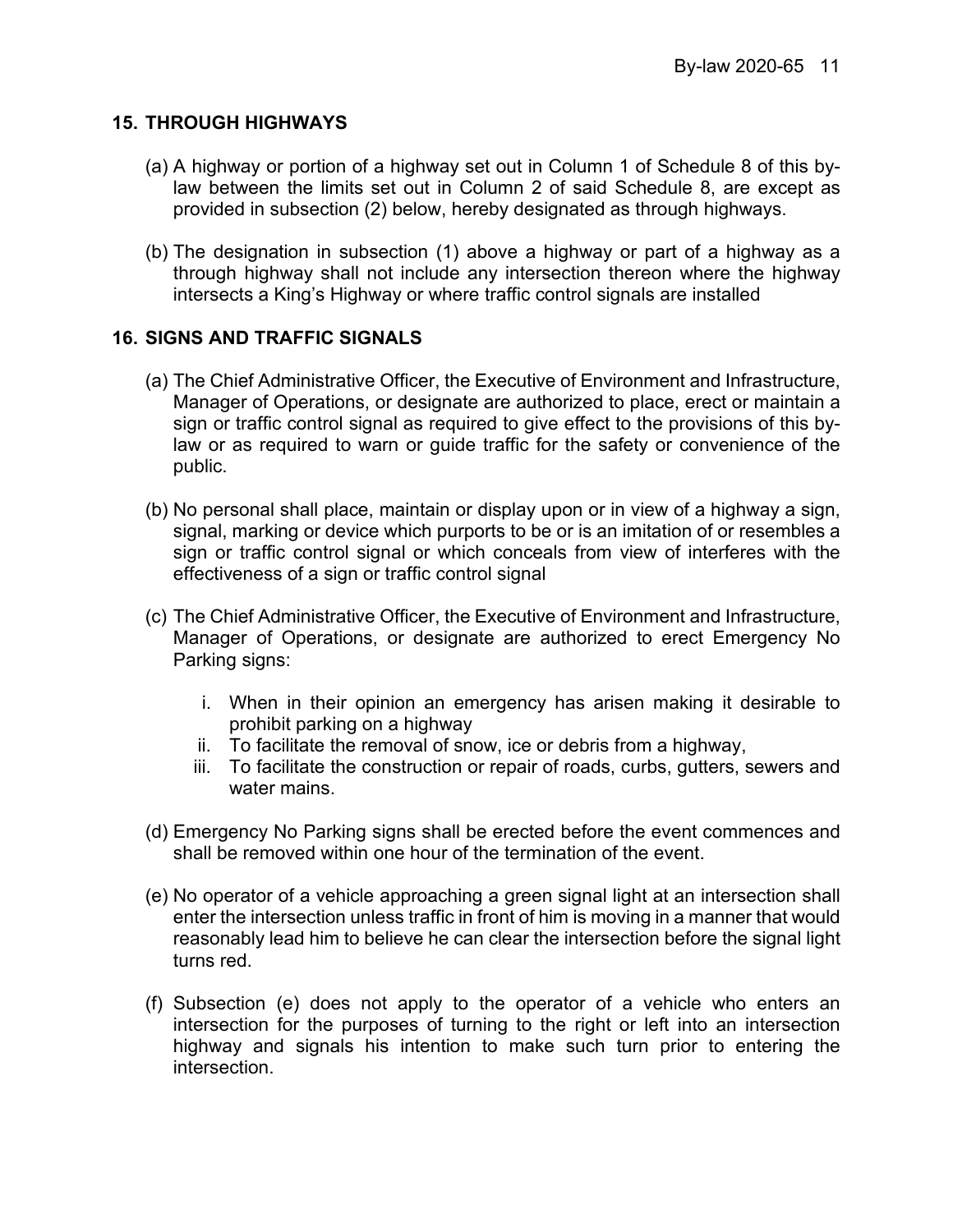## **15. THROUGH HIGHWAYS**

- (a) A highway or portion of a highway set out in Column 1 of Schedule 8 of this bylaw between the limits set out in Column 2 of said Schedule 8, are except as provided in subsection (2) below, hereby designated as through highways.
- (b) The designation in subsection (1) above a highway or part of a highway as a through highway shall not include any intersection thereon where the highway intersects a King's Highway or where traffic control signals are installed

## **16. SIGNS AND TRAFFIC SIGNALS**

- (a) The Chief Administrative Officer, the Executive of Environment and Infrastructure, Manager of Operations, or designate are authorized to place, erect or maintain a sign or traffic control signal as required to give effect to the provisions of this bylaw or as required to warn or guide traffic for the safety or convenience of the public.
- (b) No personal shall place, maintain or display upon or in view of a highway a sign, signal, marking or device which purports to be or is an imitation of or resembles a sign or traffic control signal or which conceals from view of interferes with the effectiveness of a sign or traffic control signal
- (c) The Chief Administrative Officer, the Executive of Environment and Infrastructure, Manager of Operations, or designate are authorized to erect Emergency No Parking signs:
	- i. When in their opinion an emergency has arisen making it desirable to prohibit parking on a highway
	- ii. To facilitate the removal of snow, ice or debris from a highway,
	- iii. To facilitate the construction or repair of roads, curbs, gutters, sewers and water mains.
- (d) Emergency No Parking signs shall be erected before the event commences and shall be removed within one hour of the termination of the event.
- (e) No operator of a vehicle approaching a green signal light at an intersection shall enter the intersection unless traffic in front of him is moving in a manner that would reasonably lead him to believe he can clear the intersection before the signal light turns red.
- (f) Subsection (e) does not apply to the operator of a vehicle who enters an intersection for the purposes of turning to the right or left into an intersection highway and signals his intention to make such turn prior to entering the intersection.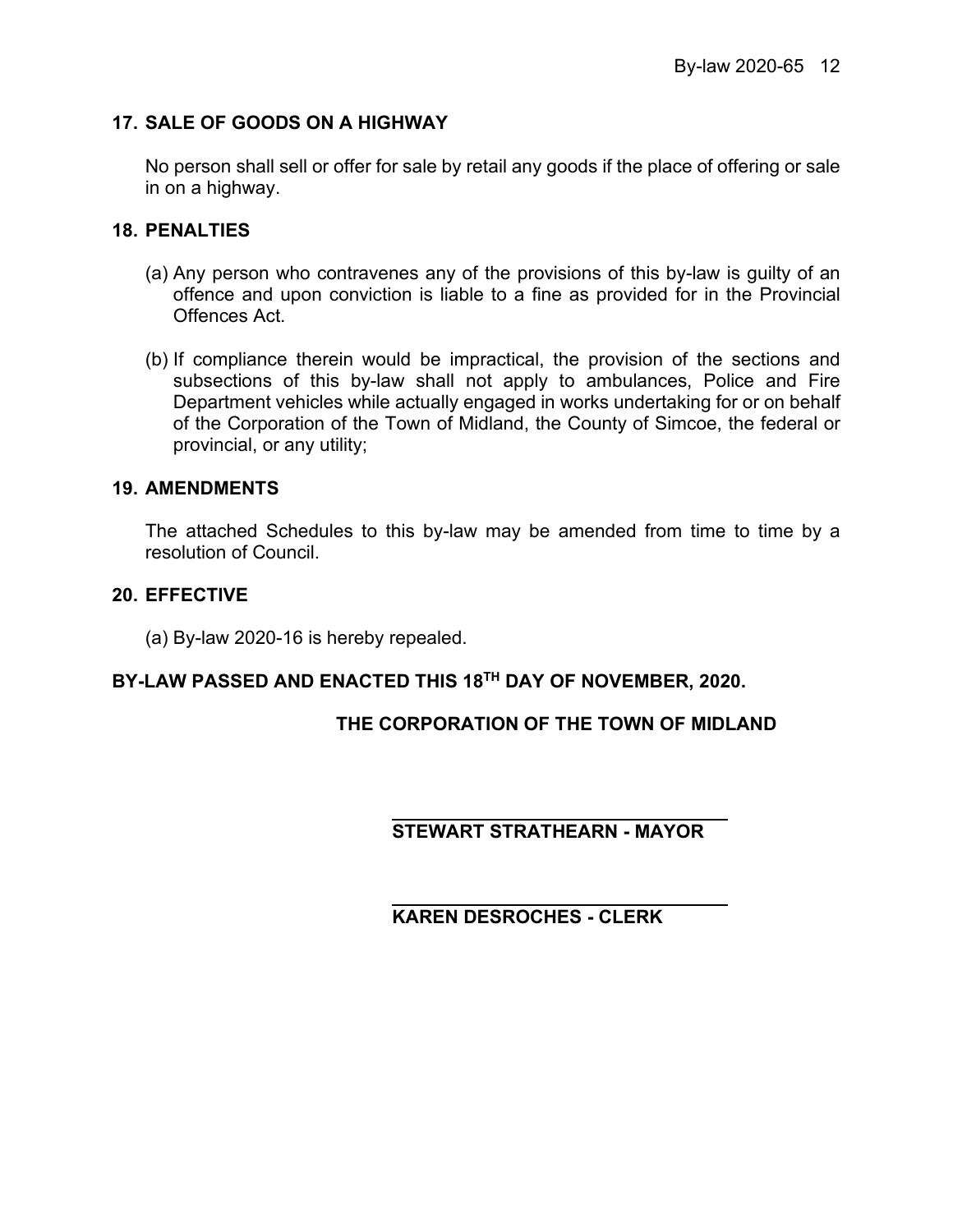## **17. SALE OF GOODS ON A HIGHWAY**

No person shall sell or offer for sale by retail any goods if the place of offering or sale in on a highway.

## **18. PENALTIES**

- (a) Any person who contravenes any of the provisions of this by-law is guilty of an offence and upon conviction is liable to a fine as provided for in the Provincial Offences Act.
- (b) If compliance therein would be impractical, the provision of the sections and subsections of this by-law shall not apply to ambulances, Police and Fire Department vehicles while actually engaged in works undertaking for or on behalf of the Corporation of the Town of Midland, the County of Simcoe, the federal or provincial, or any utility;

## **19. AMENDMENTS**

The attached Schedules to this by-law may be amended from time to time by a resolution of Council.

## **20. EFFECTIVE**

(a) By-law 2020-16 is hereby repealed.

## **BY-LAW PASSED AND ENACTED THIS 18TH DAY OF NOVEMBER, 2020.**

## **THE CORPORATION OF THE TOWN OF MIDLAND**

## **STEWART STRATHEARN - MAYOR**

## **KAREN DESROCHES - CLERK**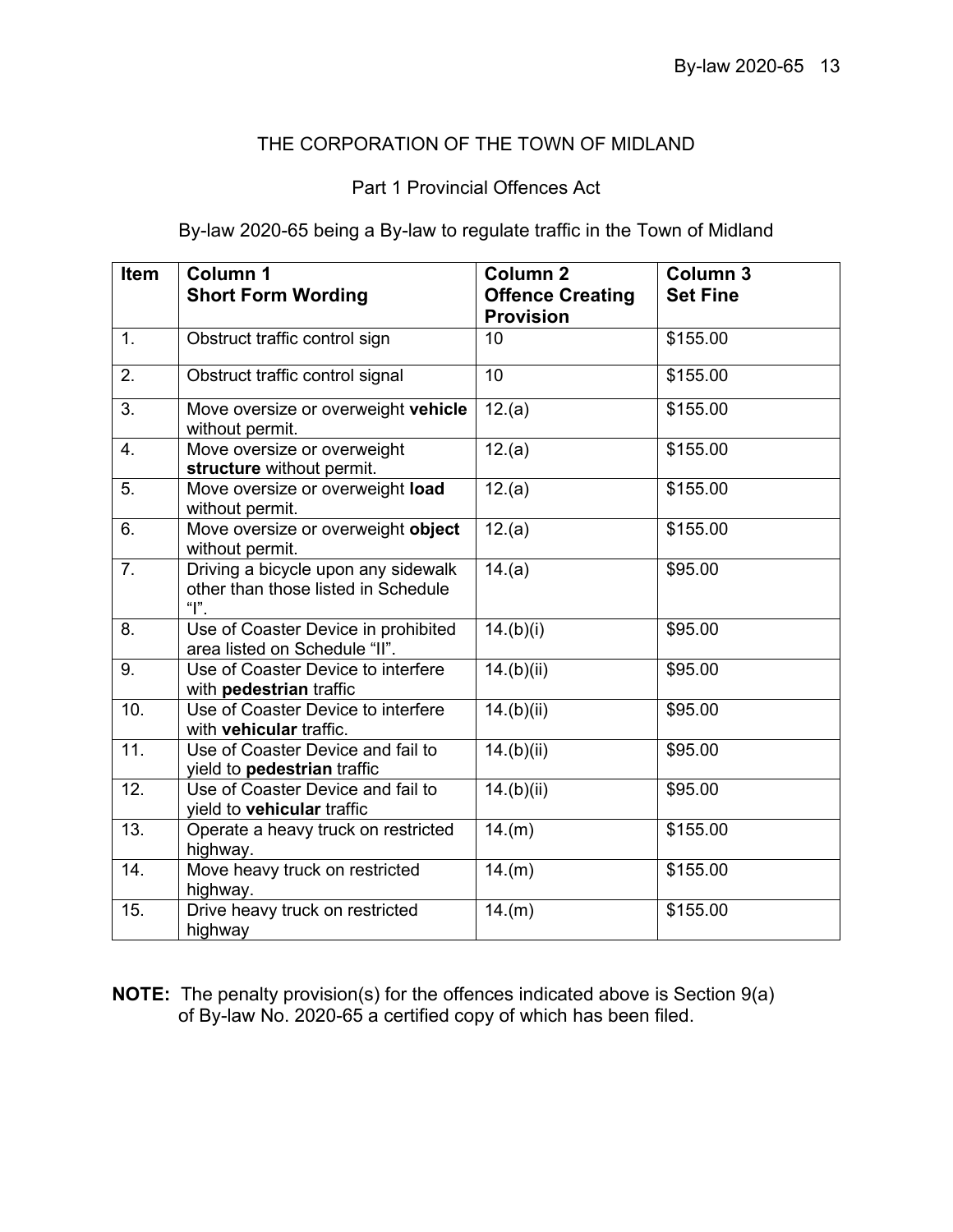## THE CORPORATION OF THE TOWN OF MIDLAND

## Part 1 Provincial Offences Act

By-law 2020-65 being a By-law to regulate traffic in the Town of Midland

| <b>Item</b>       | Column 1<br><b>Short Form Wording</b>                                              | Column <sub>2</sub><br><b>Offence Creating</b><br><b>Provision</b> | Column <sub>3</sub><br><b>Set Fine</b> |
|-------------------|------------------------------------------------------------------------------------|--------------------------------------------------------------------|----------------------------------------|
| 1 <sub>1</sub>    | Obstruct traffic control sign                                                      | 10                                                                 | \$155.00                               |
| 2.                | Obstruct traffic control signal                                                    | 10                                                                 | \$155.00                               |
| 3.                | Move oversize or overweight vehicle<br>without permit.                             | 12.(a)                                                             | \$155.00                               |
| 4.                | Move oversize or overweight<br>structure without permit.                           | 12.(a)                                                             | \$155.00                               |
| 5.                | Move oversize or overweight load<br>without permit.                                | 12.(a)                                                             | \$155.00                               |
| 6.                | Move oversize or overweight object<br>without permit.                              | 12.(a)                                                             | \$155.00                               |
| 7 <sub>1</sub>    | Driving a bicycle upon any sidewalk<br>other than those listed in Schedule<br>" ". | 14.(a)                                                             | \$95.00                                |
| 8.                | Use of Coaster Device in prohibited<br>area listed on Schedule "II".               | 14.(b)(i)                                                          | \$95.00                                |
| 9.                | Use of Coaster Device to interfere<br>with pedestrian traffic                      | 14.(b)(ii)                                                         | \$95.00                                |
| 10.               | Use of Coaster Device to interfere<br>with vehicular traffic.                      | 14.(b)(ii)                                                         | \$95.00                                |
| $\overline{11}$ . | Use of Coaster Device and fail to<br>yield to pedestrian traffic                   | 14.(b)(ii)                                                         | \$95.00                                |
| 12.               | Use of Coaster Device and fail to<br>yield to vehicular traffic                    | 14.(b)(ii)                                                         | \$95.00                                |
| 13.               | Operate a heavy truck on restricted<br>highway.                                    | 14.(m)                                                             | \$155.00                               |
| 14.               | Move heavy truck on restricted<br>highway.                                         | 14.(m)                                                             | \$155.00                               |
| 15.               | Drive heavy truck on restricted<br>highway                                         | 14.(m)                                                             | \$155.00                               |

**NOTE:** The penalty provision(s) for the offences indicated above is Section 9(a) of By-law No. 2020-65 a certified copy of which has been filed.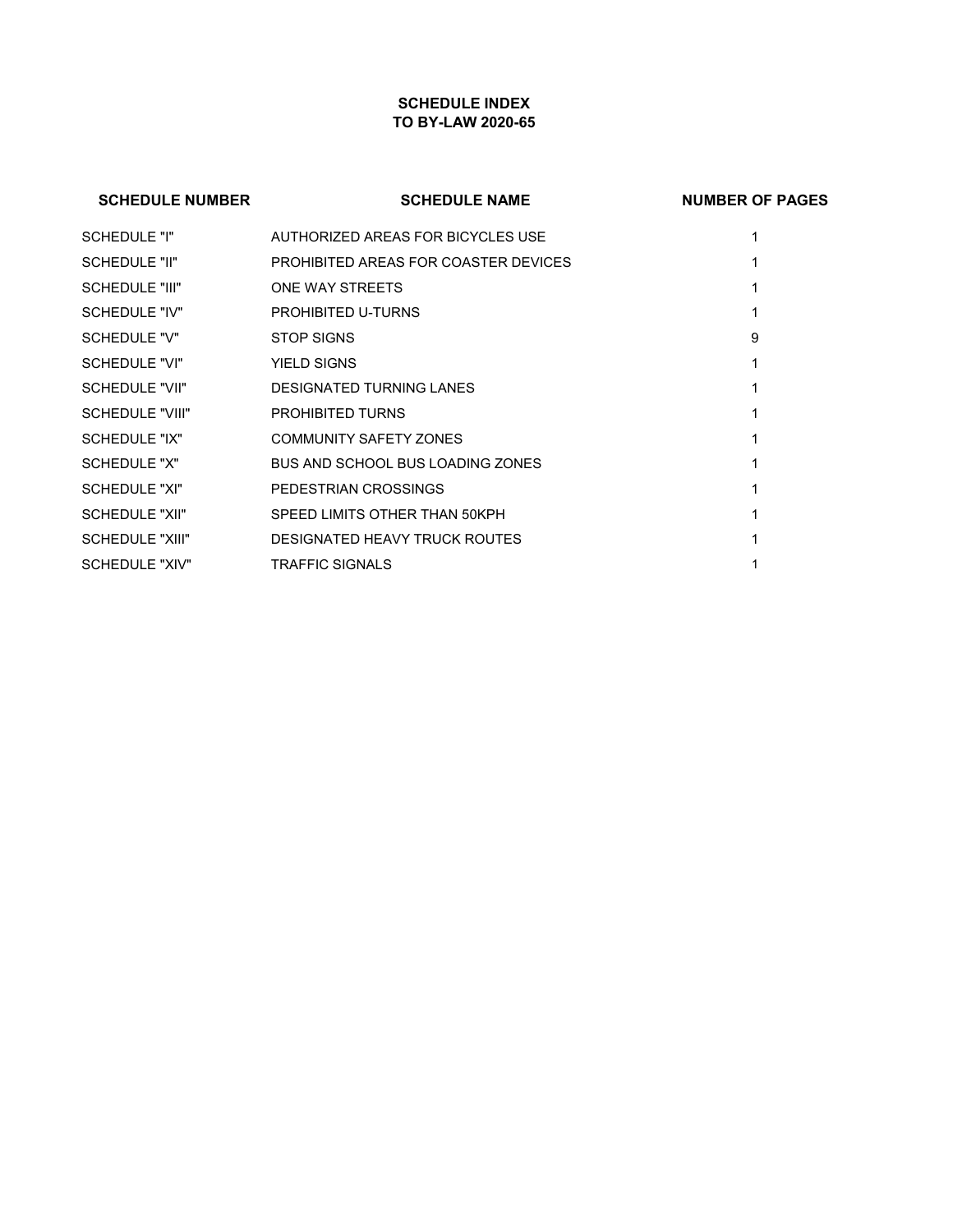## **SCHEDULE INDEX TO BY-LAW 2020-65**

# **SCHEDULE NUMBER SCHEDULE NAME NUMBER OF PAGES** SCHEDULE "I" AUTHORIZED AREAS FOR BICYCLES USE 1 SCHEDULE "II" PROHIBITED AREAS FOR COASTER DEVICES 1 SCHEDULE "III" ONE WAY STREETS 1 SCHEDULE "IV" PROHIBITED U-TURNS 1 SCHEDULE "V" STOP SIGNS 9 SCHEDULE "VI" YIELD SIGNS 1 SCHEDULE "VII" DESIGNATED TURNING LANES 1 SCHEDULE "VIII" PROHIBITED TURNS 1 SCHEDULE "IX" COMMUNITY SAFETY ZONES 1 SCHEDULE "X" BUS AND SCHOOL BUS LOADING ZONES 1 SCHEDULE "XI" PEDESTRIAN CROSSINGS 1 SCHEDULE "XII" SPEED LIMITS OTHER THAN 50KPH 1 1 SCHEDULE "XIII" DESIGNATED HEAVY TRUCK ROUTES 1 SCHEDULE "XIV" TRAFFIC SIGNALS 1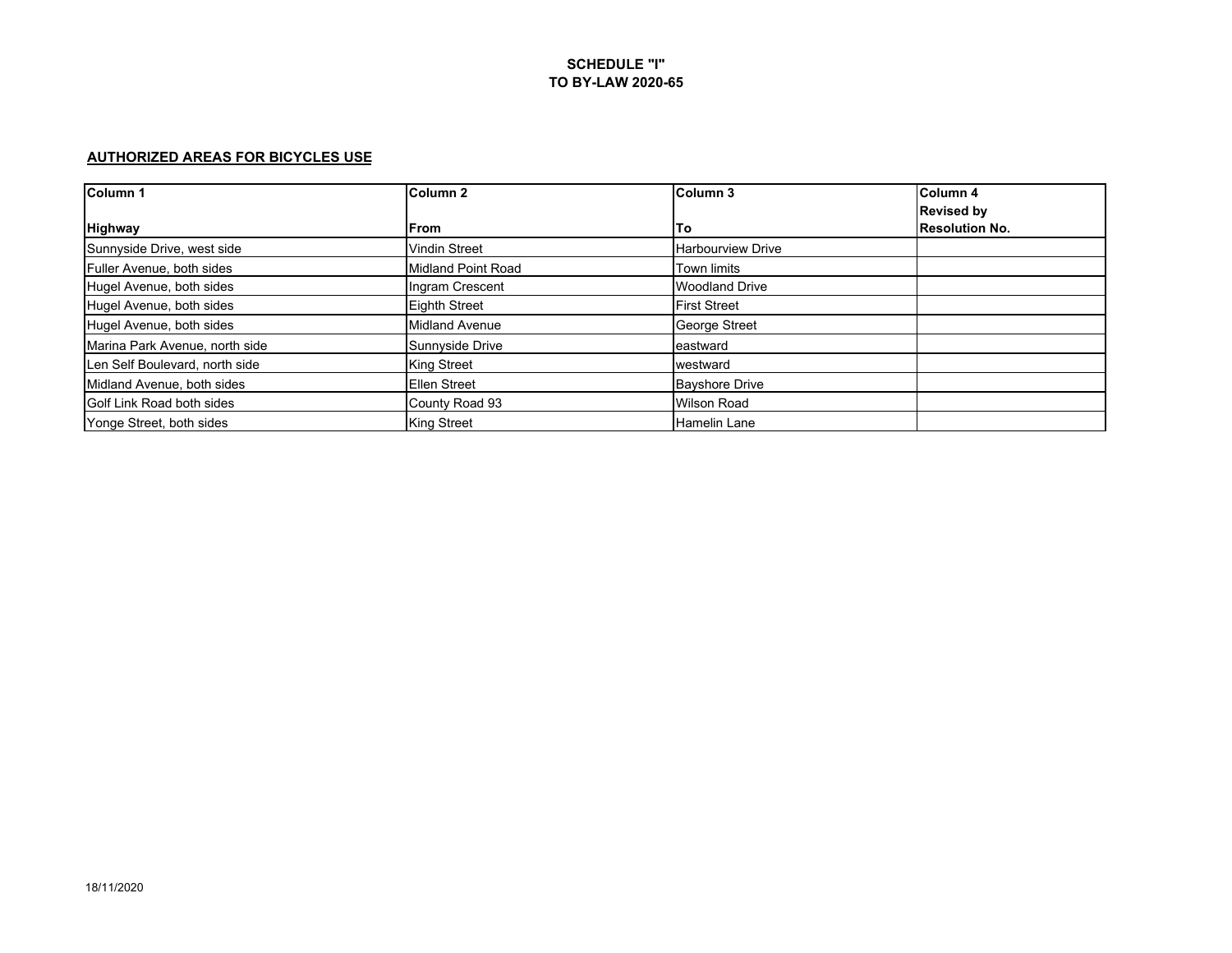#### **AUTHORIZED AREAS FOR BICYCLES USE**

| Column <sub>1</sub>            | Column <sub>2</sub>   | Column <sub>3</sub>      | Column 4              |
|--------------------------------|-----------------------|--------------------------|-----------------------|
|                                |                       |                          | <b>Revised by</b>     |
| <b>Highway</b>                 | From                  | <b>To</b>                | <b>Resolution No.</b> |
| Sunnyside Drive, west side     | <b>Vindin Street</b>  | <b>Harbourview Drive</b> |                       |
| Fuller Avenue, both sides      | Midland Point Road    | <b>Town limits</b>       |                       |
| Hugel Avenue, both sides       | Ingram Crescent       | <b>Woodland Drive</b>    |                       |
| Hugel Avenue, both sides       | <b>Eighth Street</b>  | <b>First Street</b>      |                       |
| Hugel Avenue, both sides       | <b>Midland Avenue</b> | George Street            |                       |
| Marina Park Avenue, north side | Sunnyside Drive       | eastward                 |                       |
| Len Self Boulevard, north side | <b>King Street</b>    | westward                 |                       |
| Midland Avenue, both sides     | <b>Ellen Street</b>   | <b>Bayshore Drive</b>    |                       |
| Golf Link Road both sides      | County Road 93        | <b>Wilson Road</b>       |                       |
| Yonge Street, both sides       | <b>King Street</b>    | <b>Hamelin Lane</b>      |                       |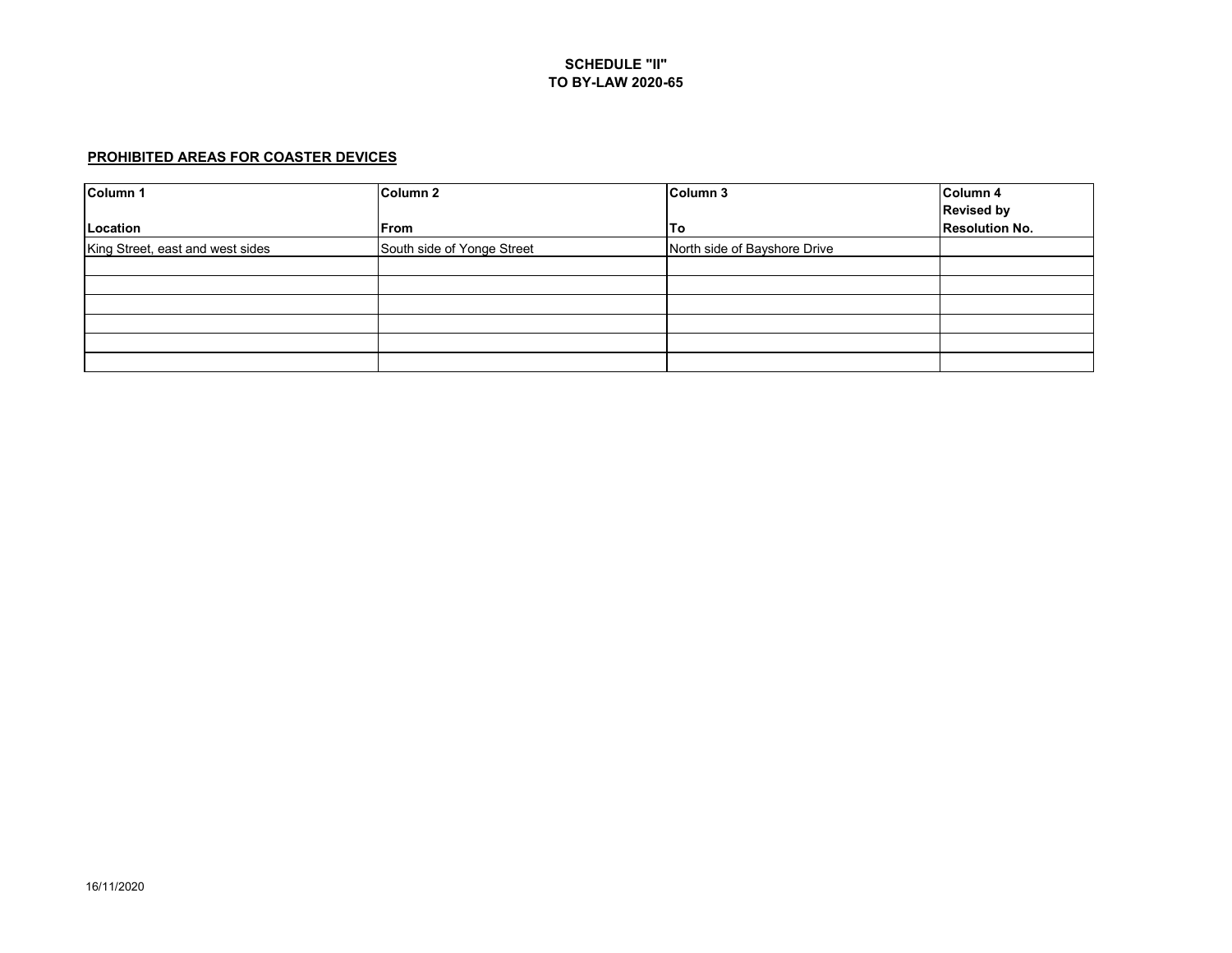### **PROHIBITED AREAS FOR COASTER DEVICES**

| Column 1                         | Column <sub>2</sub>        | Column 3                     | Column 4              |
|----------------------------------|----------------------------|------------------------------|-----------------------|
|                                  |                            |                              | <b>Revised by</b>     |
| Location                         | From                       | To                           | <b>Resolution No.</b> |
| King Street, east and west sides | South side of Yonge Street | North side of Bayshore Drive |                       |
|                                  |                            |                              |                       |
|                                  |                            |                              |                       |
|                                  |                            |                              |                       |
|                                  |                            |                              |                       |
|                                  |                            |                              |                       |
|                                  |                            |                              |                       |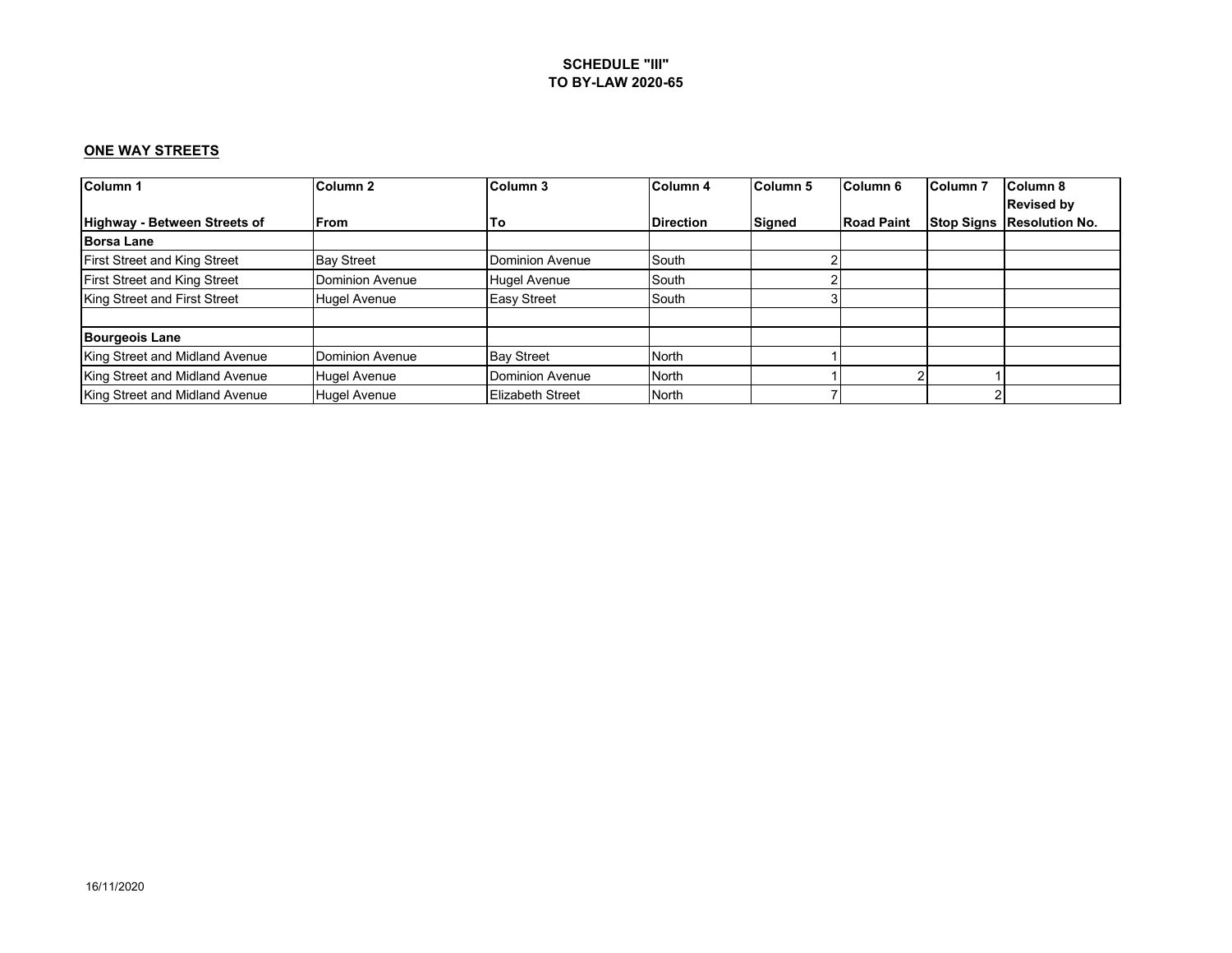### **ONE WAY STREETS**

| Column <sub>1</sub>                 | Column <sub>2</sub> | <b>Column 3</b>     | Column 4         | Column <sub>5</sub> | Column <sub>6</sub> | Column 7          | Column 8              |
|-------------------------------------|---------------------|---------------------|------------------|---------------------|---------------------|-------------------|-----------------------|
|                                     |                     |                     |                  |                     |                     |                   | <b>Revised by</b>     |
| Highway - Between Streets of        | <b>IFrom</b>        | To                  | <b>Direction</b> | Signed              | <b>Road Paint</b>   | <b>Stop Signs</b> | <b>Resolution No.</b> |
| <b>Borsa Lane</b>                   |                     |                     |                  |                     |                     |                   |                       |
| <b>First Street and King Street</b> | <b>Bay Street</b>   | Dominion Avenue     | South            |                     |                     |                   |                       |
| <b>First Street and King Street</b> | Dominion Avenue     | <b>Hugel Avenue</b> | South            |                     |                     |                   |                       |
| King Street and First Street        | <b>Hugel Avenue</b> | <b>Easy Street</b>  | South            |                     |                     |                   |                       |
| <b>Bourgeois Lane</b>               |                     |                     |                  |                     |                     |                   |                       |
| King Street and Midland Avenue      | Dominion Avenue     | <b>Bay Street</b>   | North            |                     |                     |                   |                       |
| King Street and Midland Avenue      | <b>Hugel Avenue</b> | Dominion Avenue     | North            |                     |                     |                   |                       |
| King Street and Midland Avenue      | <b>Hugel Avenue</b> | Elizabeth Street    | North            |                     |                     | ◠                 |                       |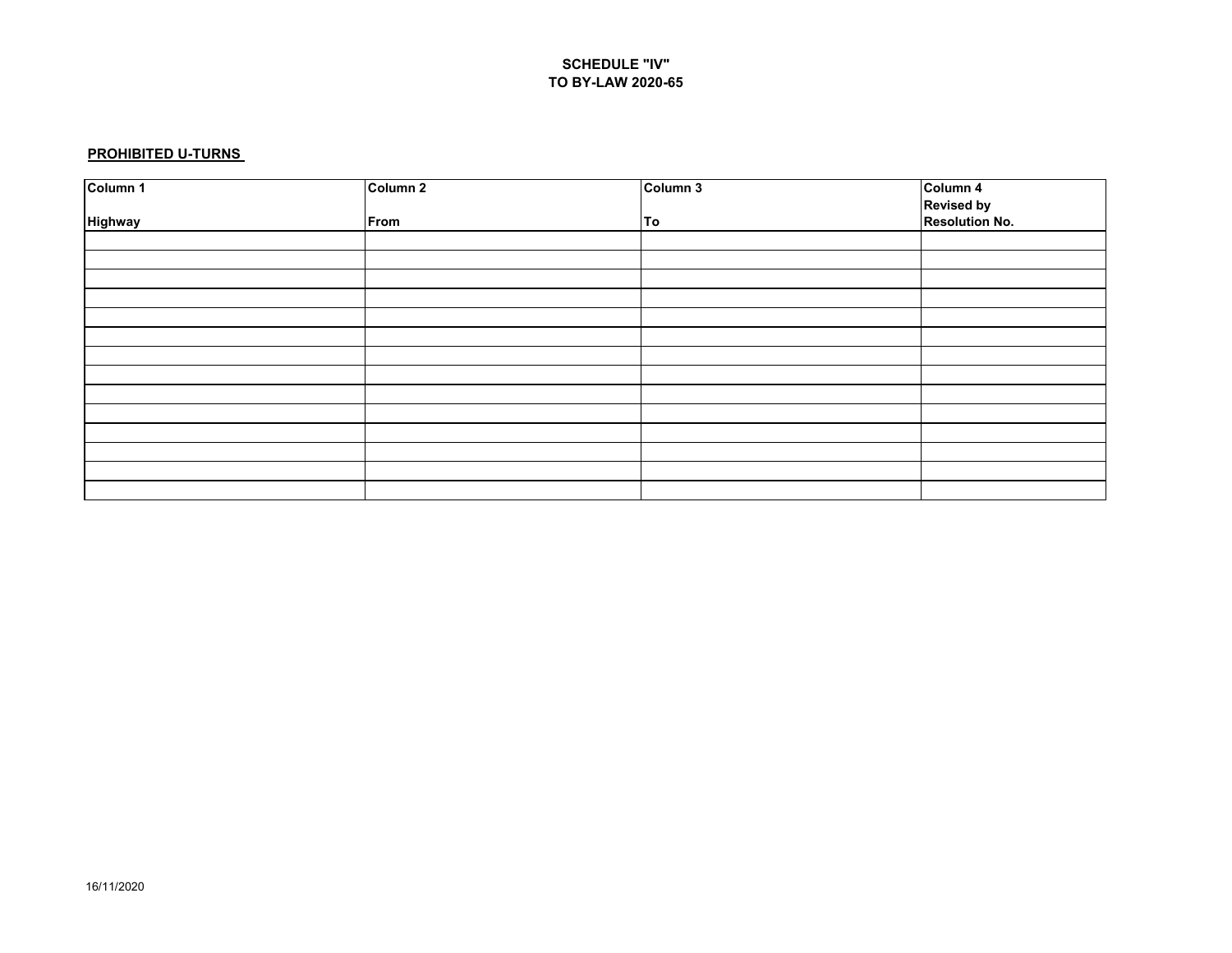#### **PROHIBITED U-TURNS**

| Column 1 | Column <sub>2</sub> | Column 3 | Column 4                     |
|----------|---------------------|----------|------------------------------|
|          |                     |          | Revised by<br>Resolution No. |
| Highway  | From                | To       |                              |
|          |                     |          |                              |
|          |                     |          |                              |
|          |                     |          |                              |
|          |                     |          |                              |
|          |                     |          |                              |
|          |                     |          |                              |
|          |                     |          |                              |
|          |                     |          |                              |
|          |                     |          |                              |
|          |                     |          |                              |
|          |                     |          |                              |
|          |                     |          |                              |
|          |                     |          |                              |
|          |                     |          |                              |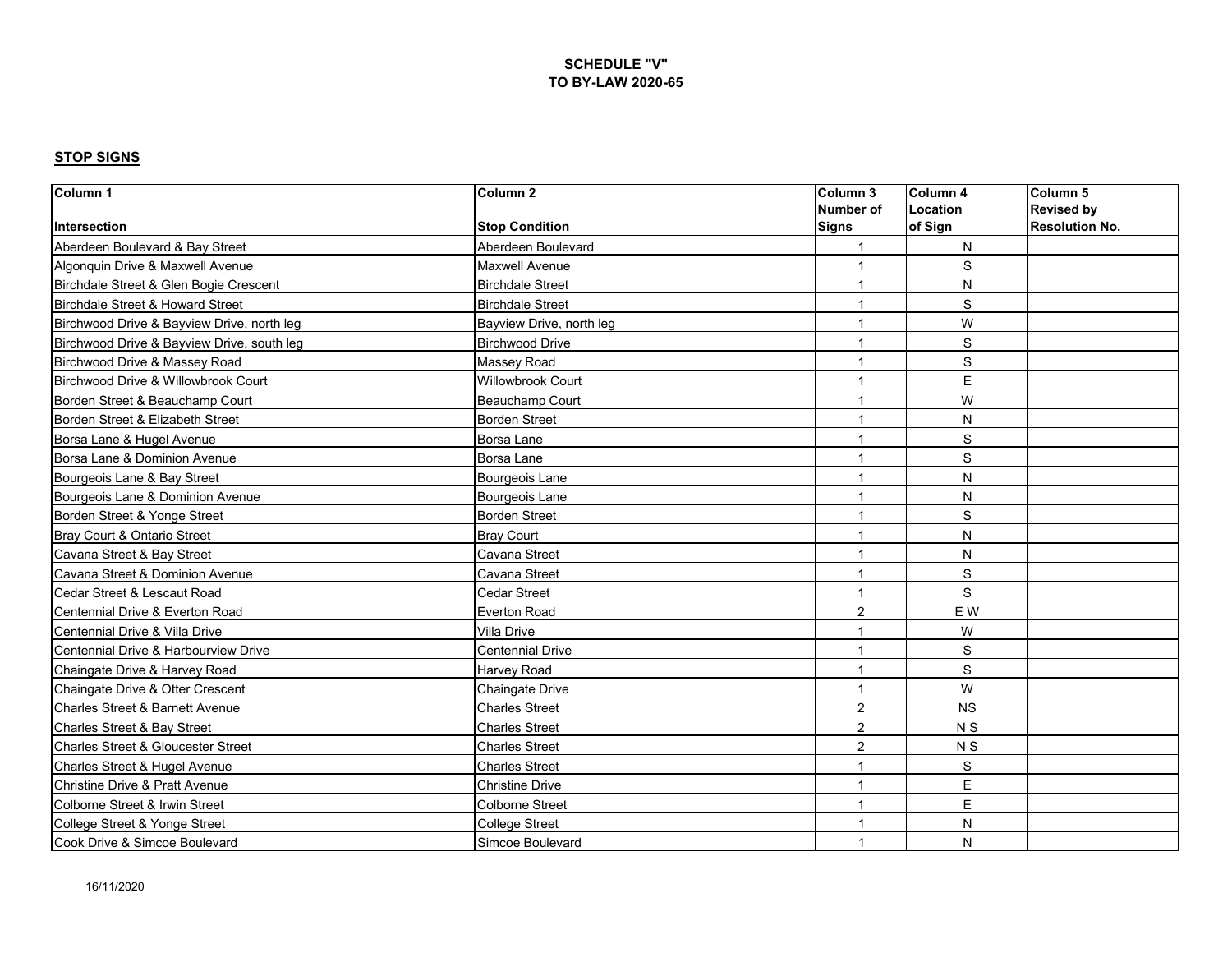| Column 1                                      | Column <sub>2</sub>      | Column 3                | Column <sub>4</sub> | Column 5              |
|-----------------------------------------------|--------------------------|-------------------------|---------------------|-----------------------|
|                                               |                          | Number of               | Location            | <b>Revised by</b>     |
| Intersection                                  | <b>Stop Condition</b>    | <b>Signs</b>            | of Sign             | <b>Resolution No.</b> |
| Aberdeen Boulevard & Bay Street               | Aberdeen Boulevard       |                         | N                   |                       |
| Algonquin Drive & Maxwell Avenue              | <b>Maxwell Avenue</b>    | $\overline{1}$          | $\mathbf S$         |                       |
| Birchdale Street & Glen Bogie Crescent        | <b>Birchdale Street</b>  |                         | N                   |                       |
| Birchdale Street & Howard Street              | <b>Birchdale Street</b>  | $\overline{1}$          | S                   |                       |
| Birchwood Drive & Bayview Drive, north leg    | Bayview Drive, north leg | $\overline{1}$          | W                   |                       |
| Birchwood Drive & Bayview Drive, south leg    | <b>Birchwood Drive</b>   | 1                       | S                   |                       |
| Birchwood Drive & Massey Road                 | Massey Road              |                         | S                   |                       |
| Birchwood Drive & Willowbrook Court           | Willowbrook Court        | 1                       | E                   |                       |
| Borden Street & Beauchamp Court               | Beauchamp Court          | $\overline{\mathbf{1}}$ | W                   |                       |
| Borden Street & Elizabeth Street              | <b>Borden Street</b>     | 1                       | N                   |                       |
| Borsa Lane & Hugel Avenue                     | Borsa Lane               | 1                       | S                   |                       |
| Borsa Lane & Dominion Avenue                  | Borsa Lane               | 1                       | S                   |                       |
| Bourgeois Lane & Bay Street                   | <b>Bourgeois Lane</b>    | 1                       | N                   |                       |
| Bourgeois Lane & Dominion Avenue              | Bourgeois Lane           | 1                       | N                   |                       |
| Borden Street & Yonge Street                  | <b>Borden Street</b>     | $\overline{1}$          | $\mathbb S$         |                       |
| Bray Court & Ontario Street                   | <b>Bray Court</b>        | -1                      | N                   |                       |
| Cavana Street & Bay Street                    | Cavana Street            | $\overline{1}$          | N                   |                       |
| Cavana Street & Dominion Avenue               | Cavana Street            | $\overline{1}$          | S                   |                       |
| Cedar Street & Lescaut Road                   | <b>Cedar Street</b>      |                         | S                   |                       |
| Centennial Drive & Everton Road               | <b>Everton Road</b>      | 2                       | E W                 |                       |
| Centennial Drive & Villa Drive                | Villa Drive              |                         | W                   |                       |
| Centennial Drive & Harbourview Drive          | <b>Centennial Drive</b>  |                         | S                   |                       |
| Chaingate Drive & Harvey Road                 | Harvey Road              | $\overline{1}$          | $\mathbb S$         |                       |
| Chaingate Drive & Otter Crescent              | Chaingate Drive          | $\overline{1}$          | W                   |                       |
| Charles Street & Barnett Avenue               | Charles Street           | $\overline{2}$          | <b>NS</b>           |                       |
| Charles Street & Bay Street                   | <b>Charles Street</b>    | $\overline{2}$          | N <sub>S</sub>      |                       |
| <b>Charles Street &amp; Gloucester Street</b> | <b>Charles Street</b>    | $\overline{2}$          | N <sub>S</sub>      |                       |
| Charles Street & Hugel Avenue                 | <b>Charles Street</b>    |                         | S                   |                       |
| Christine Drive & Pratt Avenue                | <b>Christine Drive</b>   |                         | E                   |                       |
| Colborne Street & Irwin Street                | Colborne Street          | $\mathbf 1$             | E                   |                       |
| College Street & Yonge Street                 | <b>College Street</b>    | 1                       | N                   |                       |
| Cook Drive & Simcoe Boulevard                 | Simcoe Boulevard         | 1                       | N                   |                       |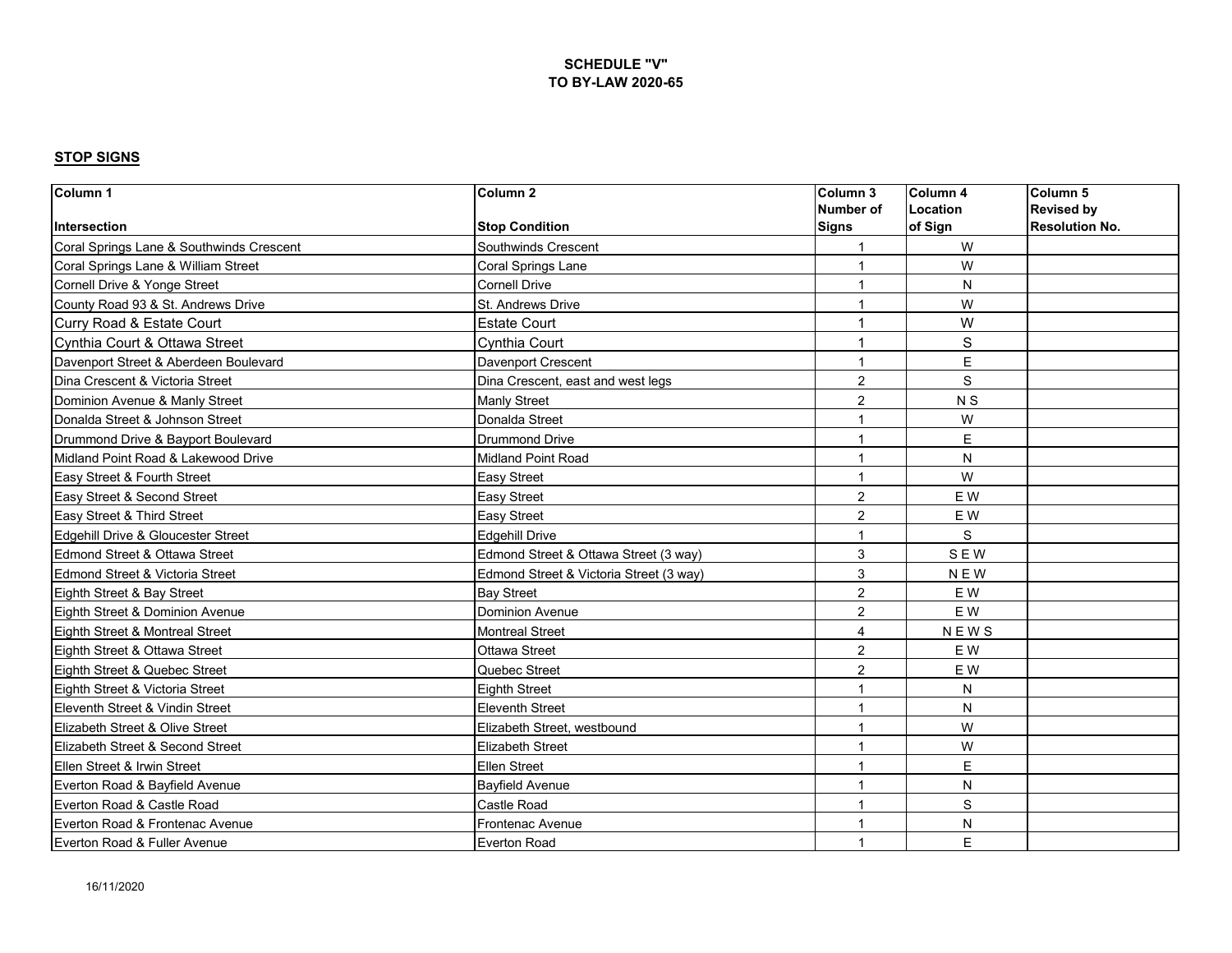| Column 1                                 | Column <sub>2</sub>                     | Column 3       | Column <sub>4</sub> | Column <sub>5</sub>   |
|------------------------------------------|-----------------------------------------|----------------|---------------------|-----------------------|
|                                          |                                         | Number of      | Location            | <b>Revised by</b>     |
| Intersection                             | <b>Stop Condition</b>                   | Signs          | of Sign             | <b>Resolution No.</b> |
| Coral Springs Lane & Southwinds Crescent | Southwinds Crescent                     |                | W                   |                       |
| Coral Springs Lane & William Street      | Coral Springs Lane                      | 1              | W                   |                       |
| Cornell Drive & Yonge Street             | <b>Cornell Drive</b>                    | 1              | N                   |                       |
| County Road 93 & St. Andrews Drive       | St. Andrews Drive                       | 1              | W                   |                       |
| Curry Road & Estate Court                | <b>Estate Court</b>                     | $\overline{1}$ | W                   |                       |
| Cynthia Court & Ottawa Street            | Cynthia Court                           | $\overline{1}$ | $\mathbf S$         |                       |
| Davenport Street & Aberdeen Boulevard    | Davenport Crescent                      | 1              | E                   |                       |
| Dina Crescent & Victoria Street          | Dina Crescent, east and west legs       | $\overline{2}$ | S                   |                       |
| Dominion Avenue & Manly Street           | <b>Manly Street</b>                     | $\overline{2}$ | N <sub>S</sub>      |                       |
| Donalda Street & Johnson Street          | Donalda Street                          | 1              | W                   |                       |
| Drummond Drive & Bayport Boulevard       | <b>Drummond Drive</b>                   | $\overline{1}$ | E                   |                       |
| Midland Point Road & Lakewood Drive      | Midland Point Road                      | $\overline{1}$ | N                   |                       |
| Easy Street & Fourth Street              | Easy Street                             | 1              | W                   |                       |
| Easy Street & Second Street              | Easy Street                             | 2              | E W                 |                       |
| Easy Street & Third Street               | Easy Street                             | $\overline{2}$ | E W                 |                       |
| Edgehill Drive & Gloucester Street       | <b>Edgehill Drive</b>                   | $\overline{1}$ | S                   |                       |
| Edmond Street & Ottawa Street            | Edmond Street & Ottawa Street (3 way)   | 3              | <b>SEW</b>          |                       |
| Edmond Street & Victoria Street          | Edmond Street & Victoria Street (3 way) | 3              | <b>NEW</b>          |                       |
| Eighth Street & Bay Street               | <b>Bay Street</b>                       | $\overline{2}$ | E W                 |                       |
| Eighth Street & Dominion Avenue          | <b>Dominion Avenue</b>                  | $\overline{2}$ | E W                 |                       |
| Eighth Street & Montreal Street          | <b>Montreal Street</b>                  | $\overline{4}$ | <b>NEWS</b>         |                       |
| Eighth Street & Ottawa Street            | <b>Ottawa Street</b>                    | $\overline{2}$ | E W                 |                       |
| Eighth Street & Quebec Street            | Quebec Street                           | $\overline{c}$ | E W                 |                       |
| Eighth Street & Victoria Street          | <b>Eighth Street</b>                    | 1              | N                   |                       |
| Eleventh Street & Vindin Street          | <b>Eleventh Street</b>                  | $\overline{1}$ | ${\sf N}$           |                       |
| Elizabeth Street & Olive Street          | Elizabeth Street, westbound             | 1              | W                   |                       |
| Elizabeth Street & Second Street         | <b>Elizabeth Street</b>                 | 1              | W                   |                       |
| Ellen Street & Irwin Street              | <b>Ellen Street</b>                     | $\overline{1}$ | E                   |                       |
| Everton Road & Bayfield Avenue           | <b>Bavfield Avenue</b>                  | $\overline{1}$ | N                   |                       |
| Everton Road & Castle Road               | <b>Castle Road</b>                      | 1              | S                   |                       |
| Everton Road & Frontenac Avenue          | Frontenac Avenue                        | 1              | N                   |                       |
| Everton Road & Fuller Avenue             | <b>Everton Road</b>                     | 1              | E                   |                       |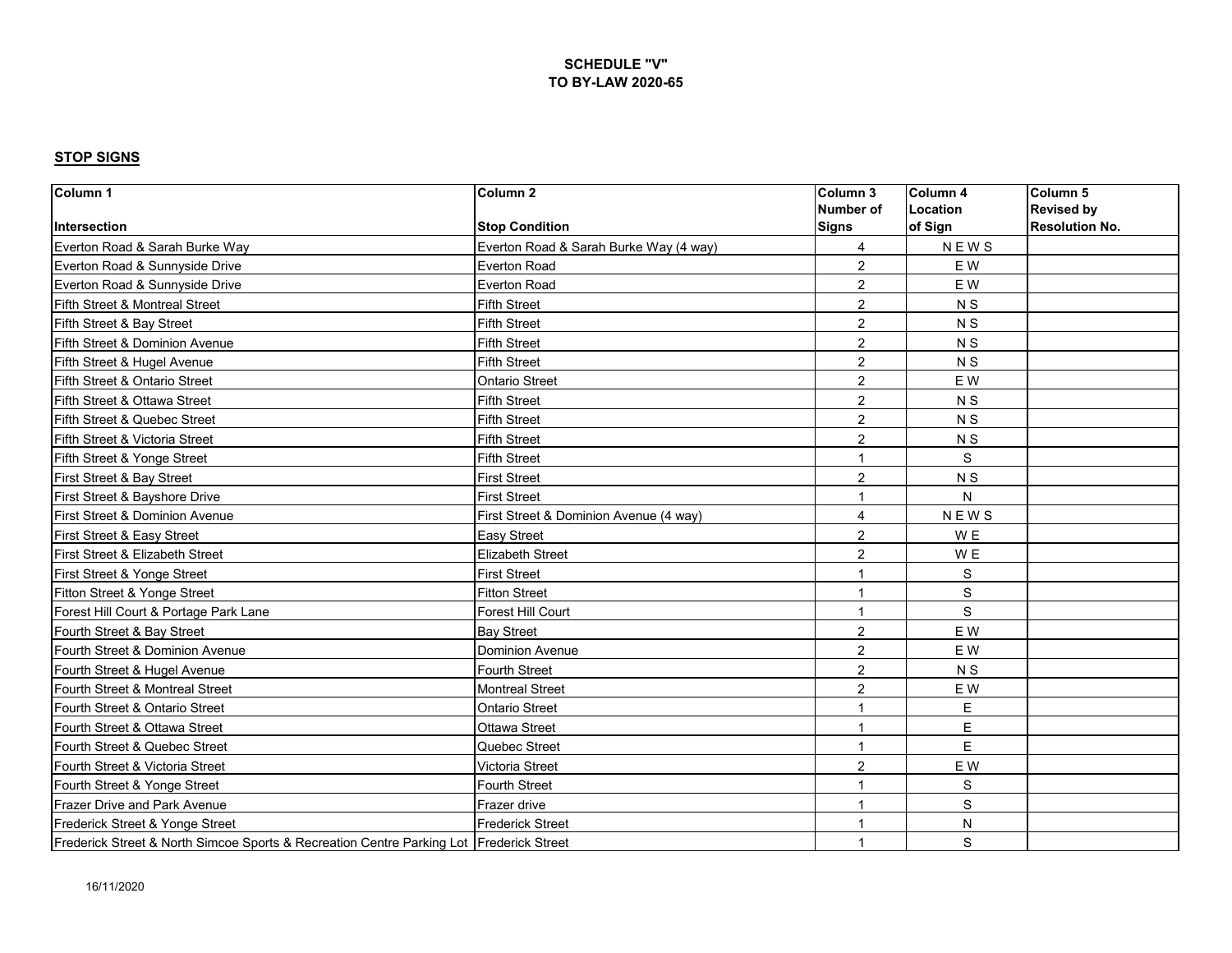| Column 1                                                                                | Column <sub>2</sub>                    | Column 3                 | Column 4       | Column 5              |
|-----------------------------------------------------------------------------------------|----------------------------------------|--------------------------|----------------|-----------------------|
|                                                                                         |                                        | <b>Number of</b>         | Location       | <b>Revised by</b>     |
| Intersection                                                                            | <b>Stop Condition</b>                  | <b>Signs</b>             | of Sign        | <b>Resolution No.</b> |
| Everton Road & Sarah Burke Way                                                          | Everton Road & Sarah Burke Way (4 way) | 4                        | <b>NEWS</b>    |                       |
| Everton Road & Sunnyside Drive                                                          | <b>Everton Road</b>                    | $\overline{2}$           | E W            |                       |
| Everton Road & Sunnyside Drive                                                          | <b>Everton Road</b>                    | $\overline{2}$           | E W            |                       |
| Fifth Street & Montreal Street                                                          | <b>Fifth Street</b>                    | $\overline{2}$           | <b>NS</b>      |                       |
| Fifth Street & Bay Street                                                               | <b>Fifth Street</b>                    | $\overline{2}$           | N <sub>S</sub> |                       |
| Fifth Street & Dominion Avenue                                                          | <b>Fifth Street</b>                    | $\overline{2}$           | N S            |                       |
| Fifth Street & Hugel Avenue                                                             | <b>Fifth Street</b>                    | $\overline{2}$           | N <sub>S</sub> |                       |
| Fifth Street & Ontario Street                                                           | <b>Ontario Street</b>                  | $\overline{2}$           | E W            |                       |
| Fifth Street & Ottawa Street                                                            | <b>Fifth Street</b>                    | $\overline{2}$           | N S            |                       |
| Fifth Street & Quebec Street                                                            | <b>Fifth Street</b>                    | $\overline{2}$           | N <sub>S</sub> |                       |
| Fifth Street & Victoria Street                                                          | <b>Fifth Street</b>                    | $\overline{2}$           | N <sub>S</sub> |                       |
| Fifth Street & Yonge Street                                                             | <b>Fifth Street</b>                    | 1                        | S              |                       |
| First Street & Bay Street                                                               | <b>First Street</b>                    | $\overline{2}$           | N <sub>S</sub> |                       |
| First Street & Bayshore Drive                                                           | <b>First Street</b>                    | $\overline{1}$           | N              |                       |
| First Street & Dominion Avenue                                                          | First Street & Dominion Avenue (4 way) | 4                        | <b>NEWS</b>    |                       |
| First Street & Easy Street                                                              | <b>Easy Street</b>                     | $\overline{2}$           | W E            |                       |
| First Street & Elizabeth Street                                                         | <b>Elizabeth Street</b>                | $\overline{2}$           | W <sub>E</sub> |                       |
| First Street & Yonge Street                                                             | <b>First Street</b>                    | 1                        | $\mathbf S$    |                       |
| Fitton Street & Yonge Street                                                            | <b>Fitton Street</b>                   | 1                        | S              |                       |
| Forest Hill Court & Portage Park Lane                                                   | Forest Hill Court                      | $\overline{\mathbf{1}}$  | $\mathbf S$    |                       |
| Fourth Street & Bay Street                                                              | <b>Bay Street</b>                      | 2                        | E W            |                       |
| Fourth Street & Dominion Avenue                                                         | <b>Dominion Avenue</b>                 | $\overline{2}$           | E W            |                       |
| Fourth Street & Hugel Avenue                                                            | <b>Fourth Street</b>                   | $\overline{2}$           | N <sub>S</sub> |                       |
| Fourth Street & Montreal Street                                                         | <b>Montreal Street</b>                 | $\overline{2}$           | E W            |                       |
| Fourth Street & Ontario Street                                                          | <b>Ontario Street</b>                  | 1                        | E              |                       |
| Fourth Street & Ottawa Street                                                           | <b>Ottawa Street</b>                   | $\overline{1}$           | E              |                       |
| Fourth Street & Quebec Street                                                           | Quebec Street                          | $\overline{1}$           | E              |                       |
| Fourth Street & Victoria Street                                                         | <b>Victoria Street</b>                 | $\overline{2}$           | E W            |                       |
| Fourth Street & Yonge Street                                                            | Fourth Street                          | $\overline{\phantom{a}}$ | S              |                       |
| Frazer Drive and Park Avenue                                                            | Frazer drive                           | 1                        | S              |                       |
| Frederick Street & Yonge Street                                                         | <b>Frederick Street</b>                |                          | N              |                       |
| Frederick Street & North Simcoe Sports & Recreation Centre Parking Lot Frederick Street |                                        | -1                       | S              |                       |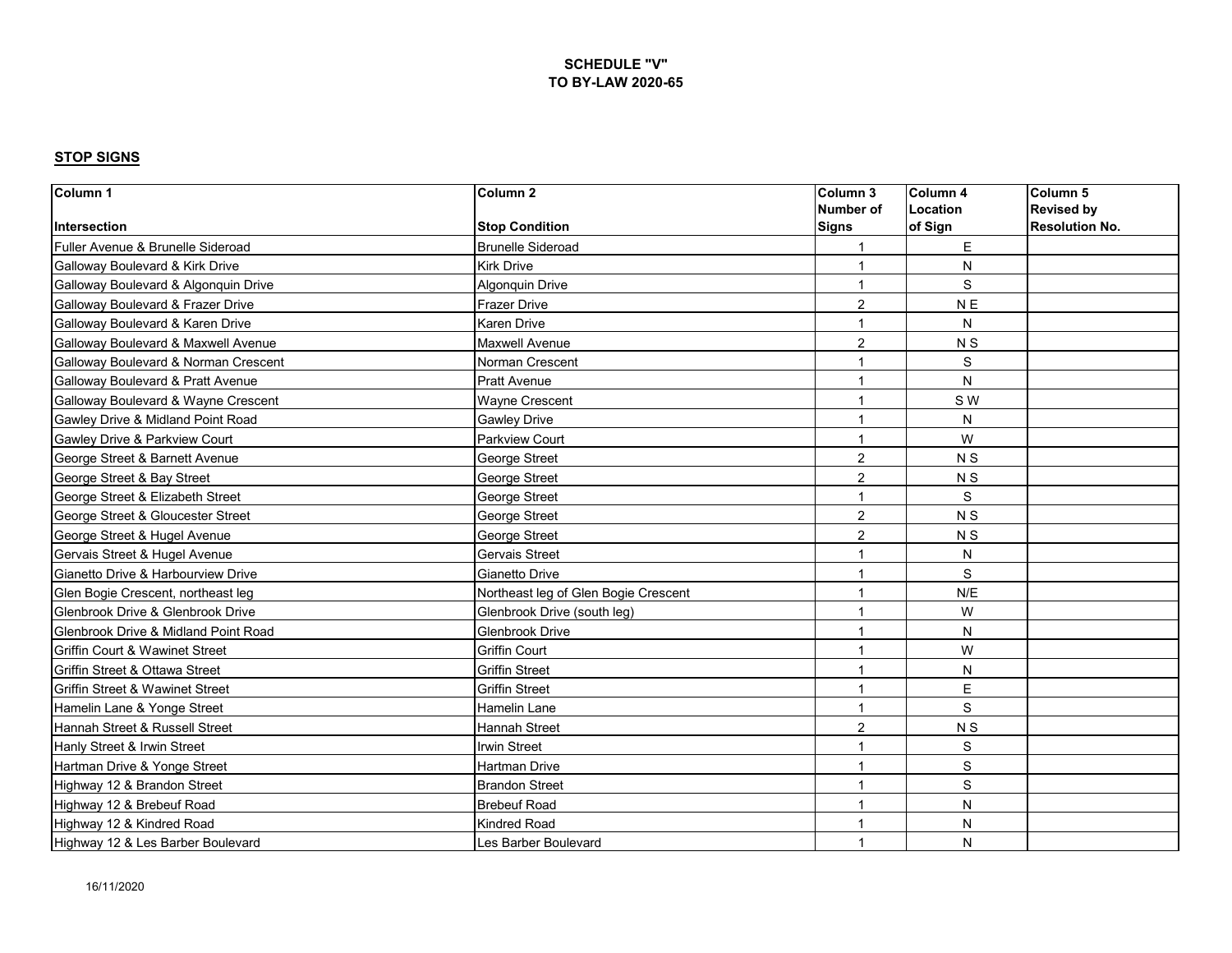| Column 1                                     | Column <sub>2</sub>                  | Column 3       | Column <sub>4</sub> | Column 5              |
|----------------------------------------------|--------------------------------------|----------------|---------------------|-----------------------|
|                                              |                                      | Number of      | Location            | <b>Revised by</b>     |
| Intersection                                 | <b>Stop Condition</b>                | <b>Signs</b>   | of Sign             | <b>Resolution No.</b> |
| Fuller Avenue & Brunelle Sideroad            | <b>Brunelle Sideroad</b>             |                | E                   |                       |
| <b>Galloway Boulevard &amp; Kirk Drive</b>   | <b>Kirk Drive</b>                    | 1              | N                   |                       |
| Galloway Boulevard & Algonquin Drive         | <b>Algonquin Drive</b>               | 1              | S                   |                       |
| Galloway Boulevard & Frazer Drive            | <b>Frazer Drive</b>                  | $\overline{2}$ | N <sub>E</sub>      |                       |
| Galloway Boulevard & Karen Drive             | <b>Karen Drive</b>                   | -1             | N                   |                       |
| Galloway Boulevard & Maxwell Avenue          | Maxwell Avenue                       | 2              | N <sub>S</sub>      |                       |
| Galloway Boulevard & Norman Crescent         | Norman Crescent                      | 1              | S                   |                       |
| <b>Galloway Boulevard &amp; Pratt Avenue</b> | <b>Pratt Avenue</b>                  |                | N                   |                       |
| Galloway Boulevard & Wayne Crescent          | Wayne Crescent                       | 1              | S W                 |                       |
| Gawley Drive & Midland Point Road            | <b>Gawley Drive</b>                  | 1              | N                   |                       |
| Gawley Drive & Parkview Court                | Parkview Court                       | $\overline{1}$ | W                   |                       |
| George Street & Barnett Avenue               | George Street                        | $\overline{2}$ | N <sub>S</sub>      |                       |
| George Street & Bay Street                   | George Street                        | $\overline{2}$ | N <sub>S</sub>      |                       |
| George Street & Elizabeth Street             | George Street                        |                | S                   |                       |
| George Street & Gloucester Street            | George Street                        | $\overline{2}$ | N S                 |                       |
| George Street & Hugel Avenue                 | George Street                        | $\overline{2}$ | N <sub>S</sub>      |                       |
| Gervais Street & Hugel Avenue                | Gervais Street                       | 1              | N                   |                       |
| Gianetto Drive & Harbourview Drive           | Gianetto Drive                       | $\overline{1}$ | $\mathsf S$         |                       |
| Glen Bogie Crescent, northeast leg           | Northeast leg of Glen Bogie Crescent | 1              | N/E                 |                       |
| Glenbrook Drive & Glenbrook Drive            | Glenbrook Drive (south leg)          | 1              | W                   |                       |
| Glenbrook Drive & Midland Point Road         | Glenbrook Drive                      | $\overline{1}$ | N                   |                       |
| <b>Griffin Court &amp; Wawinet Street</b>    | <b>Griffin Court</b>                 | $\overline{1}$ | W                   |                       |
| Griffin Street & Ottawa Street               | <b>Griffin Street</b>                | 1              | N                   |                       |
| Griffin Street & Wawinet Street              | <b>Griffin Street</b>                | $\overline{1}$ | $\mathsf E$         |                       |
| Hamelin Lane & Yonge Street                  | Hamelin Lane                         | 1              | S                   |                       |
| Hannah Street & Russell Street               | Hannah Street                        | $\overline{2}$ | N S                 |                       |
| Hanly Street & Irwin Street                  | <b>Irwin Street</b>                  | 1              | $\mathbb S$         |                       |
| Hartman Drive & Yonge Street                 | Hartman Drive                        | $\overline{1}$ | $\mathsf S$         |                       |
| Highway 12 & Brandon Street                  | <b>Brandon Street</b>                | 1              | S                   |                       |
| Highway 12 & Brebeuf Road                    | <b>Brebeuf Road</b>                  | -1             | N                   |                       |
| Highway 12 & Kindred Road                    | <b>Kindred Road</b>                  |                | N                   |                       |
| Highway 12 & Les Barber Boulevard            | Les Barber Boulevard                 | 1              | N                   |                       |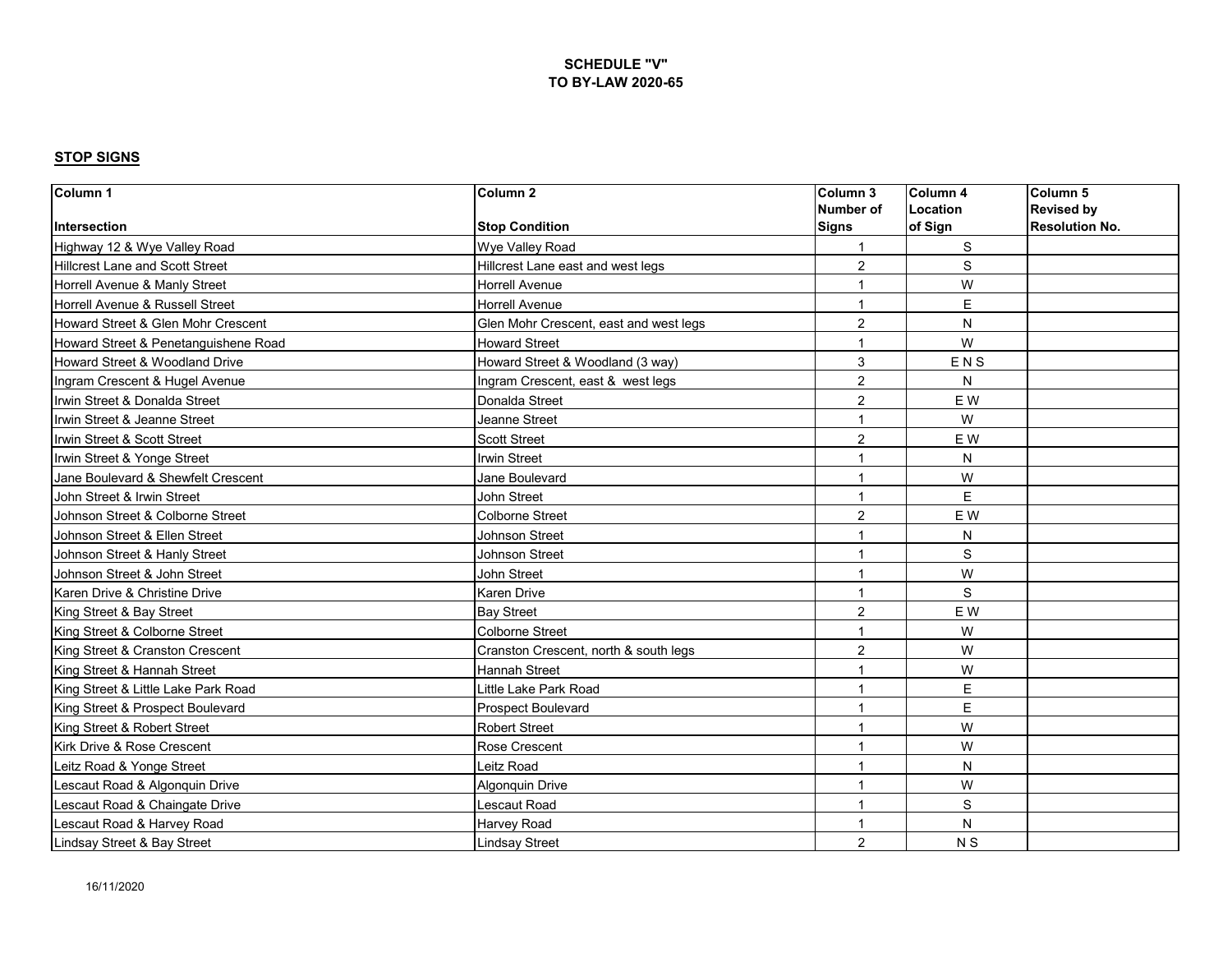| Column 1                               | Column <sub>2</sub>                    | Column 3                | Column 4       | Column <sub>5</sub>   |
|----------------------------------------|----------------------------------------|-------------------------|----------------|-----------------------|
|                                        |                                        | Number of               | Location       | <b>Revised by</b>     |
| Intersection                           | <b>Stop Condition</b>                  | Signs                   | of Sign        | <b>Resolution No.</b> |
| Highway 12 & Wye Valley Road           | Wye Valley Road                        |                         | S              |                       |
| <b>Hillcrest Lane and Scott Street</b> | Hillcrest Lane east and west legs      | $\overline{c}$          | $\mathbf S$    |                       |
| Horrell Avenue & Manly Street          | Horrell Avenue                         | $\overline{1}$          | W              |                       |
| Horrell Avenue & Russell Street        | <b>Horrell Avenue</b>                  | $\overline{\mathbf{1}}$ | E              |                       |
| Howard Street & Glen Mohr Crescent     | Glen Mohr Crescent, east and west legs | $\overline{2}$          | N              |                       |
| Howard Street & Penetanguishene Road   | <b>Howard Street</b>                   | 1                       | W              |                       |
| Howard Street & Woodland Drive         | Howard Street & Woodland (3 way)       | 3                       | ENS            |                       |
| Ingram Crescent & Hugel Avenue         | Ingram Crescent, east & west legs      | $\overline{2}$          | N              |                       |
| Irwin Street & Donalda Street          | Donalda Street                         | $\overline{2}$          | E W            |                       |
| Irwin Street & Jeanne Street           | Jeanne Street                          | 1                       | W              |                       |
| Irwin Street & Scott Street            | <b>Scott Street</b>                    | $\overline{2}$          | E W            |                       |
| Irwin Street & Yonge Street            | <b>Irwin Street</b>                    | 1                       | ${\sf N}$      |                       |
| Jane Boulevard & Shewfelt Crescent     | Jane Boulevard                         | 1                       | W              |                       |
| John Street & Irwin Street             | John Street                            | 1                       | E              |                       |
| Johnson Street & Colborne Street       | <b>Colborne Street</b>                 | $\overline{2}$          | E W            |                       |
| Johnson Street & Ellen Street          | Johnson Street                         | 1                       | N              |                       |
| Johnson Street & Hanly Street          | Johnson Street                         | 1                       | S              |                       |
| Johnson Street & John Street           | John Street                            | $\overline{1}$          | W              |                       |
| Karen Drive & Christine Drive          | <b>Karen Drive</b>                     | $\overline{1}$          | S              |                       |
| King Street & Bay Street               | <b>Bay Street</b>                      | $\overline{2}$          | E W            |                       |
| King Street & Colborne Street          | <b>Colborne Street</b>                 |                         | W              |                       |
| King Street & Cranston Crescent        | Cranston Crescent, north & south legs  | $\overline{2}$          | W              |                       |
| King Street & Hannah Street            | <b>Hannah Street</b>                   |                         | W              |                       |
| King Street & Little Lake Park Road    | Little Lake Park Road                  | $\overline{1}$          | $\mathsf E$    |                       |
| King Street & Prospect Boulevard       | Prospect Boulevard                     | $\overline{1}$          | $\mathsf E$    |                       |
| King Street & Robert Street            | <b>Robert Street</b>                   | 1                       | W              |                       |
| Kirk Drive & Rose Crescent             | Rose Crescent                          | 1                       | W              |                       |
| Leitz Road & Yonge Street              | Leitz Road                             | $\overline{1}$          | N              |                       |
| Lescaut Road & Algonquin Drive         | <b>Algonquin Drive</b>                 | 1                       | W              |                       |
| Lescaut Road & Chaingate Drive         | Lescaut Road                           | 1                       | S              |                       |
| Lescaut Road & Harvey Road             | Harvey Road                            | $\overline{1}$          | N              |                       |
| Lindsay Street & Bay Street            | <b>Lindsay Street</b>                  | $\overline{c}$          | N <sub>S</sub> |                       |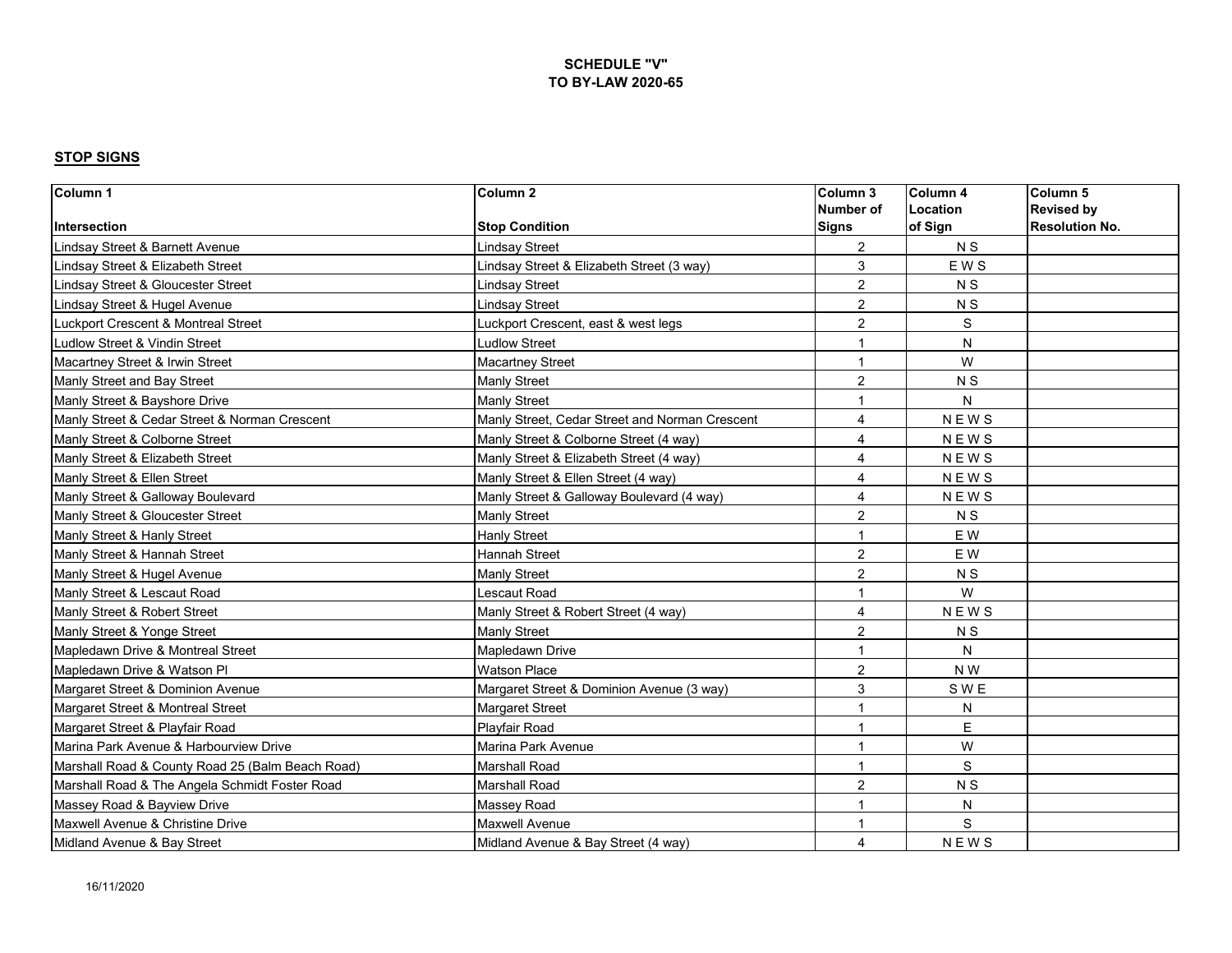| Column 1                                         | Column <sub>2</sub>                            | Column 3       | Column <sub>4</sub> | Column <sub>5</sub>   |
|--------------------------------------------------|------------------------------------------------|----------------|---------------------|-----------------------|
|                                                  |                                                | Number of      | Location            | <b>Revised by</b>     |
| Intersection                                     | <b>Stop Condition</b>                          | Signs          | of Sign             | <b>Resolution No.</b> |
| Lindsay Street & Barnett Avenue                  | Lindsay Street                                 | $\overline{2}$ | N <sub>S</sub>      |                       |
| Lindsay Street & Elizabeth Street                | Lindsay Street & Elizabeth Street (3 way)      | 3              | <b>EWS</b>          |                       |
| Lindsay Street & Gloucester Street               | Lindsav Street                                 | $\overline{2}$ | N <sub>S</sub>      |                       |
| Lindsay Street & Hugel Avenue                    | Lindsay Street                                 | $\overline{2}$ | N <sub>S</sub>      |                       |
| Luckport Crescent & Montreal Street              | Luckport Crescent, east & west legs            | $\overline{2}$ | S                   |                       |
| Ludlow Street & Vindin Street                    | <b>Ludlow Street</b>                           | 1              | N                   |                       |
| Macartney Street & Irwin Street                  | <b>Macartney Street</b>                        | 1              | W                   |                       |
| Manly Street and Bay Street                      | Manly Street                                   | $\overline{2}$ | N <sub>S</sub>      |                       |
| Manly Street & Bayshore Drive                    | <b>Manly Street</b>                            | 1              | N                   |                       |
| Manly Street & Cedar Street & Norman Crescent    | Manly Street, Cedar Street and Norman Crescent | 4              | <b>NEWS</b>         |                       |
| Manly Street & Colborne Street                   | Manly Street & Colborne Street (4 way)         | $\overline{4}$ | <b>NEWS</b>         |                       |
| Manly Street & Elizabeth Street                  | Manly Street & Elizabeth Street (4 way)        | $\overline{4}$ | <b>NEWS</b>         |                       |
| Manly Street & Ellen Street                      | Manly Street & Ellen Street (4 way)            | $\overline{4}$ | <b>NEWS</b>         |                       |
| Manly Street & Galloway Boulevard                | Manly Street & Galloway Boulevard (4 way)      | $\overline{4}$ | <b>NEWS</b>         |                       |
| Manly Street & Gloucester Street                 | Manly Street                                   | $\overline{2}$ | N <sub>S</sub>      |                       |
| Manly Street & Hanly Street                      | Hanly Street                                   | -1             | E W                 |                       |
| Manly Street & Hannah Street                     | <b>Hannah Street</b>                           | $\overline{2}$ | E W                 |                       |
| Manly Street & Hugel Avenue                      | <b>Manly Street</b>                            | $\overline{2}$ | N <sub>S</sub>      |                       |
| Manly Street & Lescaut Road                      | Lescaut Road                                   | 1              | W                   |                       |
| Manly Street & Robert Street                     | Manly Street & Robert Street (4 way)           | 4              | <b>NEWS</b>         |                       |
| Manly Street & Yonge Street                      | <b>Manly Street</b>                            | $\overline{2}$ | N S                 |                       |
| Mapledawn Drive & Montreal Street                | <b>Mapledawn Drive</b>                         | $\overline{1}$ | N                   |                       |
| Mapledawn Drive & Watson Pl                      | <b>Watson Place</b>                            | $\overline{2}$ | N W                 |                       |
| Margaret Street & Dominion Avenue                | Margaret Street & Dominion Avenue (3 way)      | 3              | S W E               |                       |
| Margaret Street & Montreal Street                | <b>Margaret Street</b>                         | $\overline{1}$ | N                   |                       |
| Margaret Street & Playfair Road                  | Playfair Road                                  | 1              | E                   |                       |
| Marina Park Avenue & Harbourview Drive           | Marina Park Avenue                             | 1              | W                   |                       |
| Marshall Road & County Road 25 (Balm Beach Road) | <b>Marshall Road</b>                           | $\overline{1}$ | S                   |                       |
| Marshall Road & The Angela Schmidt Foster Road   | <b>Marshall Road</b>                           | $\overline{c}$ | N <sub>S</sub>      |                       |
| Massey Road & Bayview Drive                      | Massey Road                                    | 1              | N                   |                       |
| Maxwell Avenue & Christine Drive                 | Maxwell Avenue                                 | 1              | S                   |                       |
| Midland Avenue & Bay Street                      | Midland Avenue & Bay Street (4 way)            | 4              | <b>NEWS</b>         |                       |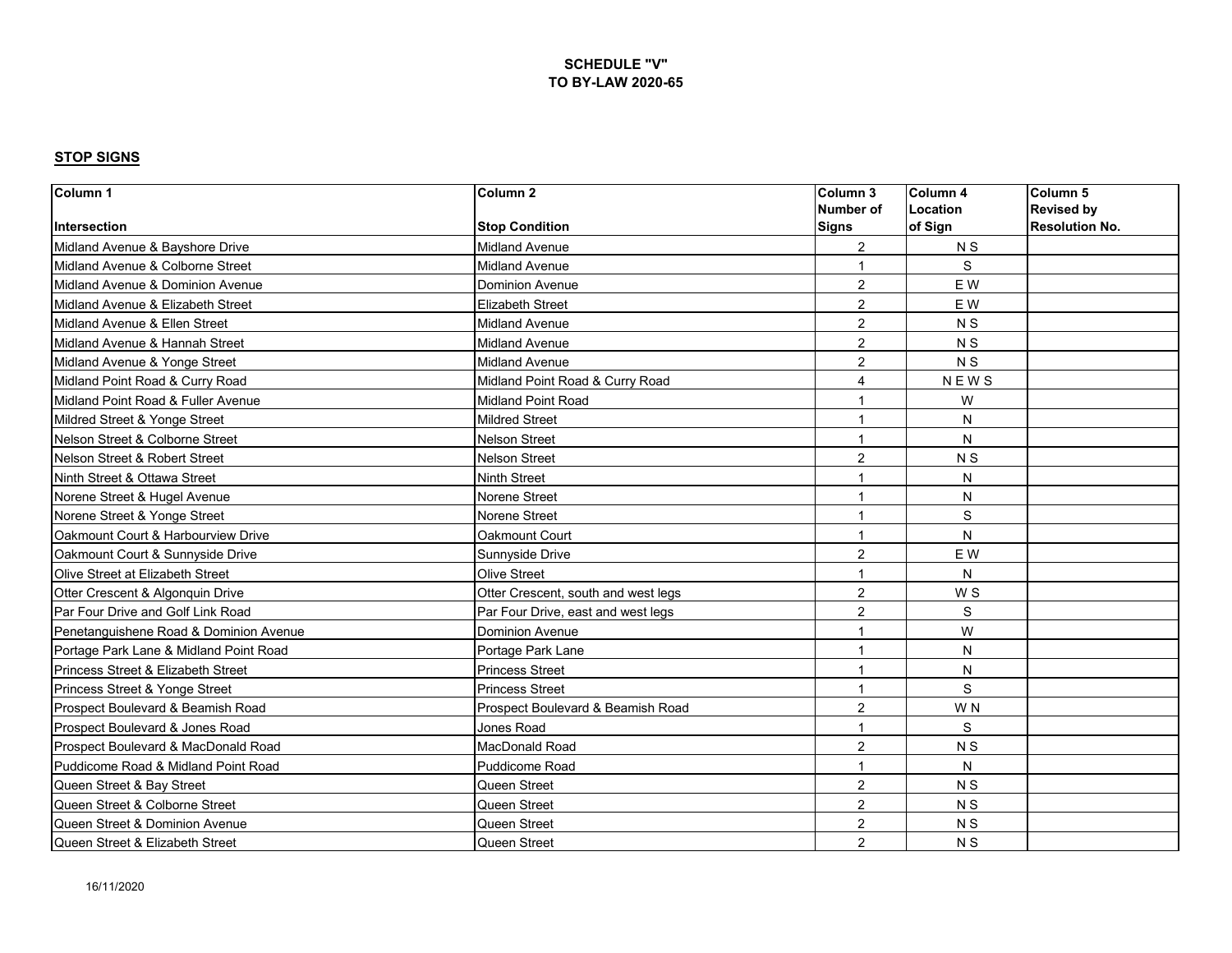| Column 1                               | Column <sub>2</sub>                 | Column 3         | Column 4       | Column 5              |
|----------------------------------------|-------------------------------------|------------------|----------------|-----------------------|
|                                        |                                     | <b>Number of</b> | Location       | <b>Revised by</b>     |
| Intersection                           | <b>Stop Condition</b>               | <b>Signs</b>     | of Sign        | <b>Resolution No.</b> |
| Midland Avenue & Bavshore Drive        | <b>Midland Avenue</b>               | $\overline{2}$   | N <sub>S</sub> |                       |
| Midland Avenue & Colborne Street       | <b>Midland Avenue</b>               | -1               | S              |                       |
| Midland Avenue & Dominion Avenue       | <b>Dominion Avenue</b>              | 2                | E W            |                       |
| Midland Avenue & Elizabeth Street      | <b>Elizabeth Street</b>             | $\overline{2}$   | EW             |                       |
| Midland Avenue & Ellen Street          | <b>Midland Avenue</b>               | $\overline{2}$   | N <sub>S</sub> |                       |
| Midland Avenue & Hannah Street         | <b>Midland Avenue</b>               | $\overline{2}$   | N <sub>S</sub> |                       |
| Midland Avenue & Yonge Street          | <b>Midland Avenue</b>               | $\overline{2}$   | N <sub>S</sub> |                       |
| Midland Point Road & Curry Road        | Midland Point Road & Curry Road     | 4                | <b>NEWS</b>    |                       |
| Midland Point Road & Fuller Avenue     | <b>Midland Point Road</b>           | -1               | W              |                       |
| Mildred Street & Yonge Street          | <b>Mildred Street</b>               | 1                | N              |                       |
| Nelson Street & Colborne Street        | <b>Nelson Street</b>                | $\mathbf 1$      | N              |                       |
| Nelson Street & Robert Street          | <b>Nelson Street</b>                | $\overline{2}$   | N <sub>S</sub> |                       |
| Ninth Street & Ottawa Street           | Ninth Street                        | 1                | N              |                       |
| Norene Street & Hugel Avenue           | Norene Street                       | 1                | N              |                       |
| Norene Street & Yonge Street           | Norene Street                       | $\overline{1}$   | S              |                       |
| Oakmount Court & Harbourview Drive     | Oakmount Court                      | -1               | N              |                       |
| Oakmount Court & Sunnyside Drive       | Sunnyside Drive                     | $\overline{2}$   | E W            |                       |
| Olive Street at Elizabeth Street       | <b>Olive Street</b>                 | $\overline{1}$   | N              |                       |
| Otter Crescent & Algonquin Drive       | Otter Crescent, south and west legs | $\overline{2}$   | W S            |                       |
| Par Four Drive and Golf Link Road      | Par Four Drive, east and west legs  | 2                | S              |                       |
| Penetanguishene Road & Dominion Avenue | <b>Dominion Avenue</b>              | 1                | W              |                       |
| Portage Park Lane & Midland Point Road | Portage Park Lane                   | $\overline{1}$   | N              |                       |
| Princess Street & Elizabeth Street     | <b>Princess Street</b>              | $\overline{1}$   | N              |                       |
| Princess Street & Yonge Street         | <b>Princess Street</b>              | $\overline{1}$   | S              |                       |
| Prospect Boulevard & Beamish Road      | Prospect Boulevard & Beamish Road   | $\overline{2}$   | W <sub>N</sub> |                       |
| Prospect Boulevard & Jones Road        | Jones Road                          | $\overline{1}$   | S              |                       |
| Prospect Boulevard & MacDonald Road    | MacDonald Road                      | $\overline{2}$   | N <sub>S</sub> |                       |
| Puddicome Road & Midland Point Road    | <b>Puddicome Road</b>               | -1               | N              |                       |
| Queen Street & Bay Street              | Queen Street                        | $\overline{2}$   | N <sub>S</sub> |                       |
| Queen Street & Colborne Street         | Queen Street                        | $\overline{2}$   | N <sub>S</sub> |                       |
| Queen Street & Dominion Avenue         | Queen Street                        | 2                | N <sub>S</sub> |                       |
| Queen Street & Elizabeth Street        | Queen Street                        | $\overline{2}$   | N S            |                       |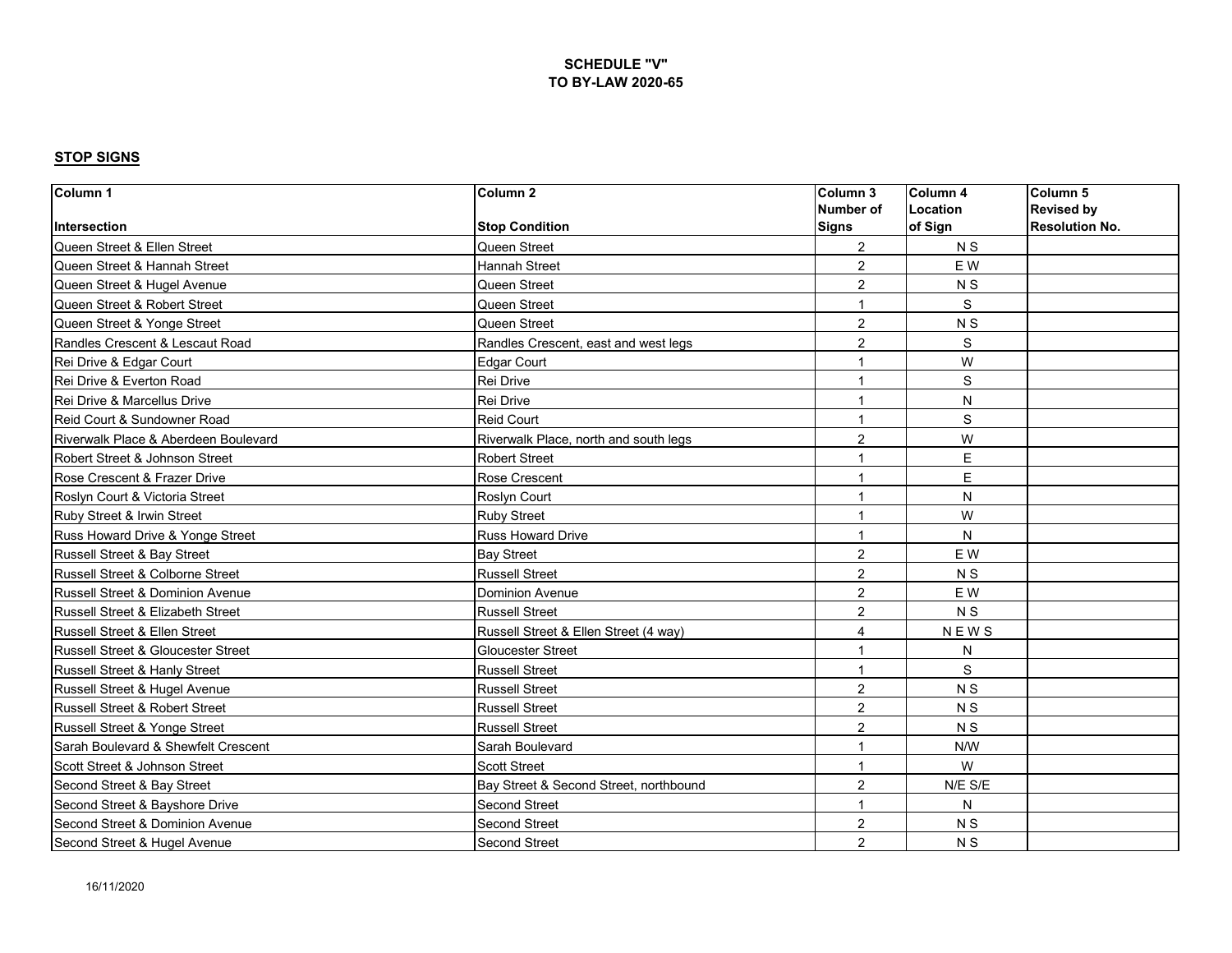| Column <sub>1</sub>                           | Column <sub>2</sub>                    | Column 3       | Column 4       | Column 5              |
|-----------------------------------------------|----------------------------------------|----------------|----------------|-----------------------|
|                                               |                                        | Number of      | Location       | <b>Revised by</b>     |
| Intersection                                  | <b>Stop Condition</b>                  | <b>Signs</b>   | of Sign        | <b>Resolution No.</b> |
| Queen Street & Ellen Street                   | Queen Street                           | $\overline{2}$ | <b>NS</b>      |                       |
| Queen Street & Hannah Street                  | Hannah Street                          | $\overline{2}$ | E W            |                       |
| Queen Street & Hugel Avenue                   | Queen Street                           | $\overline{2}$ | N S            |                       |
| Queen Street & Robert Street                  | Queen Street                           | $\overline{1}$ | S              |                       |
| Queen Street & Yonge Street                   | Queen Street                           | $\overline{2}$ | N <sub>S</sub> |                       |
| Randles Crescent & Lescaut Road               | Randles Crescent, east and west legs   | $\overline{2}$ | S              |                       |
| Rei Drive & Edgar Court                       | <b>Edgar Court</b>                     | 1              | W              |                       |
| Rei Drive & Everton Road                      | Rei Drive                              | $\overline{1}$ | S              |                       |
| Rei Drive & Marcellus Drive                   | Rei Drive                              | $\overline{ }$ | ${\sf N}$      |                       |
| Reid Court & Sundowner Road                   | Reid Court                             | 1              | S              |                       |
| Riverwalk Place & Aberdeen Boulevard          | Riverwalk Place, north and south legs  | $\overline{c}$ | W              |                       |
| Robert Street & Johnson Street                | <b>Robert Street</b>                   | 1              | E              |                       |
| Rose Crescent & Frazer Drive                  | Rose Crescent                          | $\overline{1}$ | E              |                       |
| Roslyn Court & Victoria Street                | Roslyn Court                           | $\overline{1}$ | N              |                       |
| Ruby Street & Irwin Street                    | <b>Ruby Street</b>                     | $\overline{1}$ | W              |                       |
| Russ Howard Drive & Yonge Street              | Russ Howard Drive                      | $\overline{1}$ | N              |                       |
| Russell Street & Bay Street                   | <b>Bay Street</b>                      | $\overline{2}$ | E W            |                       |
| Russell Street & Colborne Street              | <b>Russell Street</b>                  | $\overline{2}$ | N <sub>S</sub> |                       |
| Russell Street & Dominion Avenue              | <b>Dominion Avenue</b>                 | $\overline{2}$ | E W            |                       |
| Russell Street & Elizabeth Street             | <b>Russell Street</b>                  | $\overline{2}$ | N <sub>S</sub> |                       |
| Russell Street & Ellen Street                 | Russell Street & Ellen Street (4 way)  | $\overline{4}$ | <b>NEWS</b>    |                       |
| <b>Russell Street &amp; Gloucester Street</b> | <b>Gloucester Street</b>               | $\overline{ }$ | N              |                       |
| Russell Street & Hanly Street                 | <b>Russell Street</b>                  | $\overline{1}$ | S              |                       |
| Russell Street & Hugel Avenue                 | <b>Russell Street</b>                  | $\overline{2}$ | N <sub>S</sub> |                       |
| Russell Street & Robert Street                | <b>Russell Street</b>                  | $\overline{2}$ | N <sub>S</sub> |                       |
| Russell Street & Yonge Street                 | <b>Russell Street</b>                  | 2              | N <sub>S</sub> |                       |
| Sarah Boulevard & Shewfelt Crescent           | Sarah Boulevard                        | $\overline{1}$ | N/W            |                       |
| Scott Street & Johnson Street                 | <b>Scott Street</b>                    | $\overline{1}$ | W              |                       |
| Second Street & Bay Street                    | Bay Street & Second Street, northbound | $\overline{2}$ | N/E S/E        |                       |
| Second Street & Bayshore Drive                | Second Street                          | $\overline{1}$ | N              |                       |
| Second Street & Dominion Avenue               | Second Street                          | $\overline{2}$ | N <sub>S</sub> |                       |
| Second Street & Hugel Avenue                  | Second Street                          | $\overline{2}$ | N <sub>S</sub> |                       |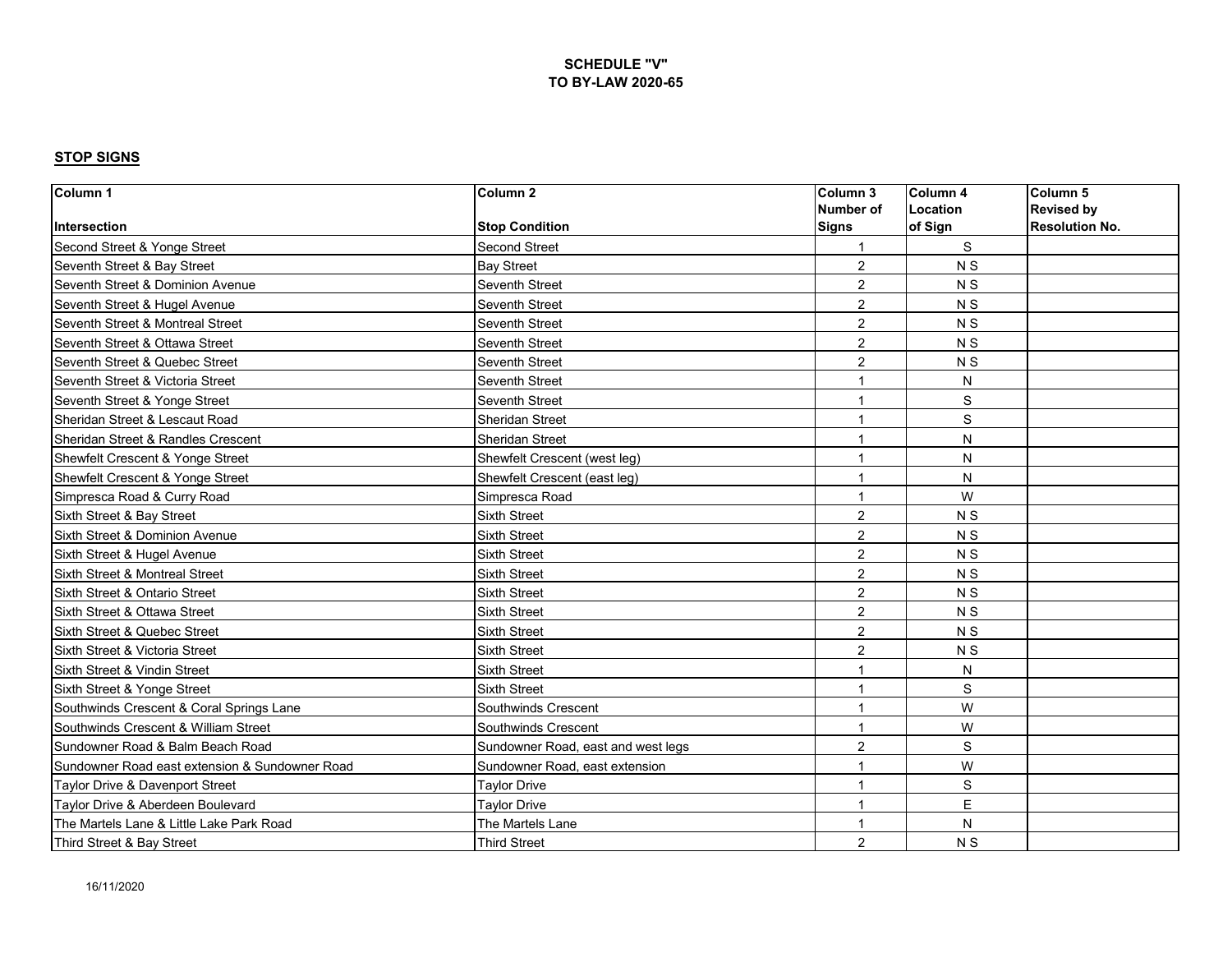| Column 1                                       | Column <sub>2</sub>                | Column 3         | Column 4       | Column 5              |
|------------------------------------------------|------------------------------------|------------------|----------------|-----------------------|
|                                                |                                    | <b>Number of</b> | Location       | <b>Revised by</b>     |
| Intersection                                   | <b>Stop Condition</b>              | <b>Signs</b>     | of Sign        | <b>Resolution No.</b> |
| Second Street & Yonge Street                   | <b>Second Street</b>               |                  | S              |                       |
| Seventh Street & Bay Street                    | <b>Bay Street</b>                  | $\overline{2}$   | N <sub>S</sub> |                       |
| Seventh Street & Dominion Avenue               | Seventh Street                     | $\overline{2}$   | N <sub>S</sub> |                       |
| Seventh Street & Hugel Avenue                  | Seventh Street                     | $\overline{2}$   | <b>NS</b>      |                       |
| Seventh Street & Montreal Street               | Seventh Street                     | $\overline{2}$   | N <sub>S</sub> |                       |
| Seventh Street & Ottawa Street                 | Seventh Street                     | $\overline{2}$   | N <sub>S</sub> |                       |
| Seventh Street & Quebec Street                 | Seventh Street                     | $\overline{2}$   | N <sub>S</sub> |                       |
| Seventh Street & Victoria Street               | <b>Seventh Street</b>              | $\overline{1}$   | ${\sf N}$      |                       |
| Seventh Street & Yonge Street                  | Seventh Street                     | $\overline{ }$   | $\mathbb S$    |                       |
| Sheridan Street & Lescaut Road                 | <b>Sheridan Street</b>             | 1                | $\mathbb S$    |                       |
| Sheridan Street & Randles Crescent             | <b>Sheridan Street</b>             | 1                | N              |                       |
| Shewfelt Crescent & Yonge Street               | Shewfelt Crescent (west leg)       | $\overline{1}$   | $\mathsf{N}$   |                       |
| Shewfelt Crescent & Yonge Street               | Shewfelt Crescent (east leg)       | 1                | N              |                       |
| Simpresca Road & Curry Road                    | Simpresca Road                     | $\overline{1}$   | W              |                       |
| Sixth Street & Bay Street                      | <b>Sixth Street</b>                | $\overline{2}$   | N <sub>S</sub> |                       |
| Sixth Street & Dominion Avenue                 | <b>Sixth Street</b>                | $\overline{2}$   | N <sub>S</sub> |                       |
| Sixth Street & Hugel Avenue                    | <b>Sixth Street</b>                | $\overline{2}$   | N S            |                       |
| Sixth Street & Montreal Street                 | <b>Sixth Street</b>                | $\overline{2}$   | N <sub>S</sub> |                       |
| Sixth Street & Ontario Street                  | <b>Sixth Street</b>                | $\overline{2}$   | N S            |                       |
| Sixth Street & Ottawa Street                   | <b>Sixth Street</b>                | $\overline{2}$   | N <sub>S</sub> |                       |
| Sixth Street & Quebec Street                   | Sixth Street                       | $\overline{2}$   | N <sub>S</sub> |                       |
| Sixth Street & Victoria Street                 | <b>Sixth Street</b>                | $\overline{c}$   | N <sub>S</sub> |                       |
| Sixth Street & Vindin Street                   | <b>Sixth Street</b>                | 1                | N              |                       |
| Sixth Street & Yonge Street                    | <b>Sixth Street</b>                | 1                | S              |                       |
| Southwinds Crescent & Coral Springs Lane       | Southwinds Crescent                | $\overline{1}$   | W              |                       |
| Southwinds Crescent & William Street           | Southwinds Crescent                | $\overline{1}$   | W              |                       |
| Sundowner Road & Balm Beach Road               | Sundowner Road, east and west legs | $\overline{2}$   | $\mathbf S$    |                       |
| Sundowner Road east extension & Sundowner Road | Sundowner Road, east extension     | $\overline{ }$   | W              |                       |
| Taylor Drive & Davenport Street                | <b>Taylor Drive</b>                | 1                | S              |                       |
| Tavlor Drive & Aberdeen Boulevard              | <b>Taylor Drive</b>                | 1                | E              |                       |
| The Martels Lane & Little Lake Park Road       | The Martels Lane                   | $\overline{1}$   | N              |                       |
| Third Street & Bay Street                      | <b>Third Street</b>                | $\overline{2}$   | N <sub>S</sub> |                       |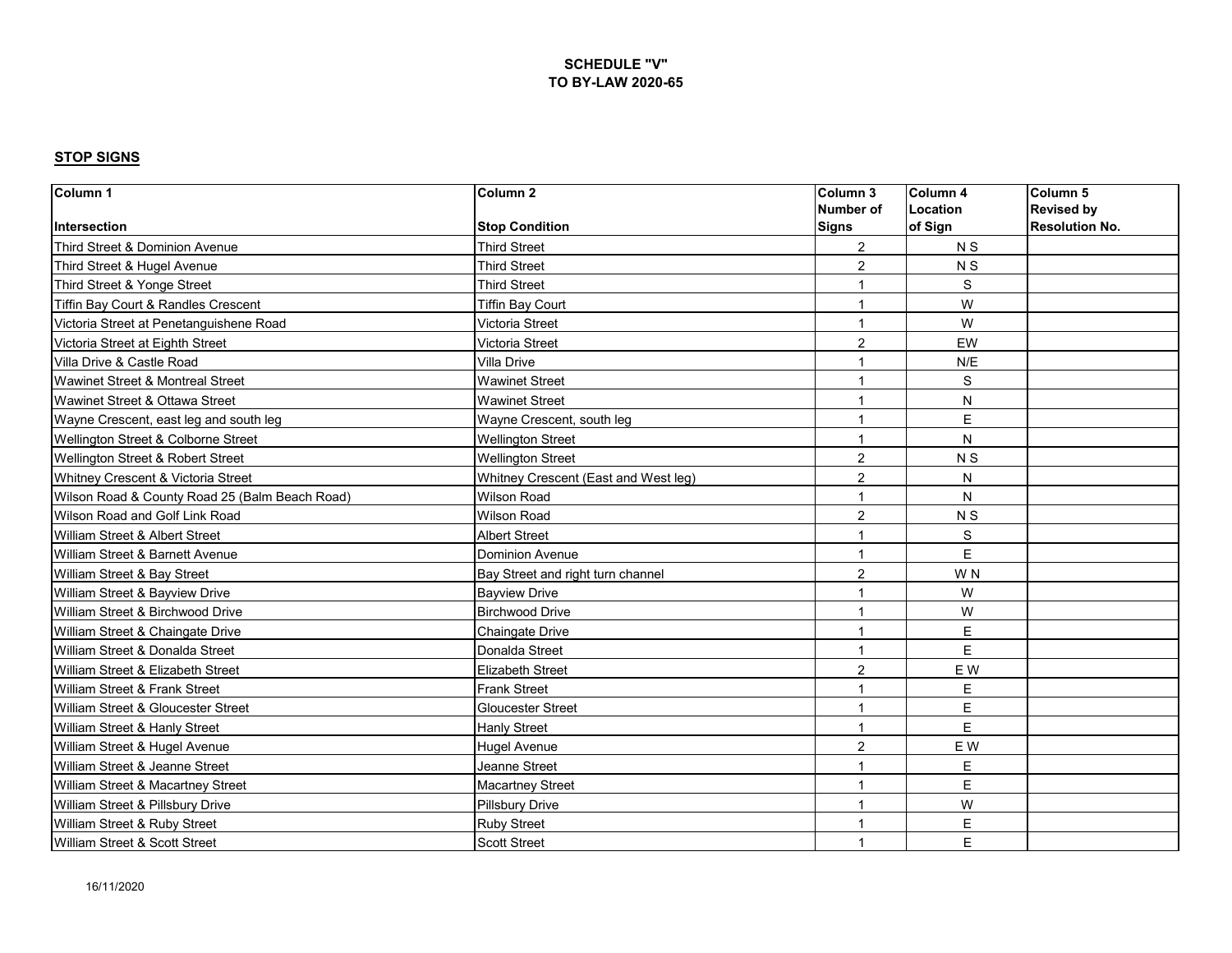| Column <sub>1</sub>                            | Column <sub>2</sub>                  | Column 3                 | Column <sub>4</sub> | Column 5              |
|------------------------------------------------|--------------------------------------|--------------------------|---------------------|-----------------------|
|                                                |                                      | Number of                | Location            | <b>Revised by</b>     |
| Intersection                                   | <b>Stop Condition</b>                | <b>Signs</b>             | of Sign             | <b>Resolution No.</b> |
| Third Street & Dominion Avenue                 | <b>Third Street</b>                  | $\overline{2}$           | N <sub>S</sub>      |                       |
| Third Street & Hugel Avenue                    | <b>Third Street</b>                  | $\overline{2}$           | N S                 |                       |
| Third Street & Yonge Street                    | <b>Third Street</b>                  |                          | S                   |                       |
| Tiffin Bay Court & Randles Crescent            | <b>Tiffin Bay Court</b>              | 1                        | W                   |                       |
| Victoria Street at Penetanguishene Road        | Victoria Street                      | $\overline{1}$           | W                   |                       |
| Victoria Street at Eighth Street               | Victoria Street                      | $\overline{2}$           | EW                  |                       |
| Villa Drive & Castle Road                      | Villa Drive                          | 1                        | N/E                 |                       |
| Wawinet Street & Montreal Street               | <b>Wawinet Street</b>                | $\overline{ }$           | S                   |                       |
| Wawinet Street & Ottawa Street                 | <b>Wawinet Street</b>                | $\overline{ }$           | N                   |                       |
| Wayne Crescent, east leg and south leg         | Wayne Crescent, south leg            | 1                        | E                   |                       |
| Wellington Street & Colborne Street            | <b>Wellington Street</b>             | $\overline{1}$           | N                   |                       |
| Wellington Street & Robert Street              | <b>Wellington Street</b>             | 2                        | N <sub>S</sub>      |                       |
| Whitney Crescent & Victoria Street             | Whitney Crescent (East and West leg) | $\overline{2}$           | N                   |                       |
| Wilson Road & County Road 25 (Balm Beach Road) | <b>Wilson Road</b>                   | 1                        | N                   |                       |
| Wilson Road and Golf Link Road                 | <b>Wilson Road</b>                   | $\overline{2}$           | N <sub>S</sub>      |                       |
| William Street & Albert Street                 | <b>Albert Street</b>                 |                          | S                   |                       |
| William Street & Barnett Avenue                | <b>Dominion Avenue</b>               | 1                        | E                   |                       |
| William Street & Bay Street                    | Bay Street and right turn channel    | $\overline{c}$           | W <sub>N</sub>      |                       |
| William Street & Bayview Drive                 | <b>Bayview Drive</b>                 | 1                        | W                   |                       |
| William Street & Birchwood Drive               | <b>Birchwood Drive</b>               | 1                        | W                   |                       |
| William Street & Chaingate Drive               | Chaingate Drive                      | $\overline{\phantom{a}}$ | E                   |                       |
| William Street & Donalda Street                | Donalda Street                       | $\overline{1}$           | E                   |                       |
| William Street & Elizabeth Street              | <b>Elizabeth Street</b>              | $\overline{2}$           | E W                 |                       |
| William Street & Frank Street                  | <b>Frank Street</b>                  | 1                        | E                   |                       |
| William Street & Gloucester Street             | <b>Gloucester Street</b>             | 1                        | E                   |                       |
| William Street & Hanly Street                  | <b>Hanly Street</b>                  | 1                        | E                   |                       |
| William Street & Hugel Avenue                  | <b>Hugel Avenue</b>                  | $\overline{2}$           | E W                 |                       |
| William Street & Jeanne Street                 | Jeanne Street                        | $\overline{ }$           | E                   |                       |
| William Street & Macartney Street              | <b>Macartney Street</b>              | $\overline{ }$           | E                   |                       |
| William Street & Pillsbury Drive               | <b>Pillsbury Drive</b>               | 1                        | W                   |                       |
| William Street & Ruby Street                   | <b>Ruby Street</b>                   | $\overline{\phantom{a}}$ | E                   |                       |
| William Street & Scott Street                  | <b>Scott Street</b>                  | $\overline{\phantom{a}}$ | E                   |                       |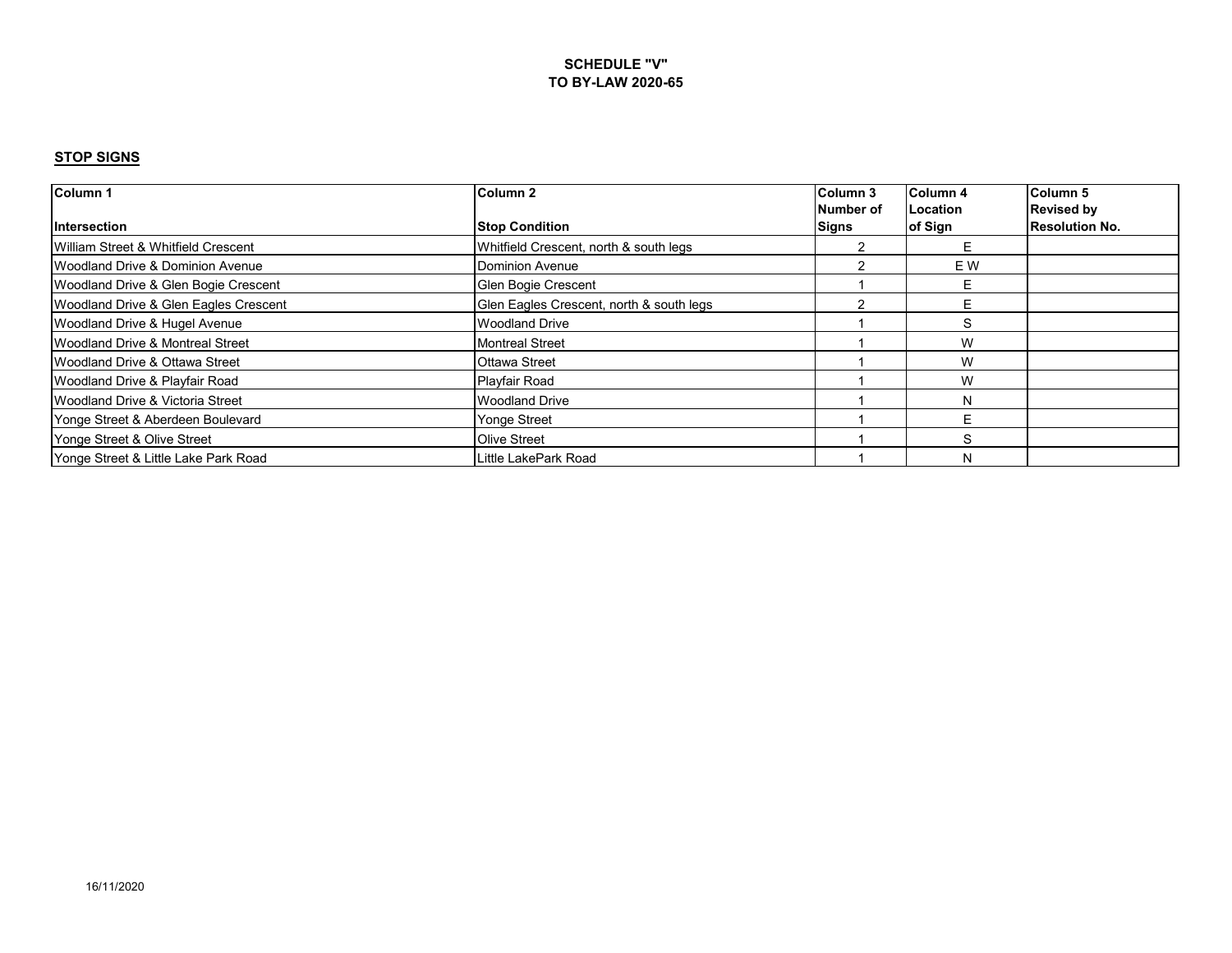| Column 1                                    | Column 2                                 | Column 3  | Column 4        | Column <sub>5</sub>   |
|---------------------------------------------|------------------------------------------|-----------|-----------------|-----------------------|
|                                             |                                          | Number of | <b>Location</b> | <b>Revised by</b>     |
| <b>Intersection</b>                         | <b>Stop Condition</b>                    | Signs     | of Sign         | <b>Resolution No.</b> |
| William Street & Whitfield Crescent         | Whitfield Crescent, north & south legs   |           |                 |                       |
| Woodland Drive & Dominion Avenue            | <b>Dominion Avenue</b>                   |           | E W             |                       |
| Woodland Drive & Glen Bogie Crescent        | Glen Bogie Crescent                      |           |                 |                       |
| Woodland Drive & Glen Eagles Crescent       | Glen Eagles Crescent, north & south legs |           |                 |                       |
| Woodland Drive & Hugel Avenue               | <b>Woodland Drive</b>                    |           | S               |                       |
| <b>Woodland Drive &amp; Montreal Street</b> | <b>Montreal Street</b>                   |           | W               |                       |
| Woodland Drive & Ottawa Street              | <b>Ottawa Street</b>                     |           | W               |                       |
| Woodland Drive & Playfair Road              | Playfair Road                            |           | W               |                       |
| Woodland Drive & Victoria Street            | <b>Woodland Drive</b>                    |           | N               |                       |
| Yonge Street & Aberdeen Boulevard           | <b>Yonge Street</b>                      |           |                 |                       |
| Yonge Street & Olive Street                 | Olive Street                             |           | S               |                       |
| Yonge Street & Little Lake Park Road        | Little LakePark Road                     |           | N               |                       |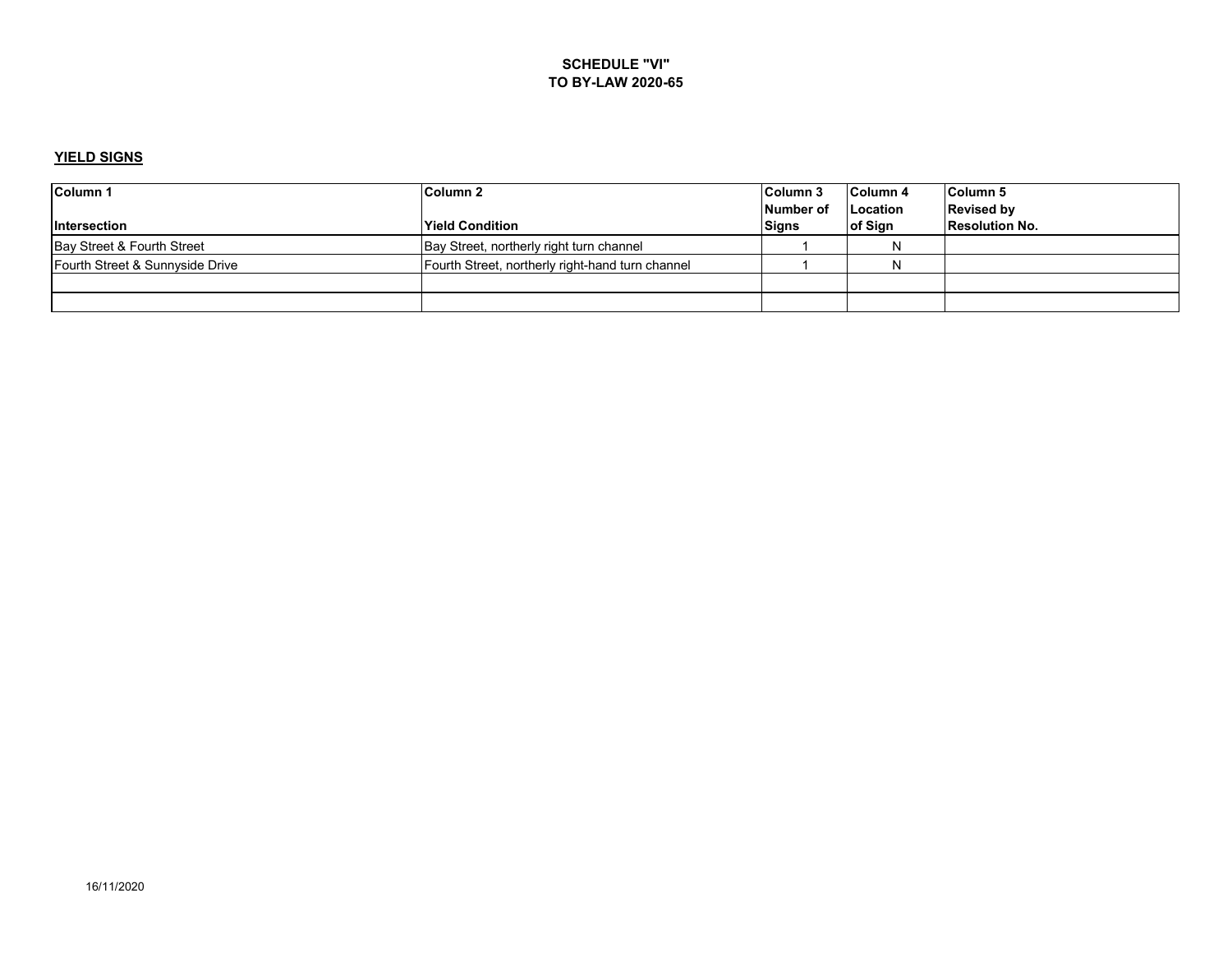### **YIELD SIGNS**

| <b>Column 1</b>                 | Column 2                                         | Column 3  | Column 4 | Column 5              |
|---------------------------------|--------------------------------------------------|-----------|----------|-----------------------|
|                                 |                                                  | Number of | Location | <b>Revised by</b>     |
| <b>Intersection</b>             | <b>Yield Condition</b>                           | Signs     | of Sign  | <b>Resolution No.</b> |
| Bay Street & Fourth Street      | Bay Street, northerly right turn channel         |           | N        |                       |
| Fourth Street & Sunnyside Drive | Fourth Street, northerly right-hand turn channel |           | N        |                       |
|                                 |                                                  |           |          |                       |
|                                 |                                                  |           |          |                       |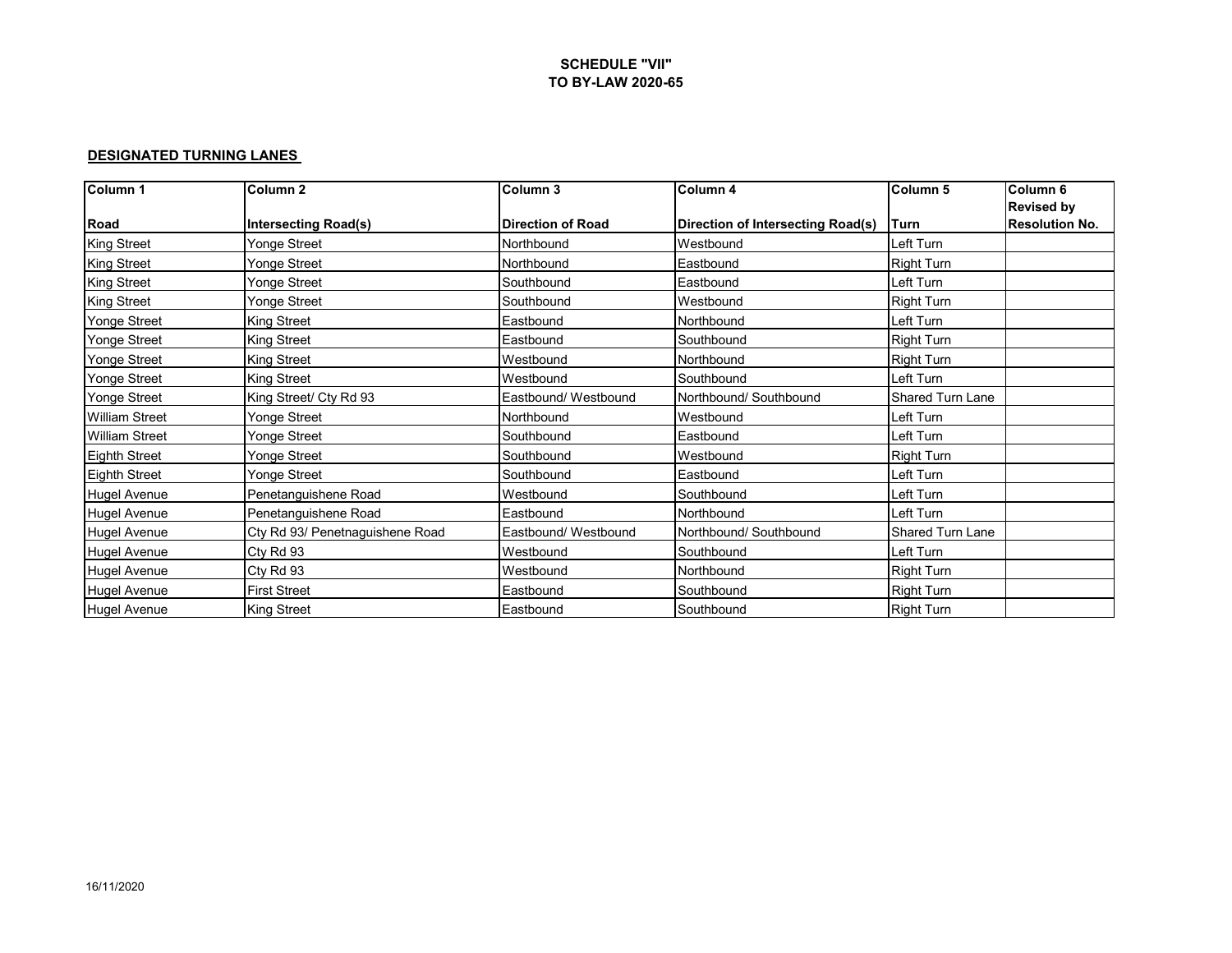#### **DESIGNATED TURNING LANES**

| Column 1              | Column <sub>2</sub>             | Column <sub>3</sub>      | Column 4                          | Column <sub>5</sub> | Column <sub>6</sub>   |
|-----------------------|---------------------------------|--------------------------|-----------------------------------|---------------------|-----------------------|
|                       |                                 |                          |                                   |                     | <b>Revised by</b>     |
| Road                  | <b>Intersecting Road(s)</b>     | <b>Direction of Road</b> | Direction of Intersecting Road(s) | Turn                | <b>Resolution No.</b> |
| <b>King Street</b>    | Yonge Street                    | Northbound               | Westbound                         | Left Turn           |                       |
| <b>King Street</b>    | Yonge Street                    | Northbound               | Eastbound                         | <b>Right Turn</b>   |                       |
| <b>King Street</b>    | Yonge Street                    | Southbound               | Eastbound                         | Left Turn           |                       |
| <b>King Street</b>    | Yonge Street                    | Southbound               | Westbound                         | <b>Right Turn</b>   |                       |
| Yonge Street          | King Street                     | Eastbound                | Northbound                        | Left Turn           |                       |
| <b>Yonge Street</b>   | <b>King Street</b>              | Eastbound                | Southbound                        | <b>Right Turn</b>   |                       |
| <b>Yonge Street</b>   | <b>King Street</b>              | Westbound                | Northbound                        | <b>Right Turn</b>   |                       |
| <b>Yonge Street</b>   | <b>King Street</b>              | Westbound                | Southbound                        | Left Turn           |                       |
| Yonge Street          | King Street/ Cty Rd 93          | Eastbound/ Westbound     | Northbound/ Southbound            | Shared Turn Lane    |                       |
| <b>William Street</b> | Yonge Street                    | Northbound               | Westbound                         | Left Turn           |                       |
| <b>William Street</b> | Yonge Street                    | Southbound               | Eastbound                         | Left Turn           |                       |
| <b>Eighth Street</b>  | Yonge Street                    | Southbound               | Westbound                         | <b>Right Turn</b>   |                       |
| <b>Eighth Street</b>  | Yonge Street                    | Southbound               | Eastbound                         | Left Turn           |                       |
| <b>Hugel Avenue</b>   | Penetanguishene Road            | Westbound                | Southbound                        | Left Turn           |                       |
| <b>Hugel Avenue</b>   | Penetanguishene Road            | Eastbound                | Northbound                        | Left Turn           |                       |
| <b>Hugel Avenue</b>   | Cty Rd 93/ Penetnaguishene Road | Eastbound/ Westbound     | Northbound/ Southbound            | Shared Turn Lane    |                       |
| <b>Hugel Avenue</b>   | Cty Rd 93                       | Westbound                | Southbound                        | Left Turn           |                       |
| <b>Hugel Avenue</b>   | Cty Rd 93                       | Westbound                | Northbound                        | <b>Right Turn</b>   |                       |
| <b>Hugel Avenue</b>   | <b>First Street</b>             | Eastbound                | Southbound                        | Right Turn          |                       |
| <b>Hugel Avenue</b>   | <b>King Street</b>              | Eastbound                | Southbound                        | <b>Right Turn</b>   |                       |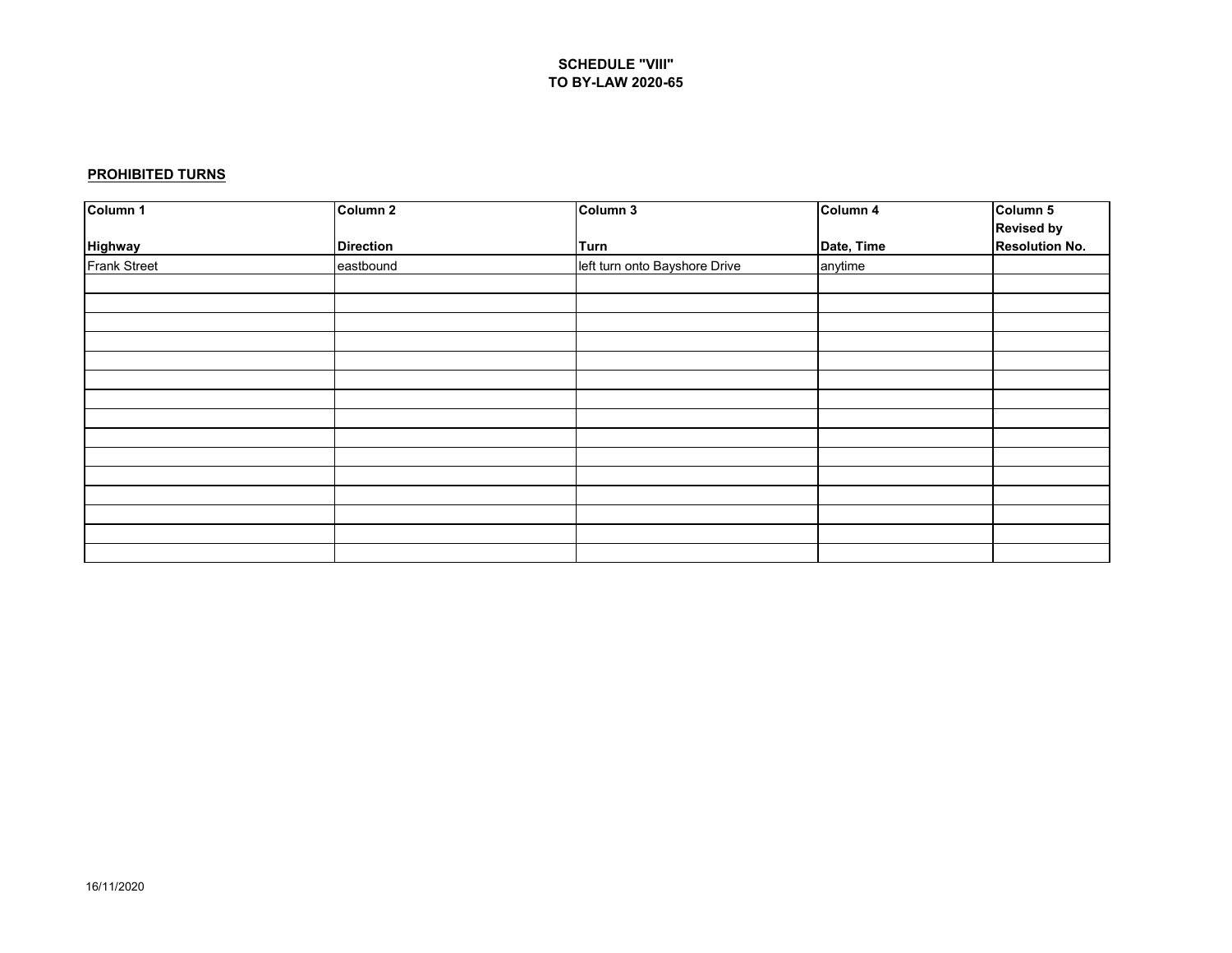#### **PROHIBITED TURNS**

| Column 1       | Column 2         | Column 3                      | Column 4   | Column 5              |
|----------------|------------------|-------------------------------|------------|-----------------------|
|                |                  |                               |            | <b>Revised by</b>     |
| <b>Highway</b> | <b>Direction</b> | Turn                          | Date, Time | <b>Resolution No.</b> |
| Frank Street   | eastbound        | left turn onto Bayshore Drive | anytime    |                       |
|                |                  |                               |            |                       |
|                |                  |                               |            |                       |
|                |                  |                               |            |                       |
|                |                  |                               |            |                       |
|                |                  |                               |            |                       |
|                |                  |                               |            |                       |
|                |                  |                               |            |                       |
|                |                  |                               |            |                       |
|                |                  |                               |            |                       |
|                |                  |                               |            |                       |
|                |                  |                               |            |                       |
|                |                  |                               |            |                       |
|                |                  |                               |            |                       |
|                |                  |                               |            |                       |
|                |                  |                               |            |                       |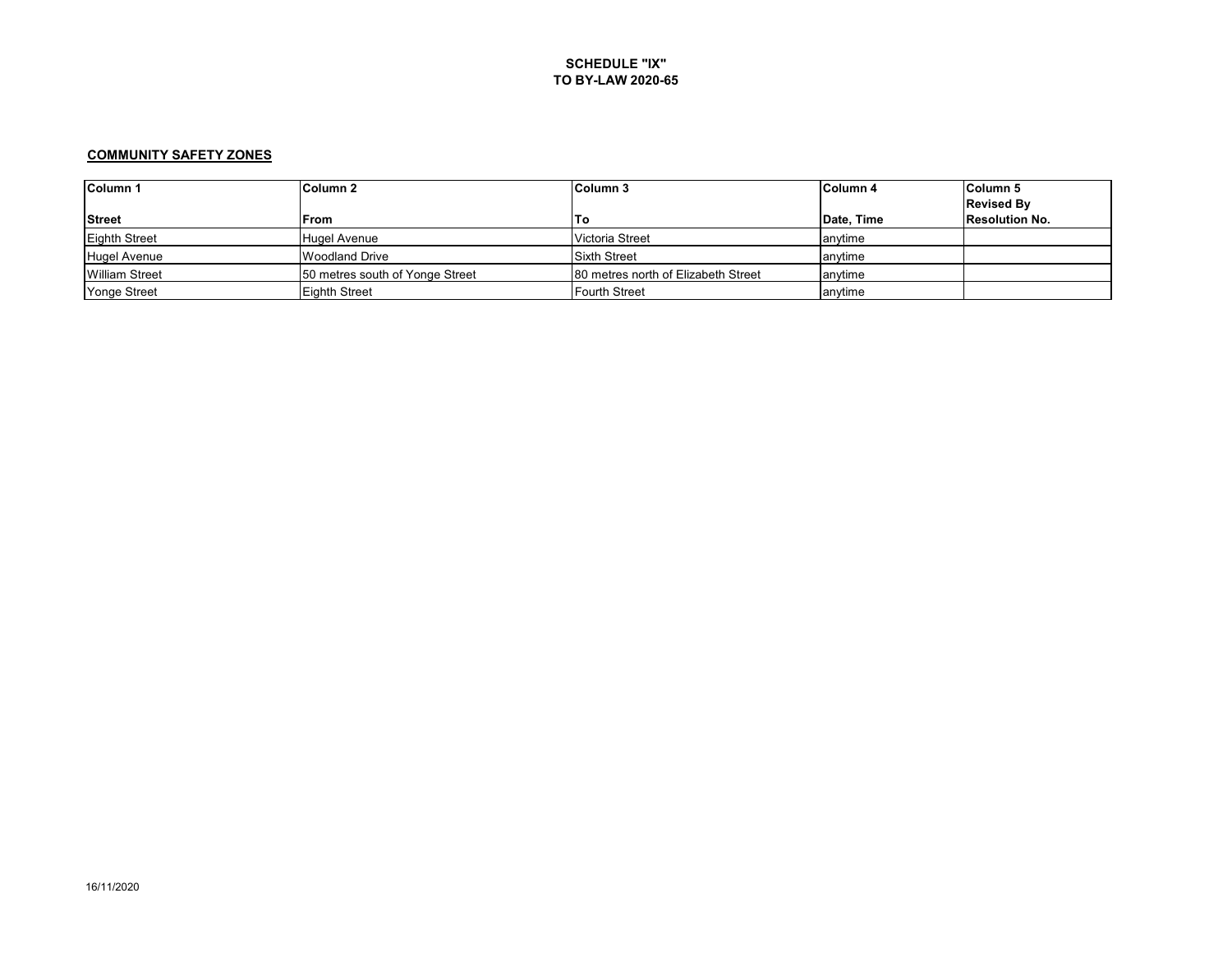#### **COMMUNITY SAFETY ZONES**

| Column 1              | Column 2                        | Column 3                            | <b>Column 4</b> | Column <sub>5</sub>   |
|-----------------------|---------------------------------|-------------------------------------|-----------------|-----------------------|
|                       |                                 |                                     |                 | <b>Revised By</b>     |
| <b>Street</b>         | <b>IFrom</b>                    | To                                  | Date, Time      | <b>Resolution No.</b> |
| <b>Eighth Street</b>  | Hugel Avenue                    | Victoria Street                     | lanytime        |                       |
| Hugel Avenue          | <b>Woodland Drive</b>           | <b>Sixth Street</b>                 | anvtime         |                       |
| <b>William Street</b> | 50 metres south of Yonge Street | 80 metres north of Elizabeth Street | anvtime         |                       |
| Yonge Street          | <b>Eighth Street</b>            | <b>Fourth Street</b>                | anvtime         |                       |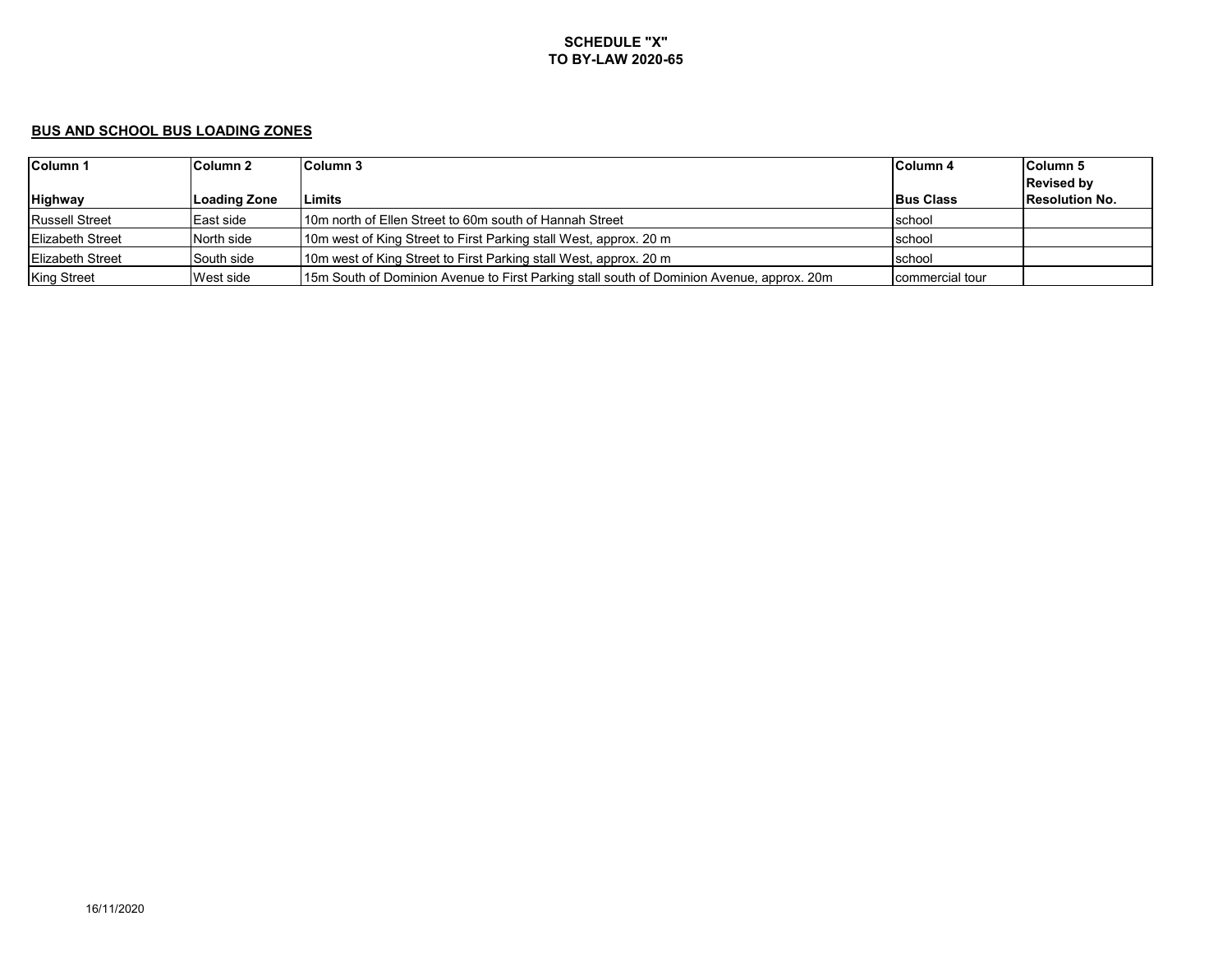### **BUS AND SCHOOL BUS LOADING ZONES**

| Column 1                | Column 2         | Column 3                                                                                  | Column 4         | Column <sub>5</sub>   |
|-------------------------|------------------|-------------------------------------------------------------------------------------------|------------------|-----------------------|
|                         |                  |                                                                                           |                  | <b>Revised by</b>     |
| <b>Highway</b>          | Loading Zone     | .imits                                                                                    | <b>Bus Class</b> | <b>Resolution No.</b> |
| Russell Street          | <b>East side</b> | 110m north of Ellen Street to 60m south of Hannah Street                                  | school           |                       |
| <b>Elizabeth Street</b> | North side       | 10m west of King Street to First Parking stall West, approx. 20 m                         | school           |                       |
| <b>Elizabeth Street</b> | South side       | 10m west of King Street to First Parking stall West, approx. 20 m                         | school           |                       |
| <b>King Street</b>      | West side        | 15m South of Dominion Avenue to First Parking stall south of Dominion Avenue, approx. 20m | commercial tour  |                       |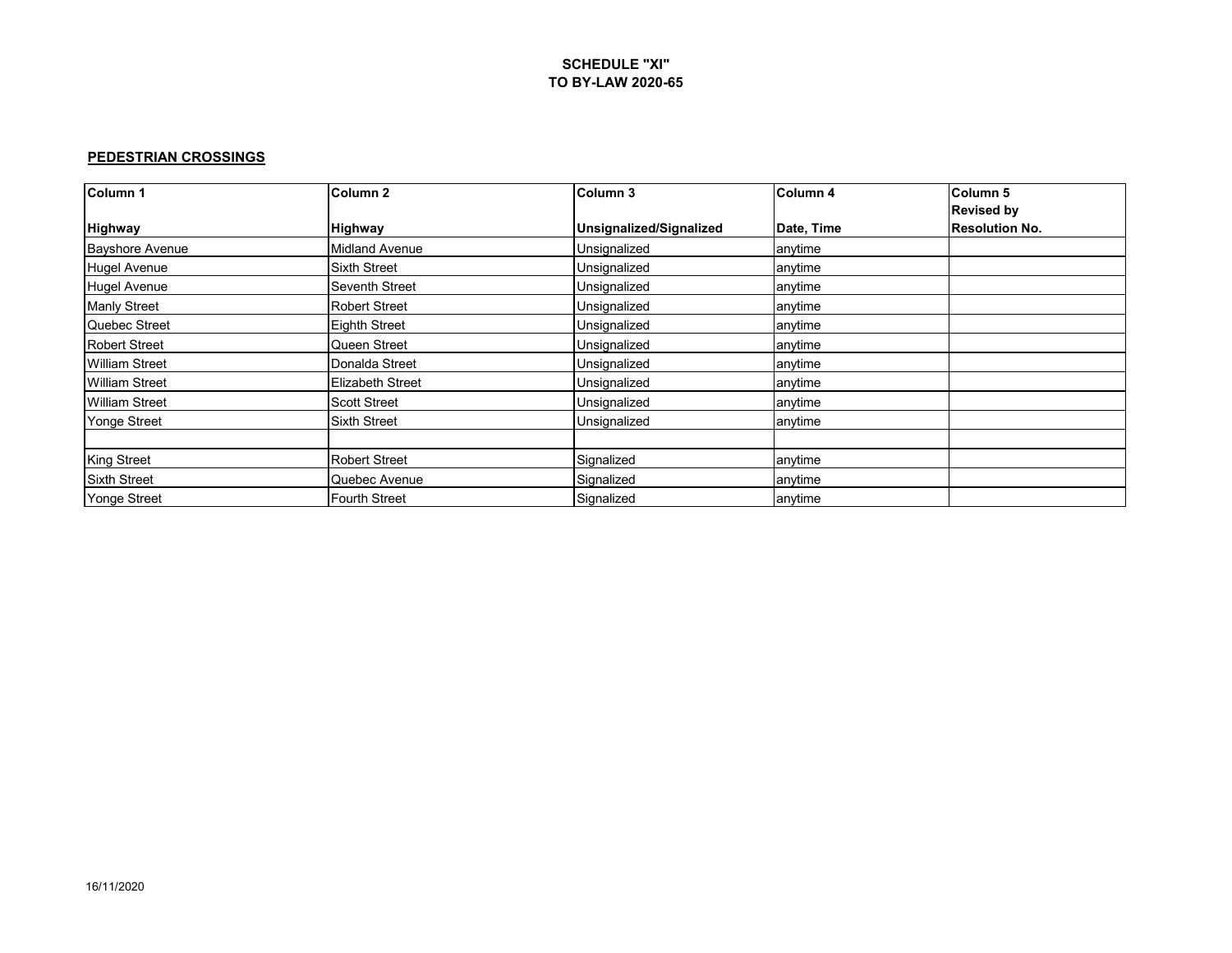### **PEDESTRIAN CROSSINGS**

| Column 1               | Column <sub>2</sub>     | Column 3                | Column <sub>4</sub> | Column <sub>5</sub>   |
|------------------------|-------------------------|-------------------------|---------------------|-----------------------|
|                        |                         |                         |                     | <b>Revised by</b>     |
| <b>Highway</b>         | <b>Highway</b>          | Unsignalized/Signalized | Date, Time          | <b>Resolution No.</b> |
| <b>Bayshore Avenue</b> | <b>Midland Avenue</b>   | Unsignalized            | anytime             |                       |
| <b>Hugel Avenue</b>    | <b>Sixth Street</b>     | Unsignalized            | anytime             |                       |
| <b>Hugel Avenue</b>    | Seventh Street          | Unsignalized            | anytime             |                       |
| <b>Manly Street</b>    | <b>Robert Street</b>    | Unsignalized            | anytime             |                       |
| Quebec Street          | <b>Eighth Street</b>    | Unsignalized            | anytime             |                       |
| <b>Robert Street</b>   | Queen Street            | Unsignalized            | anytime             |                       |
| William Street         | Donalda Street          | Unsignalized            | anytime             |                       |
| <b>William Street</b>  | <b>Elizabeth Street</b> | Unsignalized            | anytime             |                       |
| <b>William Street</b>  | <b>Scott Street</b>     | Unsignalized            | anytime             |                       |
| Yonge Street           | <b>Sixth Street</b>     | Unsignalized            | anytime             |                       |
|                        |                         |                         |                     |                       |
| <b>King Street</b>     | <b>Robert Street</b>    | Signalized              | anytime             |                       |
| <b>Sixth Street</b>    | Quebec Avenue           | Signalized              | anytime             |                       |
| <b>Yonge Street</b>    | <b>Fourth Street</b>    | Signalized              | anytime             |                       |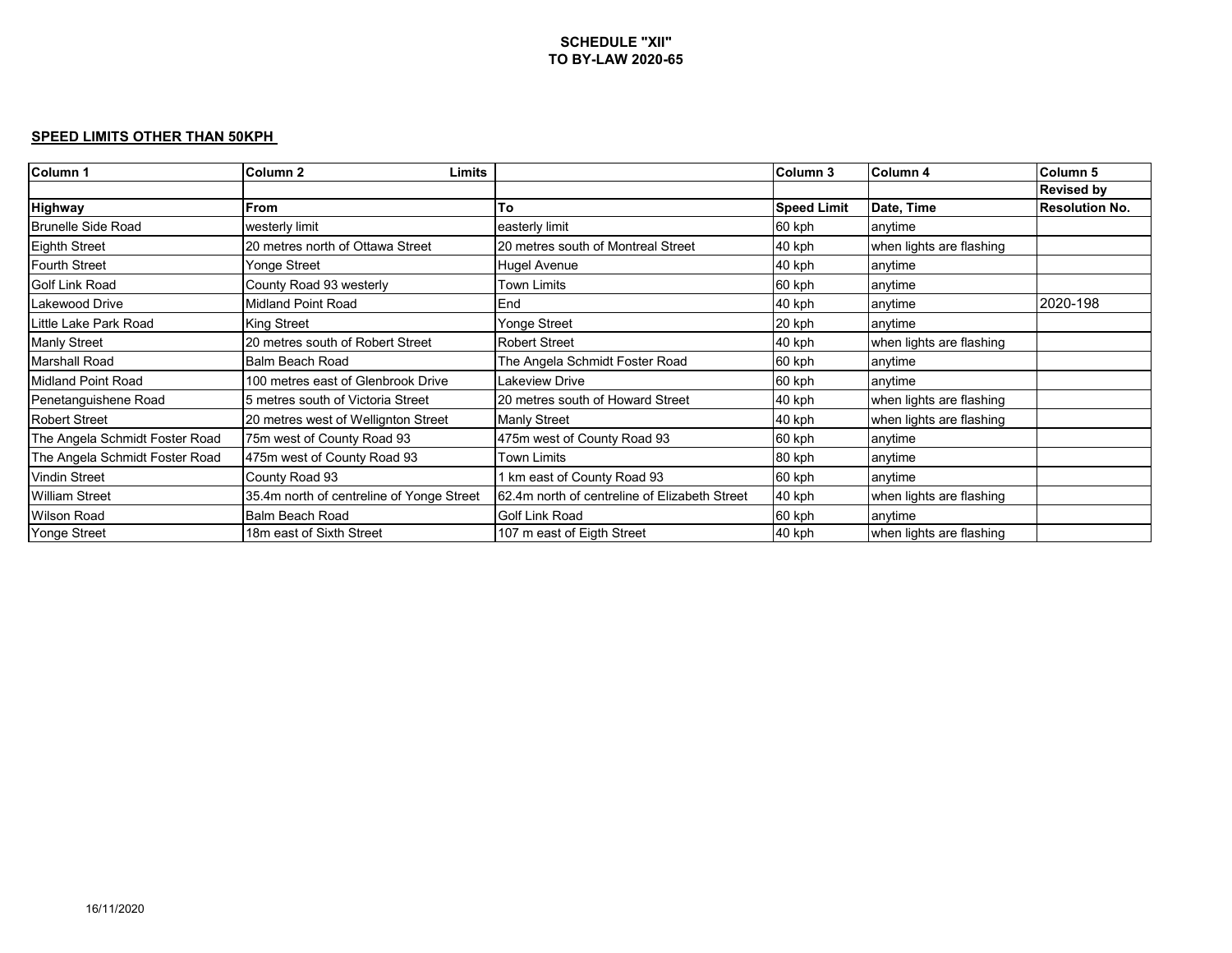#### **SPEED LIMITS OTHER THAN 50KPH**

| Column 1                       | Column <sub>2</sub><br><b>Limits</b>      |                                               | Column 3           | Column 4                 | Column 5              |
|--------------------------------|-------------------------------------------|-----------------------------------------------|--------------------|--------------------------|-----------------------|
|                                |                                           |                                               |                    |                          | <b>Revised by</b>     |
| Highway                        | From                                      | To                                            | <b>Speed Limit</b> | Date, Time               | <b>Resolution No.</b> |
| <b>Brunelle Side Road</b>      | westerly limit                            | easterly limit                                | 60 kph             | anytime                  |                       |
| <b>Eighth Street</b>           | 20 metres north of Ottawa Street          | 20 metres south of Montreal Street            | 40 kph             | when lights are flashing |                       |
| Fourth Street                  | Yonge Street                              | Hugel Avenue                                  | 40 kph             | anytime                  |                       |
| Golf Link Road                 | County Road 93 westerly                   | Town Limits                                   | 60 kph             | anytime                  |                       |
| <b>Lakewood Drive</b>          | <b>Midland Point Road</b>                 | End                                           | 40 kph             | anytime                  | 2020-198              |
| Little Lake Park Road          | <b>King Street</b>                        | Yonge Street                                  | 20 kph             | anytime                  |                       |
| <b>Manly Street</b>            | 20 metres south of Robert Street          | <b>Robert Street</b>                          | 40 kph             | when lights are flashing |                       |
| Marshall Road                  | Balm Beach Road                           | The Angela Schmidt Foster Road                | 60 kph             | anytime                  |                       |
| Midland Point Road             | 100 metres east of Glenbrook Drive        | Lakeview Drive                                | 60 kph             | anytime                  |                       |
| Penetanguishene Road           | 5 metres south of Victoria Street         | 20 metres south of Howard Street              | 40 kph             | when lights are flashing |                       |
| Robert Street                  | 20 metres west of Wellignton Street       | <b>Manly Street</b>                           | 40 kph             | when lights are flashing |                       |
| The Angela Schmidt Foster Road | 75m west of County Road 93                | 475m west of County Road 93                   | 60 kph             | anytime                  |                       |
| The Angela Schmidt Foster Road | 475m west of County Road 93               | Town Limits                                   | 80 kph             | anytime                  |                       |
| <b>Vindin Street</b>           | County Road 93                            | 1 km east of County Road 93                   | 60 kph             | anytime                  |                       |
| <b>William Street</b>          | 35.4m north of centreline of Yonge Street | 62.4m north of centreline of Elizabeth Street | 40 kph             | when lights are flashing |                       |
| <b>Wilson Road</b>             | Balm Beach Road                           | Golf Link Road                                | 60 kph             | anytime                  |                       |
| <b>Yonge Street</b>            | 18m east of Sixth Street                  | 107 m east of Eigth Street                    | 40 kph             | when lights are flashing |                       |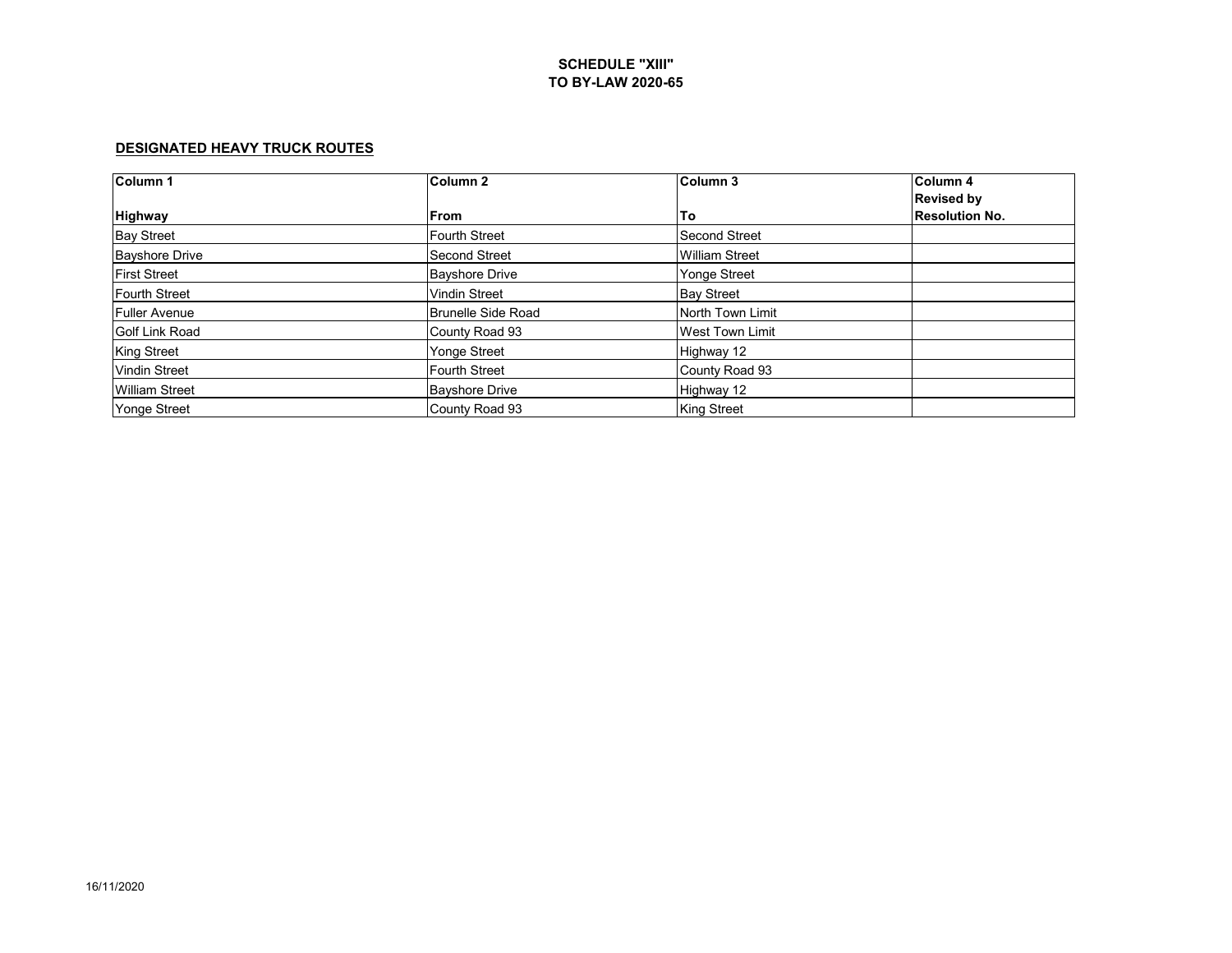### **DESIGNATED HEAVY TRUCK ROUTES**

| Column 1              | Column <sub>2</sub>       | Column 3               | Column 4              |
|-----------------------|---------------------------|------------------------|-----------------------|
|                       |                           |                        | <b>Revised by</b>     |
| <b>Highway</b>        | <b>From</b>               | To                     | <b>Resolution No.</b> |
| <b>Bay Street</b>     | <b>Fourth Street</b>      | <b>Second Street</b>   |                       |
| <b>Bayshore Drive</b> | <b>Second Street</b>      | <b>William Street</b>  |                       |
| <b>First Street</b>   | <b>Bayshore Drive</b>     | <b>Yonge Street</b>    |                       |
| <b>Fourth Street</b>  | <b>Vindin Street</b>      | <b>Bay Street</b>      |                       |
| <b>Fuller Avenue</b>  | <b>Brunelle Side Road</b> | North Town Limit       |                       |
| Golf Link Road        | County Road 93            | <b>West Town Limit</b> |                       |
| <b>King Street</b>    | Yonge Street              | Highway 12             |                       |
| <b>Vindin Street</b>  | <b>Fourth Street</b>      | County Road 93         |                       |
| <b>William Street</b> | <b>Bayshore Drive</b>     | Highway 12             |                       |
| <b>Yonge Street</b>   | County Road 93            | <b>King Street</b>     |                       |